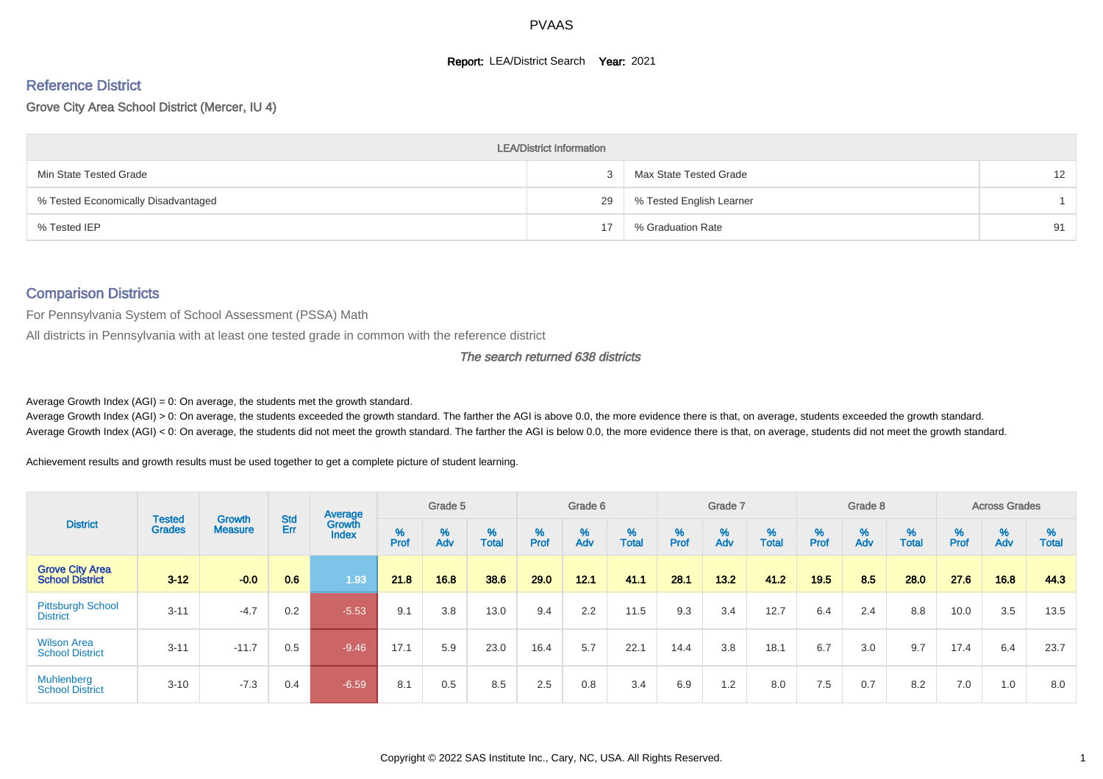#### **Report: LEA/District Search Year: 2021**

# Reference District

Grove City Area School District (Mercer, IU 4)

|                                     | <b>LEA/District Information</b> |                          |                   |
|-------------------------------------|---------------------------------|--------------------------|-------------------|
| Min State Tested Grade              |                                 | Max State Tested Grade   | $12 \overline{ }$ |
| % Tested Economically Disadvantaged | 29                              | % Tested English Learner |                   |
| % Tested IEP                        |                                 | % Graduation Rate        | 91                |

#### Comparison Districts

For Pennsylvania System of School Assessment (PSSA) Math

All districts in Pennsylvania with at least one tested grade in common with the reference district

The search returned 638 districts

Average Growth Index  $(AGI) = 0$ : On average, the students met the growth standard.

Average Growth Index (AGI) > 0: On average, the students exceeded the growth standard. The farther the AGI is above 0.0, the more evidence there is that, on average, students exceeded the growth standard. Average Growth Index (AGI) < 0: On average, the students did not meet the growth standard. The farther the AGI is below 0.0, the more evidence there is that, on average, students did not meet the growth standard.

Achievement results and growth results must be used together to get a complete picture of student learning.

|                                                  |                                |                                 |            | Average                |           | Grade 5  |                   |        | Grade 6  |            |          | Grade 7  |            |           | Grade 8  |            |        | <b>Across Grades</b> |                   |
|--------------------------------------------------|--------------------------------|---------------------------------|------------|------------------------|-----------|----------|-------------------|--------|----------|------------|----------|----------|------------|-----------|----------|------------|--------|----------------------|-------------------|
| <b>District</b>                                  | <b>Tested</b><br><b>Grades</b> | <b>Growth</b><br><b>Measure</b> | Std<br>Err | Growth<br><b>Index</b> | %<br>Prof | %<br>Adv | %<br><b>Total</b> | % Pref | %<br>Adv | %<br>Total | $%$ Prof | %<br>Adv | %<br>Total | %<br>Prof | %<br>Adv | %<br>Total | % Pref | $\frac{\%}{\%}$      | %<br><b>Total</b> |
| <b>Grove City Area</b><br><b>School District</b> | $3 - 12$                       | $-0.0$                          | 0.6        | 1.93                   | 21.8      | 16.8     | 38.6              | 29.0   | 12.1     | 41.1       | 28.1     | $13.2$   | 41.2       | 19.5      | 8.5      | 28.0       | 27.6   | 16.8                 | 44.3              |
| <b>Pittsburgh School</b><br><b>District</b>      | $3 - 11$                       | $-4.7$                          | 0.2        | $-5.53$                | 9.1       | 3.8      | 13.0              | 9.4    | 2.2      | 11.5       | 9.3      | 3.4      | 12.7       | 6.4       | 2.4      | 8.8        | 10.0   | 3.5                  | 13.5              |
| <b>Wilson Area</b><br><b>School District</b>     | $3 - 11$                       | $-11.7$                         | 0.5        | $-9.46$                | 17.1      | 5.9      | 23.0              | 16.4   | 5.7      | 22.1       | 14.4     | 3.8      | 18.1       | 6.7       | 3.0      | 9.7        | 17.4   | 6.4                  | 23.7              |
| <b>Muhlenberg</b><br><b>School District</b>      | $3 - 10$                       | $-7.3$                          | 0.4        | $-6.59$                | 8.1       | 0.5      | 8.5               | 2.5    | 0.8      | 3.4        | 6.9      | 1.2      | 8.0        | 7.5       | 0.7      | 8.2        | 7.0    | 1.0                  | 8.0               |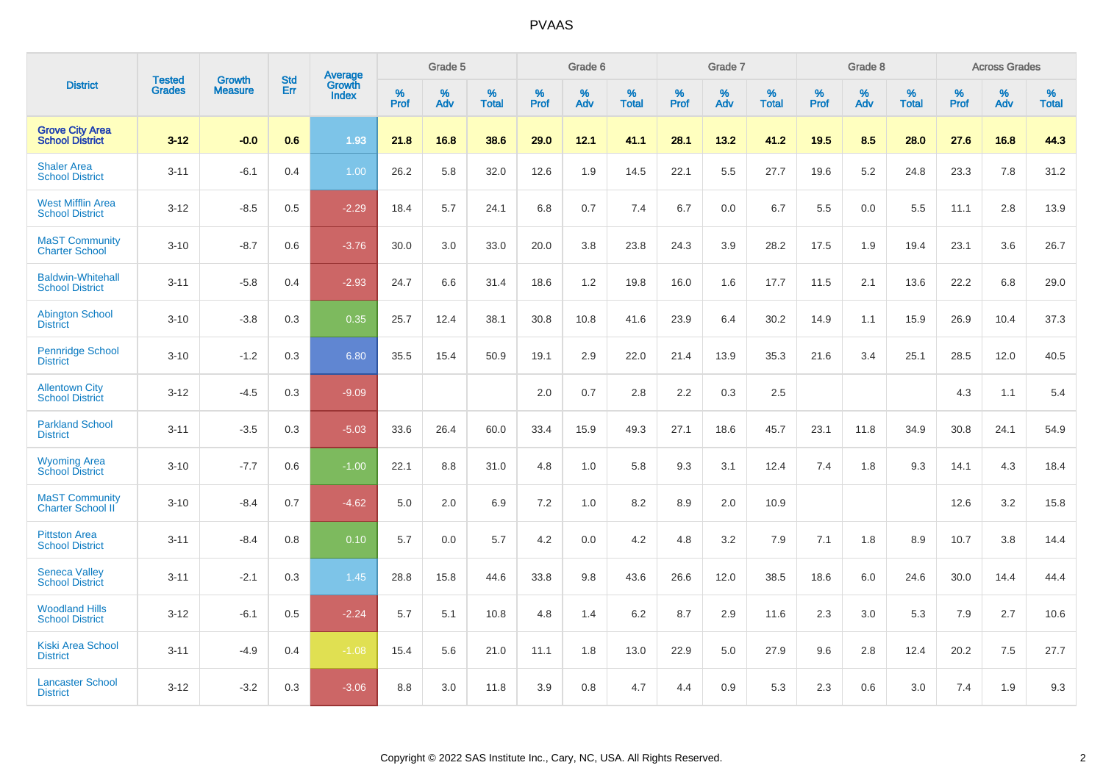|                                                    |                                |                                 | <b>Std</b> | <b>Average</b>         |           | Grade 5  |                   |           | Grade 6  |                   |              | Grade 7  |                   |           | Grade 8  |                   |           | <b>Across Grades</b> |            |
|----------------------------------------------------|--------------------------------|---------------------------------|------------|------------------------|-----------|----------|-------------------|-----------|----------|-------------------|--------------|----------|-------------------|-----------|----------|-------------------|-----------|----------------------|------------|
| <b>District</b>                                    | <b>Tested</b><br><b>Grades</b> | <b>Growth</b><br><b>Measure</b> | Err        | Growth<br><b>Index</b> | %<br>Prof | %<br>Adv | %<br><b>Total</b> | %<br>Prof | %<br>Adv | %<br><b>Total</b> | $\%$<br>Prof | %<br>Adv | %<br><b>Total</b> | %<br>Prof | %<br>Adv | %<br><b>Total</b> | %<br>Prof | %<br>Adv             | %<br>Total |
| <b>Grove City Area</b><br><b>School District</b>   | $3 - 12$                       | $-0.0$                          | 0.6        | 1.93                   | 21.8      | 16.8     | 38.6              | 29.0      | 12.1     | 41.1              | 28.1         | 13.2     | 41.2              | 19.5      | 8.5      | 28.0              | 27.6      | 16.8                 | 44.3       |
| <b>Shaler Area</b><br><b>School District</b>       | $3 - 11$                       | $-6.1$                          | 0.4        | 1.00                   | 26.2      | 5.8      | 32.0              | 12.6      | 1.9      | 14.5              | 22.1         | 5.5      | 27.7              | 19.6      | 5.2      | 24.8              | 23.3      | 7.8                  | 31.2       |
| <b>West Mifflin Area</b><br><b>School District</b> | $3 - 12$                       | $-8.5$                          | 0.5        | $-2.29$                | 18.4      | 5.7      | 24.1              | 6.8       | 0.7      | 7.4               | 6.7          | 0.0      | 6.7               | 5.5       | 0.0      | 5.5               | 11.1      | 2.8                  | 13.9       |
| <b>MaST Community</b><br><b>Charter School</b>     | $3 - 10$                       | $-8.7$                          | 0.6        | $-3.76$                | 30.0      | 3.0      | 33.0              | 20.0      | 3.8      | 23.8              | 24.3         | 3.9      | 28.2              | 17.5      | 1.9      | 19.4              | 23.1      | 3.6                  | 26.7       |
| <b>Baldwin-Whitehall</b><br><b>School District</b> | $3 - 11$                       | $-5.8$                          | 0.4        | $-2.93$                | 24.7      | 6.6      | 31.4              | 18.6      | 1.2      | 19.8              | 16.0         | 1.6      | 17.7              | 11.5      | 2.1      | 13.6              | 22.2      | 6.8                  | 29.0       |
| <b>Abington School</b><br><b>District</b>          | $3 - 10$                       | $-3.8$                          | 0.3        | 0.35                   | 25.7      | 12.4     | 38.1              | 30.8      | 10.8     | 41.6              | 23.9         | 6.4      | 30.2              | 14.9      | 1.1      | 15.9              | 26.9      | 10.4                 | 37.3       |
| <b>Pennridge School</b><br><b>District</b>         | $3 - 10$                       | $-1.2$                          | 0.3        | 6.80                   | 35.5      | 15.4     | 50.9              | 19.1      | 2.9      | 22.0              | 21.4         | 13.9     | 35.3              | 21.6      | 3.4      | 25.1              | 28.5      | 12.0                 | 40.5       |
| <b>Allentown City</b><br><b>School District</b>    | $3 - 12$                       | $-4.5$                          | 0.3        | $-9.09$                |           |          |                   | 2.0       | 0.7      | 2.8               | 2.2          | 0.3      | 2.5               |           |          |                   | 4.3       | 1.1                  | 5.4        |
| <b>Parkland School</b><br><b>District</b>          | $3 - 11$                       | $-3.5$                          | 0.3        | $-5.03$                | 33.6      | 26.4     | 60.0              | 33.4      | 15.9     | 49.3              | 27.1         | 18.6     | 45.7              | 23.1      | 11.8     | 34.9              | 30.8      | 24.1                 | 54.9       |
| <b>Wyoming Area</b><br><b>School District</b>      | $3 - 10$                       | $-7.7$                          | 0.6        | $-1.00$                | 22.1      | 8.8      | 31.0              | 4.8       | 1.0      | 5.8               | 9.3          | 3.1      | 12.4              | 7.4       | 1.8      | 9.3               | 14.1      | 4.3                  | 18.4       |
| <b>MaST Community</b><br><b>Charter School II</b>  | $3 - 10$                       | $-8.4$                          | 0.7        | $-4.62$                | 5.0       | 2.0      | 6.9               | 7.2       | 1.0      | 8.2               | 8.9          | 2.0      | 10.9              |           |          |                   | 12.6      | 3.2                  | 15.8       |
| <b>Pittston Area</b><br><b>School District</b>     | $3 - 11$                       | $-8.4$                          | 0.8        | 0.10                   | 5.7       | 0.0      | 5.7               | 4.2       | 0.0      | 4.2               | 4.8          | 3.2      | 7.9               | 7.1       | 1.8      | 8.9               | 10.7      | 3.8                  | 14.4       |
| <b>Seneca Valley</b><br><b>School District</b>     | $3 - 11$                       | $-2.1$                          | 0.3        | 1.45                   | 28.8      | 15.8     | 44.6              | 33.8      | 9.8      | 43.6              | 26.6         | 12.0     | 38.5              | 18.6      | 6.0      | 24.6              | 30.0      | 14.4                 | 44.4       |
| <b>Woodland Hills</b><br><b>School District</b>    | $3 - 12$                       | $-6.1$                          | 0.5        | $-2.24$                | 5.7       | 5.1      | 10.8              | 4.8       | 1.4      | 6.2               | 8.7          | 2.9      | 11.6              | 2.3       | 3.0      | 5.3               | 7.9       | 2.7                  | 10.6       |
| <b>Kiski Area School</b><br><b>District</b>        | $3 - 11$                       | $-4.9$                          | 0.4        | $-1.08$                | 15.4      | 5.6      | 21.0              | 11.1      | 1.8      | 13.0              | 22.9         | 5.0      | 27.9              | 9.6       | 2.8      | 12.4              | 20.2      | 7.5                  | 27.7       |
| <b>Lancaster School</b><br><b>District</b>         | $3 - 12$                       | $-3.2$                          | 0.3        | $-3.06$                | 8.8       | 3.0      | 11.8              | 3.9       | 0.8      | 4.7               | 4.4          | 0.9      | 5.3               | 2.3       | 0.6      | 3.0               | 7.4       | 1.9                  | 9.3        |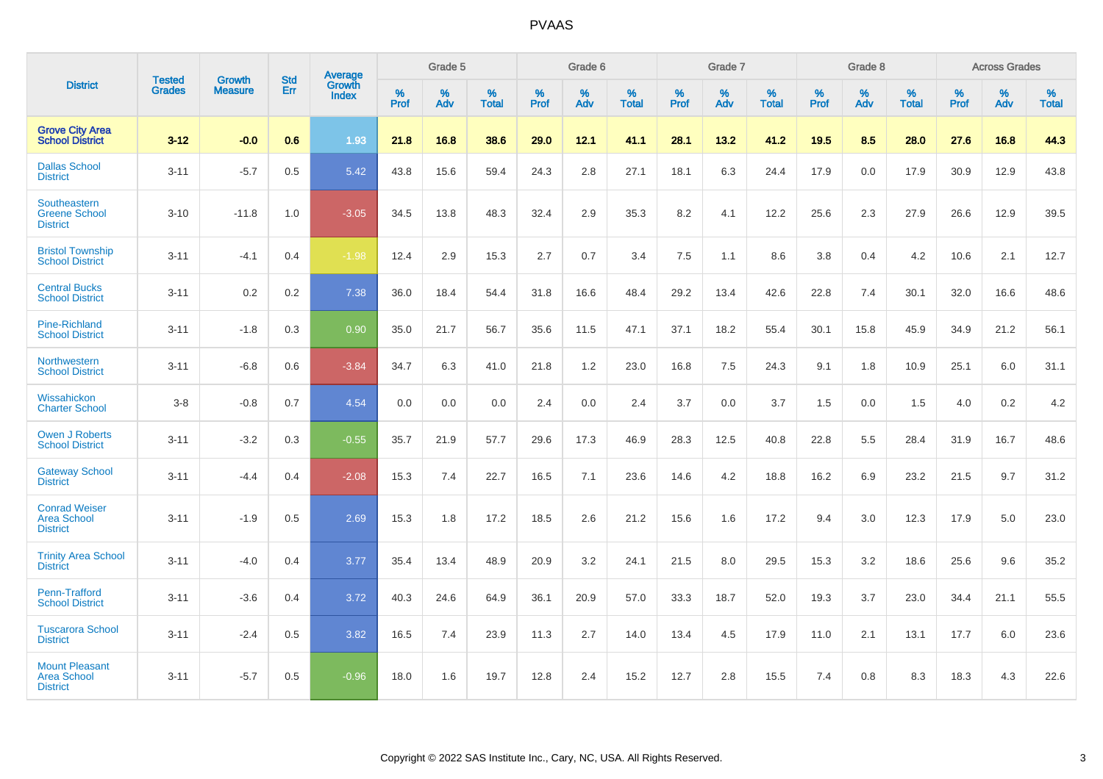|                                                                |                                |                          | <b>Std</b> | Average                |           | Grade 5  |                   |           | Grade 6  |                   |           | Grade 7  |                   |           | Grade 8  |                   |           | <b>Across Grades</b> |                   |
|----------------------------------------------------------------|--------------------------------|--------------------------|------------|------------------------|-----------|----------|-------------------|-----------|----------|-------------------|-----------|----------|-------------------|-----------|----------|-------------------|-----------|----------------------|-------------------|
| <b>District</b>                                                | <b>Tested</b><br><b>Grades</b> | Growth<br><b>Measure</b> | Err        | Growth<br><b>Index</b> | %<br>Prof | %<br>Adv | %<br><b>Total</b> | %<br>Prof | %<br>Adv | %<br><b>Total</b> | %<br>Prof | %<br>Adv | %<br><b>Total</b> | %<br>Prof | %<br>Adv | %<br><b>Total</b> | %<br>Prof | %<br>Adv             | %<br><b>Total</b> |
| <b>Grove City Area</b><br><b>School District</b>               | $3 - 12$                       | $-0.0$                   | 0.6        | 1.93                   | 21.8      | 16.8     | 38.6              | 29.0      | 12.1     | 41.1              | 28.1      | 13.2     | 41.2              | 19.5      | 8.5      | 28.0              | 27.6      | 16.8                 | 44.3              |
| <b>Dallas School</b><br><b>District</b>                        | $3 - 11$                       | $-5.7$                   | 0.5        | 5.42                   | 43.8      | 15.6     | 59.4              | 24.3      | 2.8      | 27.1              | 18.1      | 6.3      | 24.4              | 17.9      | 0.0      | 17.9              | 30.9      | 12.9                 | 43.8              |
| Southeastern<br><b>Greene School</b><br><b>District</b>        | $3 - 10$                       | $-11.8$                  | 1.0        | $-3.05$                | 34.5      | 13.8     | 48.3              | 32.4      | 2.9      | 35.3              | 8.2       | 4.1      | 12.2              | 25.6      | 2.3      | 27.9              | 26.6      | 12.9                 | 39.5              |
| <b>Bristol Township</b><br><b>School District</b>              | $3 - 11$                       | $-4.1$                   | 0.4        | $-1.98$                | 12.4      | 2.9      | 15.3              | 2.7       | 0.7      | 3.4               | 7.5       | 1.1      | 8.6               | 3.8       | 0.4      | 4.2               | 10.6      | 2.1                  | 12.7              |
| <b>Central Bucks</b><br><b>School District</b>                 | $3 - 11$                       | 0.2                      | 0.2        | 7.38                   | 36.0      | 18.4     | 54.4              | 31.8      | 16.6     | 48.4              | 29.2      | 13.4     | 42.6              | 22.8      | 7.4      | 30.1              | 32.0      | 16.6                 | 48.6              |
| <b>Pine-Richland</b><br><b>School District</b>                 | $3 - 11$                       | $-1.8$                   | 0.3        | 0.90                   | 35.0      | 21.7     | 56.7              | 35.6      | 11.5     | 47.1              | 37.1      | 18.2     | 55.4              | 30.1      | 15.8     | 45.9              | 34.9      | 21.2                 | 56.1              |
| Northwestern<br><b>School District</b>                         | $3 - 11$                       | $-6.8$                   | 0.6        | $-3.84$                | 34.7      | 6.3      | 41.0              | 21.8      | 1.2      | 23.0              | 16.8      | 7.5      | 24.3              | 9.1       | 1.8      | 10.9              | 25.1      | 6.0                  | 31.1              |
| Wissahickon<br><b>Charter School</b>                           | $3-8$                          | $-0.8$                   | 0.7        | 4.54                   | 0.0       | 0.0      | 0.0               | 2.4       | 0.0      | 2.4               | 3.7       | 0.0      | 3.7               | 1.5       | 0.0      | 1.5               | 4.0       | 0.2                  | 4.2               |
| <b>Owen J Roberts</b><br><b>School District</b>                | $3 - 11$                       | $-3.2$                   | 0.3        | $-0.55$                | 35.7      | 21.9     | 57.7              | 29.6      | 17.3     | 46.9              | 28.3      | 12.5     | 40.8              | 22.8      | 5.5      | 28.4              | 31.9      | 16.7                 | 48.6              |
| <b>Gateway School</b><br><b>District</b>                       | $3 - 11$                       | $-4.4$                   | 0.4        | $-2.08$                | 15.3      | 7.4      | 22.7              | 16.5      | 7.1      | 23.6              | 14.6      | 4.2      | 18.8              | 16.2      | 6.9      | 23.2              | 21.5      | 9.7                  | 31.2              |
| <b>Conrad Weiser</b><br><b>Area School</b><br><b>District</b>  | $3 - 11$                       | $-1.9$                   | 0.5        | 2.69                   | 15.3      | 1.8      | 17.2              | 18.5      | 2.6      | 21.2              | 15.6      | 1.6      | 17.2              | 9.4       | 3.0      | 12.3              | 17.9      | 5.0                  | 23.0              |
| <b>Trinity Area School</b><br><b>District</b>                  | $3 - 11$                       | $-4.0$                   | 0.4        | 3.77                   | 35.4      | 13.4     | 48.9              | 20.9      | 3.2      | 24.1              | 21.5      | 8.0      | 29.5              | 15.3      | 3.2      | 18.6              | 25.6      | 9.6                  | 35.2              |
| Penn-Trafford<br><b>School District</b>                        | $3 - 11$                       | $-3.6$                   | 0.4        | 3.72                   | 40.3      | 24.6     | 64.9              | 36.1      | 20.9     | 57.0              | 33.3      | 18.7     | 52.0              | 19.3      | 3.7      | 23.0              | 34.4      | 21.1                 | 55.5              |
| <b>Tuscarora School</b><br><b>District</b>                     | $3 - 11$                       | $-2.4$                   | 0.5        | 3.82                   | 16.5      | 7.4      | 23.9              | 11.3      | 2.7      | 14.0              | 13.4      | 4.5      | 17.9              | 11.0      | 2.1      | 13.1              | 17.7      | 6.0                  | 23.6              |
| <b>Mount Pleasant</b><br><b>Area School</b><br><b>District</b> | $3 - 11$                       | $-5.7$                   | 0.5        | $-0.96$                | 18.0      | 1.6      | 19.7              | 12.8      | 2.4      | 15.2              | 12.7      | 2.8      | 15.5              | 7.4       | 0.8      | 8.3               | 18.3      | 4.3                  | 22.6              |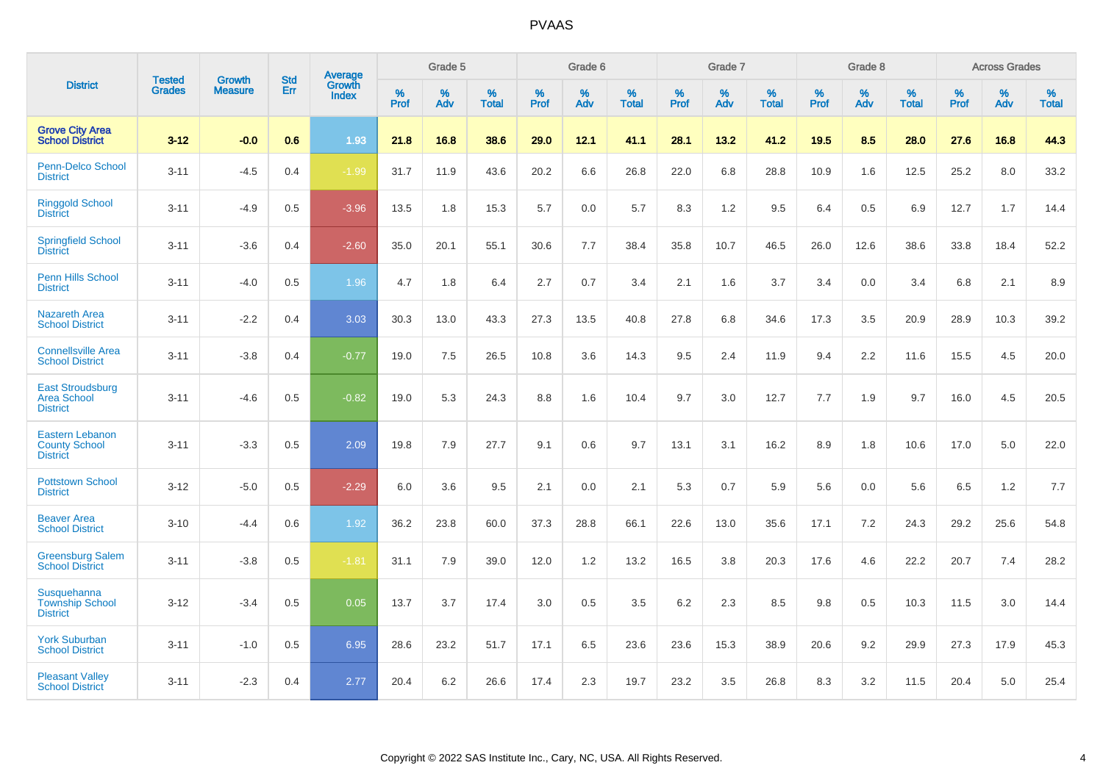|                                                                   |                                |                                 | <b>Std</b> | Average                       |           | Grade 5  |                   |           | Grade 6  |                   |           | Grade 7  |                   |           | Grade 8  |                   |           | <b>Across Grades</b> |                   |
|-------------------------------------------------------------------|--------------------------------|---------------------------------|------------|-------------------------------|-----------|----------|-------------------|-----------|----------|-------------------|-----------|----------|-------------------|-----------|----------|-------------------|-----------|----------------------|-------------------|
| <b>District</b>                                                   | <b>Tested</b><br><b>Grades</b> | <b>Growth</b><br><b>Measure</b> | Err        | <b>Growth</b><br><b>Index</b> | %<br>Prof | %<br>Adv | %<br><b>Total</b> | %<br>Prof | %<br>Adv | %<br><b>Total</b> | %<br>Prof | %<br>Adv | %<br><b>Total</b> | %<br>Prof | %<br>Adv | %<br><b>Total</b> | %<br>Prof | %<br>Adv             | %<br><b>Total</b> |
| <b>Grove City Area</b><br><b>School District</b>                  | $3 - 12$                       | $-0.0$                          | 0.6        | 1.93                          | 21.8      | 16.8     | 38.6              | 29.0      | 12.1     | 41.1              | 28.1      | 13.2     | 41.2              | 19.5      | 8.5      | 28.0              | 27.6      | 16.8                 | 44.3              |
| Penn-Delco School<br><b>District</b>                              | $3 - 11$                       | $-4.5$                          | 0.4        | $-1.99$                       | 31.7      | 11.9     | 43.6              | 20.2      | 6.6      | 26.8              | 22.0      | 6.8      | 28.8              | 10.9      | 1.6      | 12.5              | 25.2      | 8.0                  | 33.2              |
| <b>Ringgold School</b><br><b>District</b>                         | $3 - 11$                       | $-4.9$                          | 0.5        | $-3.96$                       | 13.5      | 1.8      | 15.3              | 5.7       | 0.0      | 5.7               | 8.3       | 1.2      | 9.5               | 6.4       | 0.5      | 6.9               | 12.7      | 1.7                  | 14.4              |
| <b>Springfield School</b><br><b>District</b>                      | $3 - 11$                       | $-3.6$                          | 0.4        | $-2.60$                       | 35.0      | 20.1     | 55.1              | 30.6      | 7.7      | 38.4              | 35.8      | 10.7     | 46.5              | 26.0      | 12.6     | 38.6              | 33.8      | 18.4                 | 52.2              |
| Penn Hills School<br><b>District</b>                              | $3 - 11$                       | $-4.0$                          | 0.5        | 1.96                          | 4.7       | 1.8      | 6.4               | 2.7       | 0.7      | 3.4               | 2.1       | 1.6      | 3.7               | 3.4       | 0.0      | 3.4               | 6.8       | 2.1                  | 8.9               |
| <b>Nazareth Area</b><br><b>School District</b>                    | $3 - 11$                       | $-2.2$                          | 0.4        | 3.03                          | 30.3      | 13.0     | 43.3              | 27.3      | 13.5     | 40.8              | 27.8      | 6.8      | 34.6              | 17.3      | 3.5      | 20.9              | 28.9      | 10.3                 | 39.2              |
| <b>Connellsville Area</b><br><b>School District</b>               | $3 - 11$                       | $-3.8$                          | 0.4        | $-0.77$                       | 19.0      | 7.5      | 26.5              | 10.8      | 3.6      | 14.3              | 9.5       | 2.4      | 11.9              | 9.4       | 2.2      | 11.6              | 15.5      | 4.5                  | 20.0              |
| <b>East Stroudsburg</b><br><b>Area School</b><br><b>District</b>  | $3 - 11$                       | $-4.6$                          | 0.5        | $-0.82$                       | 19.0      | 5.3      | 24.3              | 8.8       | 1.6      | 10.4              | 9.7       | 3.0      | 12.7              | 7.7       | 1.9      | 9.7               | 16.0      | 4.5                  | 20.5              |
| <b>Eastern Lebanon</b><br><b>County School</b><br><b>District</b> | $3 - 11$                       | $-3.3$                          | 0.5        | 2.09                          | 19.8      | 7.9      | 27.7              | 9.1       | 0.6      | 9.7               | 13.1      | 3.1      | 16.2              | 8.9       | 1.8      | 10.6              | 17.0      | 5.0                  | 22.0              |
| <b>Pottstown School</b><br><b>District</b>                        | $3 - 12$                       | $-5.0$                          | 0.5        | $-2.29$                       | 6.0       | 3.6      | 9.5               | 2.1       | 0.0      | 2.1               | 5.3       | 0.7      | 5.9               | 5.6       | 0.0      | 5.6               | 6.5       | 1.2                  | 7.7               |
| <b>Beaver Area</b><br><b>School District</b>                      | $3 - 10$                       | $-4.4$                          | 0.6        | 1.92                          | 36.2      | 23.8     | 60.0              | 37.3      | 28.8     | 66.1              | 22.6      | 13.0     | 35.6              | 17.1      | 7.2      | 24.3              | 29.2      | 25.6                 | 54.8              |
| <b>Greensburg Salem</b><br><b>School District</b>                 | $3 - 11$                       | $-3.8$                          | 0.5        | $-1.81$                       | 31.1      | 7.9      | 39.0              | 12.0      | 1.2      | 13.2              | 16.5      | 3.8      | 20.3              | 17.6      | 4.6      | 22.2              | 20.7      | 7.4                  | 28.2              |
| Susquehanna<br><b>Township School</b><br><b>District</b>          | $3 - 12$                       | $-3.4$                          | 0.5        | 0.05                          | 13.7      | 3.7      | 17.4              | 3.0       | 0.5      | 3.5               | 6.2       | 2.3      | 8.5               | 9.8       | 0.5      | 10.3              | 11.5      | 3.0                  | 14.4              |
| <b>York Suburban</b><br><b>School District</b>                    | $3 - 11$                       | $-1.0$                          | 0.5        | 6.95                          | 28.6      | 23.2     | 51.7              | 17.1      | 6.5      | 23.6              | 23.6      | 15.3     | 38.9              | 20.6      | 9.2      | 29.9              | 27.3      | 17.9                 | 45.3              |
| <b>Pleasant Valley</b><br><b>School District</b>                  | $3 - 11$                       | $-2.3$                          | 0.4        | 2.77                          | 20.4      | 6.2      | 26.6              | 17.4      | 2.3      | 19.7              | 23.2      | 3.5      | 26.8              | 8.3       | 3.2      | 11.5              | 20.4      | 5.0                  | 25.4              |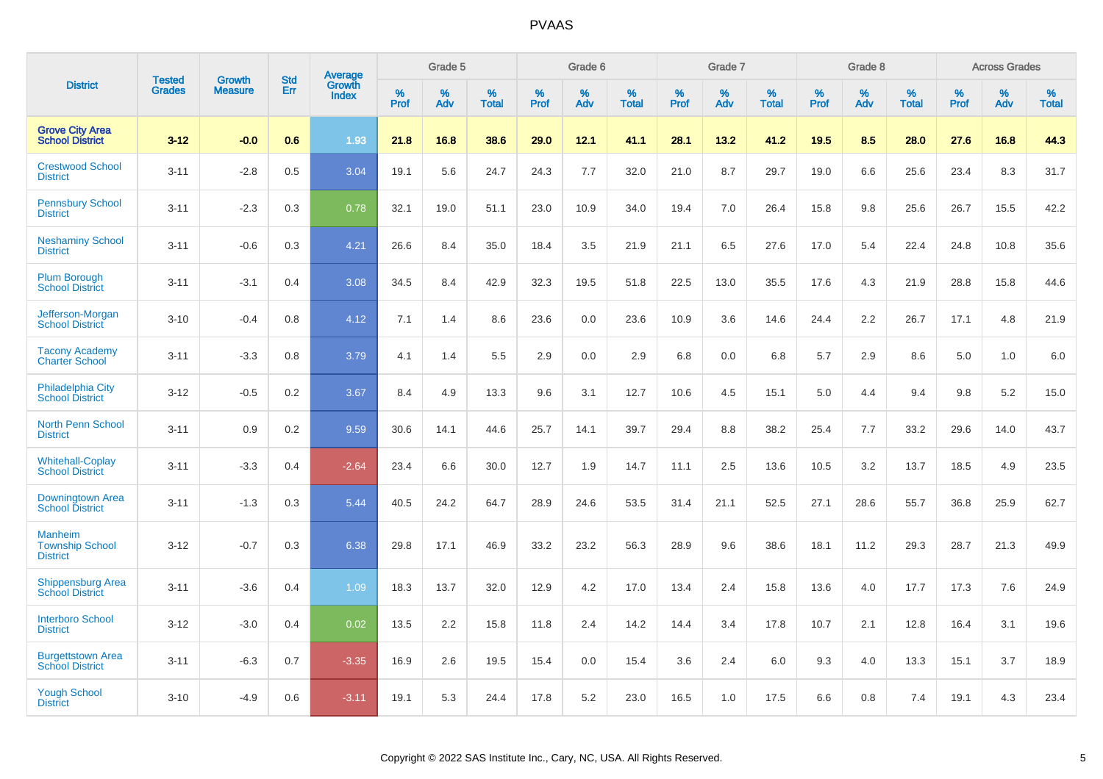|                                                      |                                | <b>Growth</b>  | <b>Std</b> | Average                |              | Grade 5  |                      |              | Grade 6     |                      |              | Grade 7  |                      |              | Grade 8     |                      |              | <b>Across Grades</b> |                      |
|------------------------------------------------------|--------------------------------|----------------|------------|------------------------|--------------|----------|----------------------|--------------|-------------|----------------------|--------------|----------|----------------------|--------------|-------------|----------------------|--------------|----------------------|----------------------|
| <b>District</b>                                      | <b>Tested</b><br><b>Grades</b> | <b>Measure</b> | Err        | Growth<br><b>Index</b> | $\%$<br>Prof | %<br>Adv | $\%$<br><b>Total</b> | $\%$<br>Prof | $\%$<br>Adv | $\%$<br><b>Total</b> | $\%$<br>Prof | %<br>Adv | $\%$<br><b>Total</b> | $\%$<br>Prof | $\%$<br>Adv | $\%$<br><b>Total</b> | $\%$<br>Prof | $\%$<br>Adv          | $\%$<br><b>Total</b> |
| <b>Grove City Area</b><br><b>School District</b>     | $3 - 12$                       | $-0.0$         | 0.6        | 1.93                   | 21.8         | 16.8     | 38.6                 | 29.0         | 12.1        | 41.1                 | 28.1         | 13.2     | 41.2                 | 19.5         | 8.5         | 28.0                 | 27.6         | 16.8                 | 44.3                 |
| <b>Crestwood School</b><br><b>District</b>           | $3 - 11$                       | $-2.8$         | 0.5        | 3.04                   | 19.1         | 5.6      | 24.7                 | 24.3         | 7.7         | 32.0                 | 21.0         | 8.7      | 29.7                 | 19.0         | 6.6         | 25.6                 | 23.4         | 8.3                  | 31.7                 |
| <b>Pennsbury School</b><br><b>District</b>           | $3 - 11$                       | $-2.3$         | 0.3        | 0.78                   | 32.1         | 19.0     | 51.1                 | 23.0         | 10.9        | 34.0                 | 19.4         | 7.0      | 26.4                 | 15.8         | 9.8         | 25.6                 | 26.7         | 15.5                 | 42.2                 |
| <b>Neshaminy School</b><br><b>District</b>           | $3 - 11$                       | $-0.6$         | 0.3        | 4.21                   | 26.6         | 8.4      | 35.0                 | 18.4         | 3.5         | 21.9                 | 21.1         | 6.5      | 27.6                 | 17.0         | 5.4         | 22.4                 | 24.8         | 10.8                 | 35.6                 |
| <b>Plum Borough</b><br><b>School District</b>        | $3 - 11$                       | $-3.1$         | 0.4        | 3.08                   | 34.5         | 8.4      | 42.9                 | 32.3         | 19.5        | 51.8                 | 22.5         | 13.0     | 35.5                 | 17.6         | 4.3         | 21.9                 | 28.8         | 15.8                 | 44.6                 |
| Jefferson-Morgan<br><b>School District</b>           | $3 - 10$                       | $-0.4$         | 0.8        | 4.12                   | 7.1          | 1.4      | 8.6                  | 23.6         | 0.0         | 23.6                 | 10.9         | 3.6      | 14.6                 | 24.4         | 2.2         | 26.7                 | 17.1         | 4.8                  | 21.9                 |
| <b>Tacony Academy</b><br><b>Charter School</b>       | $3 - 11$                       | $-3.3$         | 0.8        | 3.79                   | 4.1          | 1.4      | 5.5                  | 2.9          | 0.0         | 2.9                  | 6.8          | 0.0      | 6.8                  | 5.7          | 2.9         | 8.6                  | 5.0          | 1.0                  | 6.0                  |
| <b>Philadelphia City</b><br><b>School District</b>   | $3 - 12$                       | $-0.5$         | 0.2        | 3.67                   | 8.4          | 4.9      | 13.3                 | 9.6          | 3.1         | 12.7                 | 10.6         | 4.5      | 15.1                 | 5.0          | 4.4         | 9.4                  | 9.8          | 5.2                  | 15.0                 |
| <b>North Penn School</b><br><b>District</b>          | $3 - 11$                       | 0.9            | 0.2        | 9.59                   | 30.6         | 14.1     | 44.6                 | 25.7         | 14.1        | 39.7                 | 29.4         | 8.8      | 38.2                 | 25.4         | 7.7         | 33.2                 | 29.6         | 14.0                 | 43.7                 |
| <b>Whitehall-Coplay</b><br><b>School District</b>    | $3 - 11$                       | $-3.3$         | 0.4        | $-2.64$                | 23.4         | 6.6      | 30.0                 | 12.7         | 1.9         | 14.7                 | 11.1         | 2.5      | 13.6                 | 10.5         | 3.2         | 13.7                 | 18.5         | 4.9                  | 23.5                 |
| Downingtown Area<br><b>School District</b>           | $3 - 11$                       | $-1.3$         | 0.3        | 5.44                   | 40.5         | 24.2     | 64.7                 | 28.9         | 24.6        | 53.5                 | 31.4         | 21.1     | 52.5                 | 27.1         | 28.6        | 55.7                 | 36.8         | 25.9                 | 62.7                 |
| Manheim<br><b>Township School</b><br><b>District</b> | $3 - 12$                       | $-0.7$         | 0.3        | 6.38                   | 29.8         | 17.1     | 46.9                 | 33.2         | 23.2        | 56.3                 | 28.9         | 9.6      | 38.6                 | 18.1         | 11.2        | 29.3                 | 28.7         | 21.3                 | 49.9                 |
| <b>Shippensburg Area</b><br><b>School District</b>   | $3 - 11$                       | $-3.6$         | 0.4        | 1.09                   | 18.3         | 13.7     | 32.0                 | 12.9         | 4.2         | 17.0                 | 13.4         | 2.4      | 15.8                 | 13.6         | 4.0         | 17.7                 | 17.3         | 7.6                  | 24.9                 |
| <b>Interboro School</b><br><b>District</b>           | $3 - 12$                       | $-3.0$         | 0.4        | 0.02                   | 13.5         | 2.2      | 15.8                 | 11.8         | 2.4         | 14.2                 | 14.4         | 3.4      | 17.8                 | 10.7         | 2.1         | 12.8                 | 16.4         | 3.1                  | 19.6                 |
| <b>Burgettstown Area</b><br><b>School District</b>   | $3 - 11$                       | $-6.3$         | 0.7        | $-3.35$                | 16.9         | 2.6      | 19.5                 | 15.4         | 0.0         | 15.4                 | 3.6          | 2.4      | 6.0                  | 9.3          | 4.0         | 13.3                 | 15.1         | 3.7                  | 18.9                 |
| <b>Yough School</b><br><b>District</b>               | $3 - 10$                       | $-4.9$         | 0.6        | $-3.11$                | 19.1         | 5.3      | 24.4                 | 17.8         | 5.2         | 23.0                 | 16.5         | 1.0      | 17.5                 | 6.6          | 0.8         | 7.4                  | 19.1         | 4.3                  | 23.4                 |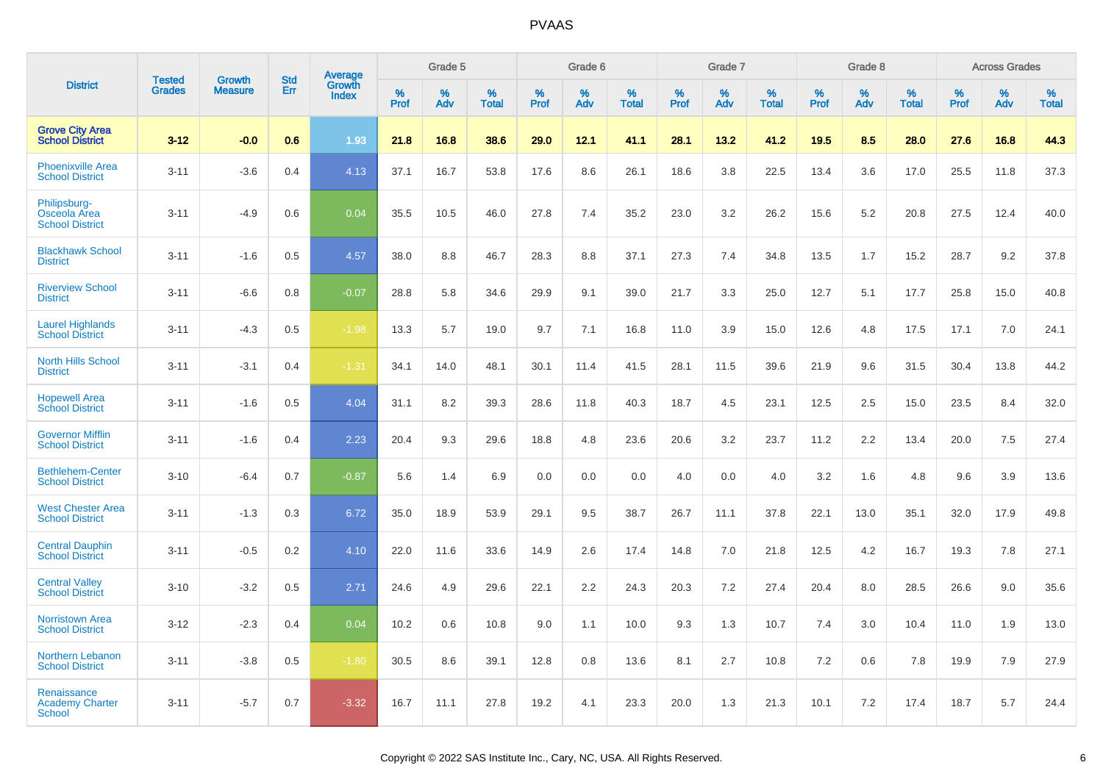|                                                        | <b>Tested</b> | <b>Growth</b>  | <b>Std</b> | Average                |              | Grade 5  |                   |              | Grade 6  |                   |              | Grade 7  |                   |              | Grade 8  |                   |              | <b>Across Grades</b> |                   |
|--------------------------------------------------------|---------------|----------------|------------|------------------------|--------------|----------|-------------------|--------------|----------|-------------------|--------------|----------|-------------------|--------------|----------|-------------------|--------------|----------------------|-------------------|
| <b>District</b>                                        | <b>Grades</b> | <b>Measure</b> | Err        | Growth<br><b>Index</b> | $\%$<br>Prof | %<br>Adv | %<br><b>Total</b> | $\%$<br>Prof | %<br>Adv | %<br><b>Total</b> | $\%$<br>Prof | %<br>Adv | %<br><b>Total</b> | $\%$<br>Prof | %<br>Adv | %<br><b>Total</b> | $\%$<br>Prof | %<br>Adv             | %<br><b>Total</b> |
| <b>Grove City Area</b><br><b>School District</b>       | $3 - 12$      | $-0.0$         | 0.6        | 1.93                   | 21.8         | 16.8     | 38.6              | 29.0         | 12.1     | 41.1              | 28.1         | 13.2     | 41.2              | 19.5         | 8.5      | 28.0              | 27.6         | 16.8                 | 44.3              |
| <b>Phoenixville Area</b><br><b>School District</b>     | $3 - 11$      | $-3.6$         | 0.4        | 4.13                   | 37.1         | 16.7     | 53.8              | 17.6         | 8.6      | 26.1              | 18.6         | 3.8      | 22.5              | 13.4         | 3.6      | 17.0              | 25.5         | 11.8                 | 37.3              |
| Philipsburg-<br>Osceola Area<br><b>School District</b> | $3 - 11$      | $-4.9$         | 0.6        | 0.04                   | 35.5         | 10.5     | 46.0              | 27.8         | 7.4      | 35.2              | 23.0         | 3.2      | 26.2              | 15.6         | 5.2      | 20.8              | 27.5         | 12.4                 | 40.0              |
| <b>Blackhawk School</b><br><b>District</b>             | $3 - 11$      | $-1.6$         | 0.5        | 4.57                   | 38.0         | 8.8      | 46.7              | 28.3         | 8.8      | 37.1              | 27.3         | 7.4      | 34.8              | 13.5         | 1.7      | 15.2              | 28.7         | 9.2                  | 37.8              |
| <b>Riverview School</b><br><b>District</b>             | $3 - 11$      | $-6.6$         | 0.8        | $-0.07$                | 28.8         | 5.8      | 34.6              | 29.9         | 9.1      | 39.0              | 21.7         | 3.3      | 25.0              | 12.7         | 5.1      | 17.7              | 25.8         | 15.0                 | 40.8              |
| <b>Laurel Highlands</b><br><b>School District</b>      | $3 - 11$      | $-4.3$         | 0.5        | $-1.98$                | 13.3         | 5.7      | 19.0              | 9.7          | 7.1      | 16.8              | 11.0         | 3.9      | 15.0              | 12.6         | 4.8      | 17.5              | 17.1         | 7.0                  | 24.1              |
| <b>North Hills School</b><br><b>District</b>           | $3 - 11$      | $-3.1$         | 0.4        | $-1.31$                | 34.1         | 14.0     | 48.1              | 30.1         | 11.4     | 41.5              | 28.1         | 11.5     | 39.6              | 21.9         | 9.6      | 31.5              | 30.4         | 13.8                 | 44.2              |
| <b>Hopewell Area</b><br><b>School District</b>         | $3 - 11$      | $-1.6$         | 0.5        | 4.04                   | 31.1         | 8.2      | 39.3              | 28.6         | 11.8     | 40.3              | 18.7         | 4.5      | 23.1              | 12.5         | 2.5      | 15.0              | 23.5         | 8.4                  | 32.0              |
| <b>Governor Mifflin</b><br><b>School District</b>      | $3 - 11$      | $-1.6$         | 0.4        | 2.23                   | 20.4         | 9.3      | 29.6              | 18.8         | 4.8      | 23.6              | 20.6         | 3.2      | 23.7              | 11.2         | 2.2      | 13.4              | 20.0         | 7.5                  | 27.4              |
| <b>Bethlehem-Center</b><br><b>School District</b>      | $3 - 10$      | $-6.4$         | 0.7        | $-0.87$                | 5.6          | 1.4      | 6.9               | 0.0          | 0.0      | 0.0               | 4.0          | 0.0      | 4.0               | 3.2          | 1.6      | 4.8               | 9.6          | 3.9                  | 13.6              |
| <b>West Chester Area</b><br><b>School District</b>     | $3 - 11$      | $-1.3$         | 0.3        | 6.72                   | 35.0         | 18.9     | 53.9              | 29.1         | 9.5      | 38.7              | 26.7         | 11.1     | 37.8              | 22.1         | 13.0     | 35.1              | 32.0         | 17.9                 | 49.8              |
| <b>Central Dauphin</b><br><b>School District</b>       | $3 - 11$      | $-0.5$         | 0.2        | 4.10                   | 22.0         | 11.6     | 33.6              | 14.9         | 2.6      | 17.4              | 14.8         | 7.0      | 21.8              | 12.5         | 4.2      | 16.7              | 19.3         | 7.8                  | 27.1              |
| <b>Central Valley</b><br><b>School District</b>        | $3 - 10$      | $-3.2$         | 0.5        | 2.71                   | 24.6         | 4.9      | 29.6              | 22.1         | 2.2      | 24.3              | 20.3         | 7.2      | 27.4              | 20.4         | 8.0      | 28.5              | 26.6         | 9.0                  | 35.6              |
| <b>Norristown Area</b><br><b>School District</b>       | $3 - 12$      | $-2.3$         | 0.4        | 0.04                   | 10.2         | 0.6      | 10.8              | 9.0          | 1.1      | 10.0              | 9.3          | 1.3      | 10.7              | 7.4          | 3.0      | 10.4              | 11.0         | 1.9                  | 13.0              |
| Northern Lebanon<br><b>School District</b>             | $3 - 11$      | $-3.8$         | 0.5        | $-1.80$                | 30.5         | 8.6      | 39.1              | 12.8         | 0.8      | 13.6              | 8.1          | 2.7      | 10.8              | 7.2          | 0.6      | 7.8               | 19.9         | 7.9                  | 27.9              |
| Renaissance<br><b>Academy Charter</b><br>School        | $3 - 11$      | $-5.7$         | 0.7        | $-3.32$                | 16.7         | 11.1     | 27.8              | 19.2         | 4.1      | 23.3              | 20.0         | 1.3      | 21.3              | 10.1         | 7.2      | 17.4              | 18.7         | 5.7                  | 24.4              |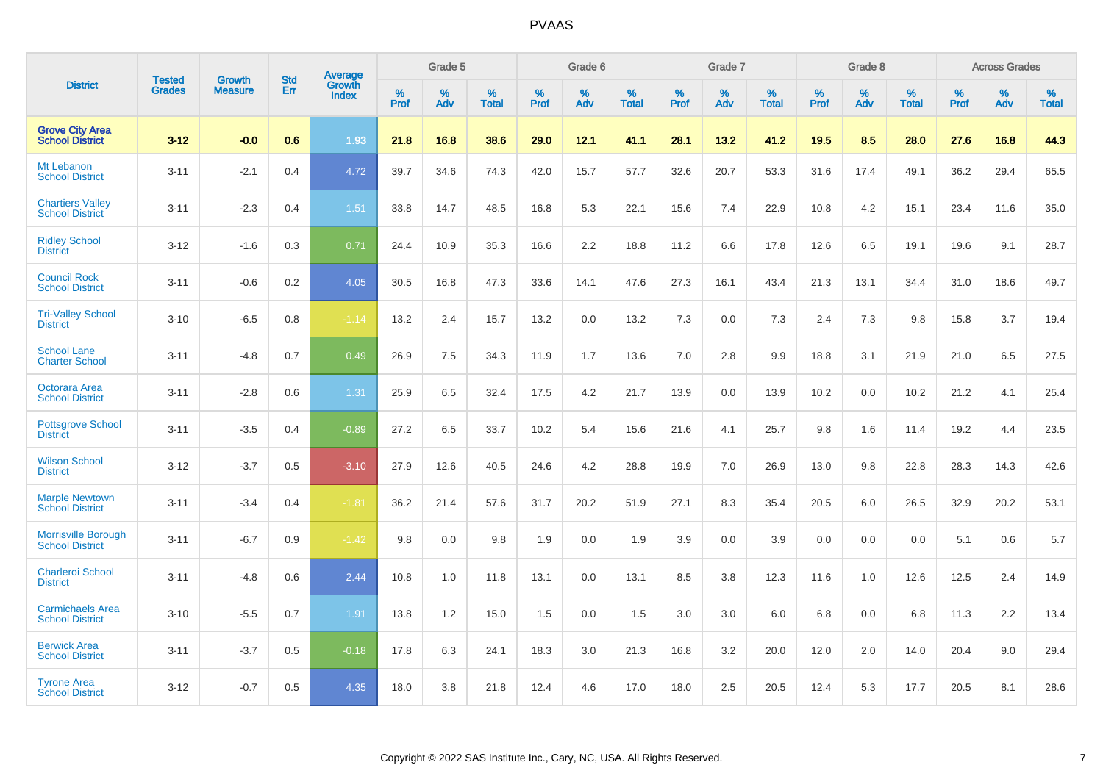|                                                      | <b>Tested</b> | <b>Growth</b>  | <b>Std</b> | Average                |              | Grade 5  |                   |              | Grade 6  |                   |              | Grade 7  |                   |              | Grade 8  |                      |              | <b>Across Grades</b> |                   |
|------------------------------------------------------|---------------|----------------|------------|------------------------|--------------|----------|-------------------|--------------|----------|-------------------|--------------|----------|-------------------|--------------|----------|----------------------|--------------|----------------------|-------------------|
| <b>District</b>                                      | <b>Grades</b> | <b>Measure</b> | Err        | Growth<br><b>Index</b> | $\%$<br>Prof | %<br>Adv | %<br><b>Total</b> | $\%$<br>Prof | %<br>Adv | %<br><b>Total</b> | $\%$<br>Prof | %<br>Adv | %<br><b>Total</b> | $\%$<br>Prof | %<br>Adv | $\%$<br><b>Total</b> | $\%$<br>Prof | %<br>Adv             | %<br><b>Total</b> |
| <b>Grove City Area</b><br><b>School District</b>     | $3 - 12$      | $-0.0$         | 0.6        | 1.93                   | 21.8         | 16.8     | 38.6              | 29.0         | 12.1     | 41.1              | 28.1         | 13.2     | 41.2              | 19.5         | 8.5      | 28.0                 | 27.6         | 16.8                 | 44.3              |
| Mt Lebanon<br><b>School District</b>                 | $3 - 11$      | $-2.1$         | 0.4        | 4.72                   | 39.7         | 34.6     | 74.3              | 42.0         | 15.7     | 57.7              | 32.6         | 20.7     | 53.3              | 31.6         | 17.4     | 49.1                 | 36.2         | 29.4                 | 65.5              |
| <b>Chartiers Valley</b><br><b>School District</b>    | $3 - 11$      | $-2.3$         | 0.4        | 1.51                   | 33.8         | 14.7     | 48.5              | 16.8         | 5.3      | 22.1              | 15.6         | 7.4      | 22.9              | 10.8         | 4.2      | 15.1                 | 23.4         | 11.6                 | 35.0              |
| <b>Ridley School</b><br><b>District</b>              | $3 - 12$      | $-1.6$         | 0.3        | 0.71                   | 24.4         | 10.9     | 35.3              | 16.6         | 2.2      | 18.8              | 11.2         | 6.6      | 17.8              | 12.6         | 6.5      | 19.1                 | 19.6         | 9.1                  | 28.7              |
| <b>Council Rock</b><br><b>School District</b>        | $3 - 11$      | $-0.6$         | 0.2        | 4.05                   | 30.5         | 16.8     | 47.3              | 33.6         | 14.1     | 47.6              | 27.3         | 16.1     | 43.4              | 21.3         | 13.1     | 34.4                 | 31.0         | 18.6                 | 49.7              |
| <b>Tri-Valley School</b><br><b>District</b>          | $3 - 10$      | $-6.5$         | 0.8        | $-1.14$                | 13.2         | 2.4      | 15.7              | 13.2         | 0.0      | 13.2              | 7.3          | 0.0      | 7.3               | 2.4          | 7.3      | 9.8                  | 15.8         | 3.7                  | 19.4              |
| <b>School Lane</b><br><b>Charter School</b>          | $3 - 11$      | $-4.8$         | 0.7        | 0.49                   | 26.9         | 7.5      | 34.3              | 11.9         | 1.7      | 13.6              | 7.0          | 2.8      | 9.9               | 18.8         | 3.1      | 21.9                 | 21.0         | 6.5                  | 27.5              |
| <b>Octorara Area</b><br><b>School District</b>       | $3 - 11$      | $-2.8$         | 0.6        | 1.31                   | 25.9         | 6.5      | 32.4              | 17.5         | 4.2      | 21.7              | 13.9         | 0.0      | 13.9              | 10.2         | 0.0      | 10.2                 | 21.2         | 4.1                  | 25.4              |
| <b>Pottsgrove School</b><br><b>District</b>          | $3 - 11$      | $-3.5$         | 0.4        | $-0.89$                | 27.2         | 6.5      | 33.7              | 10.2         | 5.4      | 15.6              | 21.6         | 4.1      | 25.7              | 9.8          | 1.6      | 11.4                 | 19.2         | 4.4                  | 23.5              |
| <b>Wilson School</b><br><b>District</b>              | $3 - 12$      | $-3.7$         | 0.5        | $-3.10$                | 27.9         | 12.6     | 40.5              | 24.6         | 4.2      | 28.8              | 19.9         | 7.0      | 26.9              | 13.0         | 9.8      | 22.8                 | 28.3         | 14.3                 | 42.6              |
| <b>Marple Newtown</b><br><b>School District</b>      | $3 - 11$      | $-3.4$         | 0.4        | $-1.81$                | 36.2         | 21.4     | 57.6              | 31.7         | 20.2     | 51.9              | 27.1         | 8.3      | 35.4              | 20.5         | 6.0      | 26.5                 | 32.9         | 20.2                 | 53.1              |
| <b>Morrisville Borough</b><br><b>School District</b> | $3 - 11$      | $-6.7$         | 0.9        | $-1.42$                | 9.8          | 0.0      | 9.8               | 1.9          | 0.0      | 1.9               | 3.9          | 0.0      | 3.9               | 0.0          | 0.0      | 0.0                  | 5.1          | 0.6                  | 5.7               |
| <b>Charleroi School</b><br><b>District</b>           | $3 - 11$      | $-4.8$         | 0.6        | 2.44                   | 10.8         | 1.0      | 11.8              | 13.1         | 0.0      | 13.1              | 8.5          | 3.8      | 12.3              | 11.6         | 1.0      | 12.6                 | 12.5         | 2.4                  | 14.9              |
| <b>Carmichaels Area</b><br><b>School District</b>    | $3 - 10$      | $-5.5$         | 0.7        | 1.91                   | 13.8         | 1.2      | 15.0              | 1.5          | 0.0      | 1.5               | 3.0          | 3.0      | 6.0               | 6.8          | 0.0      | 6.8                  | 11.3         | 2.2                  | 13.4              |
| <b>Berwick Area</b><br><b>School District</b>        | $3 - 11$      | $-3.7$         | 0.5        | $-0.18$                | 17.8         | 6.3      | 24.1              | 18.3         | 3.0      | 21.3              | 16.8         | 3.2      | 20.0              | 12.0         | 2.0      | 14.0                 | 20.4         | 9.0                  | 29.4              |
| <b>Tyrone Area</b><br><b>School District</b>         | $3 - 12$      | $-0.7$         | 0.5        | 4.35                   | 18.0         | 3.8      | 21.8              | 12.4         | 4.6      | 17.0              | 18.0         | 2.5      | 20.5              | 12.4         | 5.3      | 17.7                 | 20.5         | 8.1                  | 28.6              |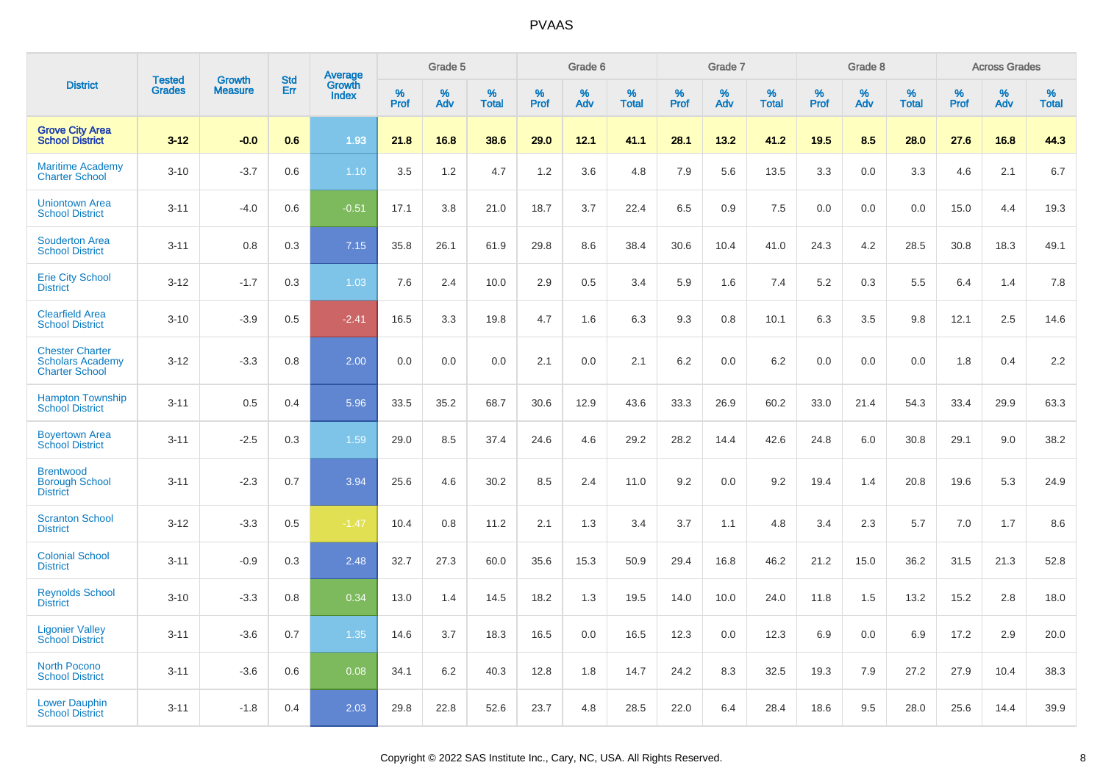|                                                                            | <b>Tested</b> |                                 | <b>Std</b> | Average                |              | Grade 5  |                   |              | Grade 6  |                   |              | Grade 7  |                   |              | Grade 8  |                   |              | <b>Across Grades</b> |                   |
|----------------------------------------------------------------------------|---------------|---------------------------------|------------|------------------------|--------------|----------|-------------------|--------------|----------|-------------------|--------------|----------|-------------------|--------------|----------|-------------------|--------------|----------------------|-------------------|
| <b>District</b>                                                            | <b>Grades</b> | <b>Growth</b><br><b>Measure</b> | Err        | Growth<br><b>Index</b> | $\%$<br>Prof | %<br>Adv | %<br><b>Total</b> | $\%$<br>Prof | %<br>Adv | %<br><b>Total</b> | $\%$<br>Prof | %<br>Adv | %<br><b>Total</b> | $\%$<br>Prof | %<br>Adv | %<br><b>Total</b> | $\%$<br>Prof | %<br>Adv             | %<br><b>Total</b> |
| <b>Grove City Area</b><br><b>School District</b>                           | $3 - 12$      | $-0.0$                          | 0.6        | 1.93                   | 21.8         | 16.8     | 38.6              | 29.0         | 12.1     | 41.1              | 28.1         | 13.2     | 41.2              | 19.5         | 8.5      | 28.0              | 27.6         | 16.8                 | 44.3              |
| <b>Maritime Academy</b><br><b>Charter School</b>                           | $3 - 10$      | $-3.7$                          | 0.6        | 1.10                   | 3.5          | 1.2      | 4.7               | 1.2          | 3.6      | 4.8               | 7.9          | 5.6      | 13.5              | 3.3          | 0.0      | 3.3               | 4.6          | 2.1                  | 6.7               |
| <b>Uniontown Area</b><br><b>School District</b>                            | $3 - 11$      | $-4.0$                          | 0.6        | $-0.51$                | 17.1         | 3.8      | 21.0              | 18.7         | 3.7      | 22.4              | 6.5          | 0.9      | 7.5               | 0.0          | 0.0      | 0.0               | 15.0         | 4.4                  | 19.3              |
| <b>Souderton Area</b><br><b>School District</b>                            | $3 - 11$      | 0.8                             | 0.3        | 7.15                   | 35.8         | 26.1     | 61.9              | 29.8         | 8.6      | 38.4              | 30.6         | 10.4     | 41.0              | 24.3         | 4.2      | 28.5              | 30.8         | 18.3                 | 49.1              |
| <b>Erie City School</b><br><b>District</b>                                 | $3 - 12$      | $-1.7$                          | 0.3        | 1.03                   | 7.6          | 2.4      | 10.0              | 2.9          | 0.5      | 3.4               | 5.9          | 1.6      | 7.4               | 5.2          | 0.3      | 5.5               | 6.4          | 1.4                  | 7.8               |
| <b>Clearfield Area</b><br><b>School District</b>                           | $3 - 10$      | $-3.9$                          | 0.5        | $-2.41$                | 16.5         | 3.3      | 19.8              | 4.7          | 1.6      | 6.3               | 9.3          | 0.8      | 10.1              | 6.3          | 3.5      | 9.8               | 12.1         | 2.5                  | 14.6              |
| <b>Chester Charter</b><br><b>Scholars Academy</b><br><b>Charter School</b> | $3 - 12$      | $-3.3$                          | 0.8        | 2.00                   | 0.0          | 0.0      | 0.0               | 2.1          | 0.0      | 2.1               | 6.2          | 0.0      | 6.2               | 0.0          | 0.0      | 0.0               | 1.8          | 0.4                  | 2.2               |
| <b>Hampton Township</b><br><b>School District</b>                          | $3 - 11$      | 0.5                             | 0.4        | 5.96                   | 33.5         | 35.2     | 68.7              | 30.6         | 12.9     | 43.6              | 33.3         | 26.9     | 60.2              | 33.0         | 21.4     | 54.3              | 33.4         | 29.9                 | 63.3              |
| <b>Boyertown Area</b><br><b>School District</b>                            | $3 - 11$      | $-2.5$                          | 0.3        | 1.59                   | 29.0         | 8.5      | 37.4              | 24.6         | 4.6      | 29.2              | 28.2         | 14.4     | 42.6              | 24.8         | 6.0      | 30.8              | 29.1         | 9.0                  | 38.2              |
| <b>Brentwood</b><br><b>Borough School</b><br><b>District</b>               | $3 - 11$      | $-2.3$                          | 0.7        | 3.94                   | 25.6         | 4.6      | 30.2              | 8.5          | 2.4      | 11.0              | 9.2          | 0.0      | 9.2               | 19.4         | 1.4      | 20.8              | 19.6         | 5.3                  | 24.9              |
| <b>Scranton School</b><br><b>District</b>                                  | $3 - 12$      | $-3.3$                          | 0.5        | $-1.47$                | 10.4         | 0.8      | 11.2              | 2.1          | 1.3      | 3.4               | 3.7          | 1.1      | 4.8               | 3.4          | 2.3      | 5.7               | 7.0          | 1.7                  | 8.6               |
| <b>Colonial School</b><br><b>District</b>                                  | $3 - 11$      | $-0.9$                          | 0.3        | 2.48                   | 32.7         | 27.3     | 60.0              | 35.6         | 15.3     | 50.9              | 29.4         | 16.8     | 46.2              | 21.2         | 15.0     | 36.2              | 31.5         | 21.3                 | 52.8              |
| <b>Reynolds School</b><br><b>District</b>                                  | $3 - 10$      | $-3.3$                          | 0.8        | 0.34                   | 13.0         | 1.4      | 14.5              | 18.2         | 1.3      | 19.5              | 14.0         | 10.0     | 24.0              | 11.8         | 1.5      | 13.2              | 15.2         | 2.8                  | 18.0              |
| <b>Ligonier Valley</b><br><b>School District</b>                           | $3 - 11$      | $-3.6$                          | 0.7        | 1.35                   | 14.6         | 3.7      | 18.3              | 16.5         | 0.0      | 16.5              | 12.3         | 0.0      | 12.3              | 6.9          | 0.0      | 6.9               | 17.2         | 2.9                  | 20.0              |
| <b>North Pocono</b><br><b>School District</b>                              | $3 - 11$      | $-3.6$                          | 0.6        | 0.08                   | 34.1         | 6.2      | 40.3              | 12.8         | 1.8      | 14.7              | 24.2         | 8.3      | 32.5              | 19.3         | 7.9      | 27.2              | 27.9         | 10.4                 | 38.3              |
| <b>Lower Dauphin</b><br><b>School District</b>                             | $3 - 11$      | $-1.8$                          | 0.4        | 2.03                   | 29.8         | 22.8     | 52.6              | 23.7         | 4.8      | 28.5              | 22.0         | 6.4      | 28.4              | 18.6         | 9.5      | 28.0              | 25.6         | 14.4                 | 39.9              |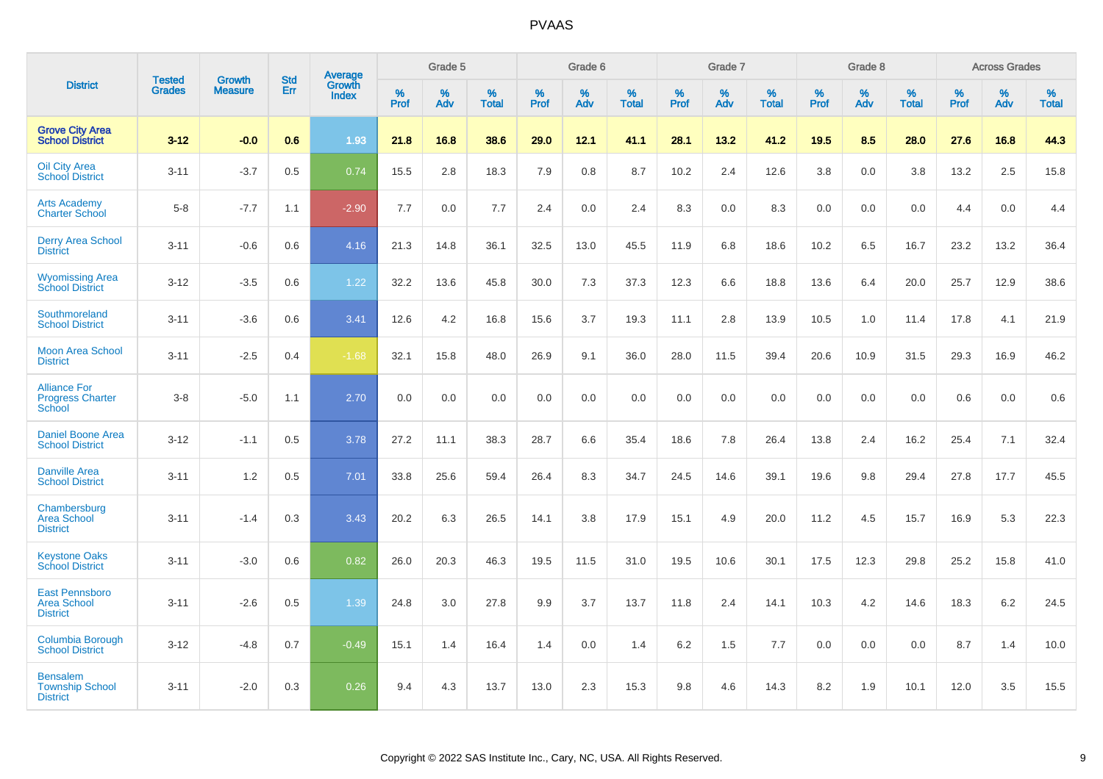|                                                                |                                |                                 | <b>Std</b> | Average                |           | Grade 5  |                   |           | Grade 6  |                   |           | Grade 7  |                      |           | Grade 8  |                   |           | <b>Across Grades</b> |                   |
|----------------------------------------------------------------|--------------------------------|---------------------------------|------------|------------------------|-----------|----------|-------------------|-----------|----------|-------------------|-----------|----------|----------------------|-----------|----------|-------------------|-----------|----------------------|-------------------|
| <b>District</b>                                                | <b>Tested</b><br><b>Grades</b> | <b>Growth</b><br><b>Measure</b> | Err        | Growth<br><b>Index</b> | %<br>Prof | %<br>Adv | %<br><b>Total</b> | %<br>Prof | %<br>Adv | %<br><b>Total</b> | %<br>Prof | %<br>Adv | $\%$<br><b>Total</b> | %<br>Prof | %<br>Adv | %<br><b>Total</b> | %<br>Prof | %<br>Adv             | %<br><b>Total</b> |
| <b>Grove City Area</b><br><b>School District</b>               | $3 - 12$                       | $-0.0$                          | 0.6        | 1.93                   | 21.8      | 16.8     | 38.6              | 29.0      | 12.1     | 41.1              | 28.1      | 13.2     | 41.2                 | 19.5      | 8.5      | 28.0              | 27.6      | 16.8                 | 44.3              |
| <b>Oil City Area</b><br><b>School District</b>                 | $3 - 11$                       | $-3.7$                          | 0.5        | 0.74                   | 15.5      | 2.8      | 18.3              | 7.9       | 0.8      | 8.7               | 10.2      | 2.4      | 12.6                 | 3.8       | 0.0      | 3.8               | 13.2      | 2.5                  | 15.8              |
| <b>Arts Academy</b><br><b>Charter School</b>                   | $5 - 8$                        | $-7.7$                          | 1.1        | $-2.90$                | 7.7       | 0.0      | 7.7               | 2.4       | 0.0      | 2.4               | 8.3       | 0.0      | 8.3                  | 0.0       | 0.0      | 0.0               | 4.4       | 0.0                  | 4.4               |
| <b>Derry Area School</b><br><b>District</b>                    | $3 - 11$                       | $-0.6$                          | 0.6        | 4.16                   | 21.3      | 14.8     | 36.1              | 32.5      | 13.0     | 45.5              | 11.9      | 6.8      | 18.6                 | 10.2      | 6.5      | 16.7              | 23.2      | 13.2                 | 36.4              |
| <b>Wyomissing Area</b><br><b>School District</b>               | $3 - 12$                       | $-3.5$                          | 0.6        | 1.22                   | 32.2      | 13.6     | 45.8              | 30.0      | 7.3      | 37.3              | 12.3      | 6.6      | 18.8                 | 13.6      | 6.4      | 20.0              | 25.7      | 12.9                 | 38.6              |
| Southmoreland<br><b>School District</b>                        | $3 - 11$                       | $-3.6$                          | 0.6        | 3.41                   | 12.6      | 4.2      | 16.8              | 15.6      | 3.7      | 19.3              | 11.1      | 2.8      | 13.9                 | 10.5      | 1.0      | 11.4              | 17.8      | 4.1                  | 21.9              |
| <b>Moon Area School</b><br><b>District</b>                     | $3 - 11$                       | $-2.5$                          | 0.4        | $-1.68$                | 32.1      | 15.8     | 48.0              | 26.9      | 9.1      | 36.0              | 28.0      | 11.5     | 39.4                 | 20.6      | 10.9     | 31.5              | 29.3      | 16.9                 | 46.2              |
| <b>Alliance For</b><br><b>Progress Charter</b><br>School       | $3 - 8$                        | $-5.0$                          | 1.1        | 2.70                   | 0.0       | 0.0      | 0.0               | 0.0       | 0.0      | 0.0               | 0.0       | 0.0      | 0.0                  | 0.0       | 0.0      | 0.0               | 0.6       | 0.0                  | 0.6               |
| <b>Daniel Boone Area</b><br><b>School District</b>             | $3 - 12$                       | $-1.1$                          | 0.5        | 3.78                   | 27.2      | 11.1     | 38.3              | 28.7      | 6.6      | 35.4              | 18.6      | 7.8      | 26.4                 | 13.8      | 2.4      | 16.2              | 25.4      | 7.1                  | 32.4              |
| <b>Danville Area</b><br><b>School District</b>                 | $3 - 11$                       | 1.2                             | 0.5        | 7.01                   | 33.8      | 25.6     | 59.4              | 26.4      | 8.3      | 34.7              | 24.5      | 14.6     | 39.1                 | 19.6      | 9.8      | 29.4              | 27.8      | 17.7                 | 45.5              |
| Chambersburg<br><b>Area School</b><br><b>District</b>          | $3 - 11$                       | $-1.4$                          | 0.3        | 3.43                   | 20.2      | 6.3      | 26.5              | 14.1      | 3.8      | 17.9              | 15.1      | 4.9      | 20.0                 | 11.2      | 4.5      | 15.7              | 16.9      | 5.3                  | 22.3              |
| <b>Keystone Oaks</b><br><b>School District</b>                 | $3 - 11$                       | $-3.0$                          | 0.6        | 0.82                   | 26.0      | 20.3     | 46.3              | 19.5      | 11.5     | 31.0              | 19.5      | 10.6     | 30.1                 | 17.5      | 12.3     | 29.8              | 25.2      | 15.8                 | 41.0              |
| <b>East Pennsboro</b><br><b>Area School</b><br><b>District</b> | $3 - 11$                       | $-2.6$                          | 0.5        | 1.39                   | 24.8      | 3.0      | 27.8              | 9.9       | 3.7      | 13.7              | 11.8      | 2.4      | 14.1                 | 10.3      | 4.2      | 14.6              | 18.3      | $6.2\,$              | 24.5              |
| Columbia Borough<br><b>School District</b>                     | $3 - 12$                       | $-4.8$                          | 0.7        | $-0.49$                | 15.1      | 1.4      | 16.4              | 1.4       | 0.0      | 1.4               | 6.2       | 1.5      | 7.7                  | 0.0       | 0.0      | 0.0               | 8.7       | 1.4                  | 10.0              |
| <b>Bensalem</b><br><b>Township School</b><br><b>District</b>   | $3 - 11$                       | $-2.0$                          | 0.3        | 0.26                   | 9.4       | 4.3      | 13.7              | 13.0      | 2.3      | 15.3              | 9.8       | 4.6      | 14.3                 | 8.2       | 1.9      | 10.1              | 12.0      | 3.5                  | 15.5              |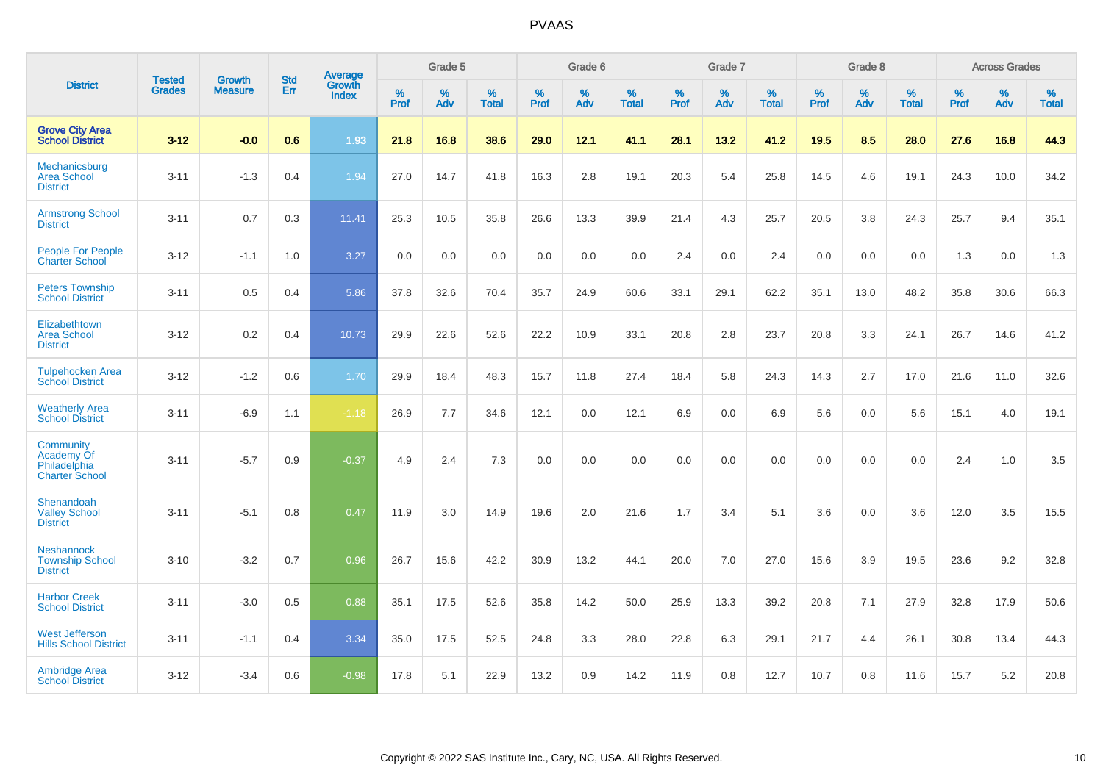|                                                                  |                                |                                 | <b>Std</b> | Average                       |              | Grade 5  |                   |           | Grade 6  |                   |           | Grade 7  |                   |           | Grade 8  |                   |           | <b>Across Grades</b> |                   |
|------------------------------------------------------------------|--------------------------------|---------------------------------|------------|-------------------------------|--------------|----------|-------------------|-----------|----------|-------------------|-----------|----------|-------------------|-----------|----------|-------------------|-----------|----------------------|-------------------|
| <b>District</b>                                                  | <b>Tested</b><br><b>Grades</b> | <b>Growth</b><br><b>Measure</b> | <b>Err</b> | <b>Growth</b><br><b>Index</b> | $\%$<br>Prof | %<br>Adv | %<br><b>Total</b> | %<br>Prof | %<br>Adv | %<br><b>Total</b> | %<br>Prof | %<br>Adv | %<br><b>Total</b> | %<br>Prof | %<br>Adv | %<br><b>Total</b> | %<br>Prof | %<br>Adv             | %<br><b>Total</b> |
| <b>Grove City Area</b><br><b>School District</b>                 | $3 - 12$                       | $-0.0$                          | 0.6        | 1.93                          | 21.8         | 16.8     | 38.6              | 29.0      | 12.1     | 41.1              | 28.1      | 13.2     | 41.2              | 19.5      | 8.5      | 28.0              | 27.6      | 16.8                 | 44.3              |
| Mechanicsburg<br><b>Area School</b><br><b>District</b>           | $3 - 11$                       | $-1.3$                          | 0.4        | 1.94                          | 27.0         | 14.7     | 41.8              | 16.3      | 2.8      | 19.1              | 20.3      | 5.4      | 25.8              | 14.5      | 4.6      | 19.1              | 24.3      | 10.0                 | 34.2              |
| <b>Armstrong School</b><br><b>District</b>                       | $3 - 11$                       | 0.7                             | 0.3        | 11.41                         | 25.3         | 10.5     | 35.8              | 26.6      | 13.3     | 39.9              | 21.4      | 4.3      | 25.7              | 20.5      | 3.8      | 24.3              | 25.7      | 9.4                  | 35.1              |
| <b>People For People</b><br><b>Charter School</b>                | $3 - 12$                       | $-1.1$                          | 1.0        | 3.27                          | 0.0          | 0.0      | 0.0               | 0.0       | 0.0      | 0.0               | 2.4       | 0.0      | 2.4               | 0.0       | 0.0      | 0.0               | 1.3       | 0.0                  | 1.3               |
| <b>Peters Township</b><br><b>School District</b>                 | $3 - 11$                       | 0.5                             | 0.4        | 5.86                          | 37.8         | 32.6     | 70.4              | 35.7      | 24.9     | 60.6              | 33.1      | 29.1     | 62.2              | 35.1      | 13.0     | 48.2              | 35.8      | 30.6                 | 66.3              |
| Elizabethtown<br><b>Area School</b><br><b>District</b>           | $3 - 12$                       | 0.2                             | 0.4        | 10.73                         | 29.9         | 22.6     | 52.6              | 22.2      | 10.9     | 33.1              | 20.8      | 2.8      | 23.7              | 20.8      | 3.3      | 24.1              | 26.7      | 14.6                 | 41.2              |
| <b>Tulpehocken Area</b><br><b>School District</b>                | $3 - 12$                       | $-1.2$                          | 0.6        | 1.70                          | 29.9         | 18.4     | 48.3              | 15.7      | 11.8     | 27.4              | 18.4      | 5.8      | 24.3              | 14.3      | 2.7      | 17.0              | 21.6      | 11.0                 | 32.6              |
| <b>Weatherly Area</b><br><b>School District</b>                  | $3 - 11$                       | $-6.9$                          | 1.1        | $-1.18$                       | 26.9         | 7.7      | 34.6              | 12.1      | 0.0      | 12.1              | 6.9       | $0.0\,$  | 6.9               | 5.6       | 0.0      | 5.6               | 15.1      | 4.0                  | 19.1              |
| Community<br>Academy Of<br>Philadelphia<br><b>Charter School</b> | $3 - 11$                       | $-5.7$                          | 0.9        | $-0.37$                       | 4.9          | 2.4      | 7.3               | 0.0       | 0.0      | 0.0               | 0.0       | 0.0      | 0.0               | 0.0       | 0.0      | 0.0               | 2.4       | 1.0                  | 3.5               |
| Shenandoah<br><b>Valley School</b><br><b>District</b>            | $3 - 11$                       | $-5.1$                          | 0.8        | 0.47                          | 11.9         | 3.0      | 14.9              | 19.6      | 2.0      | 21.6              | 1.7       | 3.4      | 5.1               | 3.6       | 0.0      | 3.6               | 12.0      | 3.5                  | 15.5              |
| <b>Neshannock</b><br><b>Township School</b><br><b>District</b>   | $3 - 10$                       | $-3.2$                          | 0.7        | 0.96                          | 26.7         | 15.6     | 42.2              | 30.9      | 13.2     | 44.1              | 20.0      | 7.0      | 27.0              | 15.6      | 3.9      | 19.5              | 23.6      | 9.2                  | 32.8              |
| <b>Harbor Creek</b><br><b>School District</b>                    | $3 - 11$                       | $-3.0$                          | 0.5        | 0.88                          | 35.1         | 17.5     | 52.6              | 35.8      | 14.2     | 50.0              | 25.9      | 13.3     | 39.2              | 20.8      | 7.1      | 27.9              | 32.8      | 17.9                 | 50.6              |
| <b>West Jefferson</b><br><b>Hills School District</b>            | $3 - 11$                       | $-1.1$                          | 0.4        | 3.34                          | 35.0         | 17.5     | 52.5              | 24.8      | 3.3      | 28.0              | 22.8      | 6.3      | 29.1              | 21.7      | 4.4      | 26.1              | 30.8      | 13.4                 | 44.3              |
| <b>Ambridge Area</b><br><b>School District</b>                   | $3 - 12$                       | $-3.4$                          | 0.6        | $-0.98$                       | 17.8         | 5.1      | 22.9              | 13.2      | 0.9      | 14.2              | 11.9      | 0.8      | 12.7              | 10.7      | 0.8      | 11.6              | 15.7      | 5.2                  | 20.8              |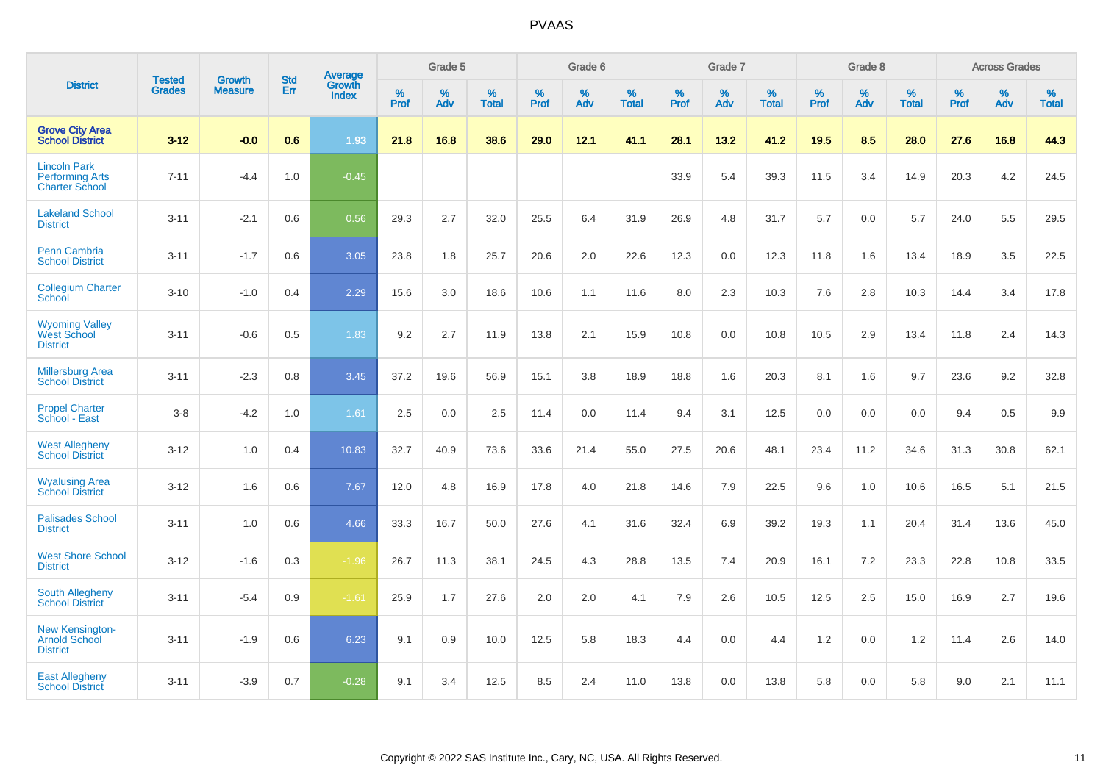|                                                                        | <b>Tested</b> | <b>Growth</b>  | <b>Std</b> | Average                       |           | Grade 5  |                   |           | Grade 6  |                   |           | Grade 7  |                   |           | Grade 8  |                   |           | <b>Across Grades</b> |                   |
|------------------------------------------------------------------------|---------------|----------------|------------|-------------------------------|-----------|----------|-------------------|-----------|----------|-------------------|-----------|----------|-------------------|-----------|----------|-------------------|-----------|----------------------|-------------------|
| <b>District</b>                                                        | <b>Grades</b> | <b>Measure</b> | Err        | <b>Growth</b><br><b>Index</b> | %<br>Prof | %<br>Adv | %<br><b>Total</b> | %<br>Prof | %<br>Adv | %<br><b>Total</b> | %<br>Prof | %<br>Adv | %<br><b>Total</b> | %<br>Prof | %<br>Adv | %<br><b>Total</b> | %<br>Prof | %<br>Adv             | %<br><b>Total</b> |
| <b>Grove City Area</b><br><b>School District</b>                       | $3 - 12$      | $-0.0$         | 0.6        | 1.93                          | 21.8      | 16.8     | 38.6              | 29.0      | 12.1     | 41.1              | 28.1      | 13.2     | 41.2              | 19.5      | 8.5      | 28.0              | 27.6      | 16.8                 | 44.3              |
| <b>Lincoln Park</b><br><b>Performing Arts</b><br><b>Charter School</b> | $7 - 11$      | $-4.4$         | 1.0        | $-0.45$                       |           |          |                   |           |          |                   | 33.9      | 5.4      | 39.3              | 11.5      | 3.4      | 14.9              | 20.3      | 4.2                  | 24.5              |
| <b>Lakeland School</b><br><b>District</b>                              | $3 - 11$      | $-2.1$         | 0.6        | 0.56                          | 29.3      | 2.7      | 32.0              | 25.5      | 6.4      | 31.9              | 26.9      | 4.8      | 31.7              | 5.7       | 0.0      | 5.7               | 24.0      | 5.5                  | 29.5              |
| <b>Penn Cambria</b><br><b>School District</b>                          | $3 - 11$      | $-1.7$         | 0.6        | 3.05                          | 23.8      | 1.8      | 25.7              | 20.6      | 2.0      | 22.6              | 12.3      | 0.0      | 12.3              | 11.8      | 1.6      | 13.4              | 18.9      | 3.5                  | 22.5              |
| <b>Collegium Charter</b><br>School                                     | $3 - 10$      | $-1.0$         | 0.4        | 2.29                          | 15.6      | 3.0      | 18.6              | 10.6      | 1.1      | 11.6              | 8.0       | 2.3      | 10.3              | 7.6       | 2.8      | 10.3              | 14.4      | 3.4                  | 17.8              |
| <b>Wyoming Valley</b><br>West School<br><b>District</b>                | $3 - 11$      | $-0.6$         | 0.5        | 1.83                          | 9.2       | 2.7      | 11.9              | 13.8      | 2.1      | 15.9              | 10.8      | 0.0      | 10.8              | 10.5      | 2.9      | 13.4              | 11.8      | 2.4                  | 14.3              |
| <b>Millersburg Area</b><br><b>School District</b>                      | $3 - 11$      | $-2.3$         | 0.8        | 3.45                          | 37.2      | 19.6     | 56.9              | 15.1      | 3.8      | 18.9              | 18.8      | 1.6      | 20.3              | 8.1       | 1.6      | 9.7               | 23.6      | 9.2                  | 32.8              |
| <b>Propel Charter</b><br>School - East                                 | $3 - 8$       | $-4.2$         | 1.0        | 1.61                          | 2.5       | 0.0      | 2.5               | 11.4      | 0.0      | 11.4              | 9.4       | 3.1      | 12.5              | 0.0       | 0.0      | 0.0               | 9.4       | 0.5                  | 9.9               |
| <b>West Allegheny</b><br><b>School District</b>                        | $3 - 12$      | 1.0            | 0.4        | 10.83                         | 32.7      | 40.9     | 73.6              | 33.6      | 21.4     | 55.0              | 27.5      | 20.6     | 48.1              | 23.4      | 11.2     | 34.6              | 31.3      | 30.8                 | 62.1              |
| <b>Wyalusing Area</b><br><b>School District</b>                        | $3 - 12$      | 1.6            | 0.6        | 7.67                          | 12.0      | 4.8      | 16.9              | 17.8      | 4.0      | 21.8              | 14.6      | 7.9      | 22.5              | 9.6       | 1.0      | 10.6              | 16.5      | 5.1                  | 21.5              |
| <b>Palisades School</b><br><b>District</b>                             | $3 - 11$      | 1.0            | 0.6        | 4.66                          | 33.3      | 16.7     | 50.0              | 27.6      | 4.1      | 31.6              | 32.4      | 6.9      | 39.2              | 19.3      | 1.1      | 20.4              | 31.4      | 13.6                 | 45.0              |
| <b>West Shore School</b><br><b>District</b>                            | $3 - 12$      | $-1.6$         | 0.3        | $-1.96$                       | 26.7      | 11.3     | 38.1              | 24.5      | 4.3      | 28.8              | 13.5      | 7.4      | 20.9              | 16.1      | 7.2      | 23.3              | 22.8      | 10.8                 | 33.5              |
| <b>South Allegheny</b><br><b>School District</b>                       | $3 - 11$      | $-5.4$         | 0.9        | $-1.61$                       | 25.9      | 1.7      | 27.6              | 2.0       | 2.0      | 4.1               | 7.9       | 2.6      | 10.5              | 12.5      | 2.5      | 15.0              | 16.9      | 2.7                  | 19.6              |
| <b>New Kensington-</b><br><b>Arnold School</b><br><b>District</b>      | $3 - 11$      | $-1.9$         | 0.6        | 6.23                          | 9.1       | 0.9      | 10.0              | 12.5      | 5.8      | 18.3              | 4.4       | 0.0      | 4.4               | 1.2       | 0.0      | 1.2               | 11.4      | 2.6                  | 14.0              |
| <b>East Allegheny</b><br><b>School District</b>                        | $3 - 11$      | $-3.9$         | 0.7        | $-0.28$                       | 9.1       | 3.4      | 12.5              | 8.5       | 2.4      | 11.0              | 13.8      | 0.0      | 13.8              | 5.8       | 0.0      | 5.8               | 9.0       | 2.1                  | 11.1              |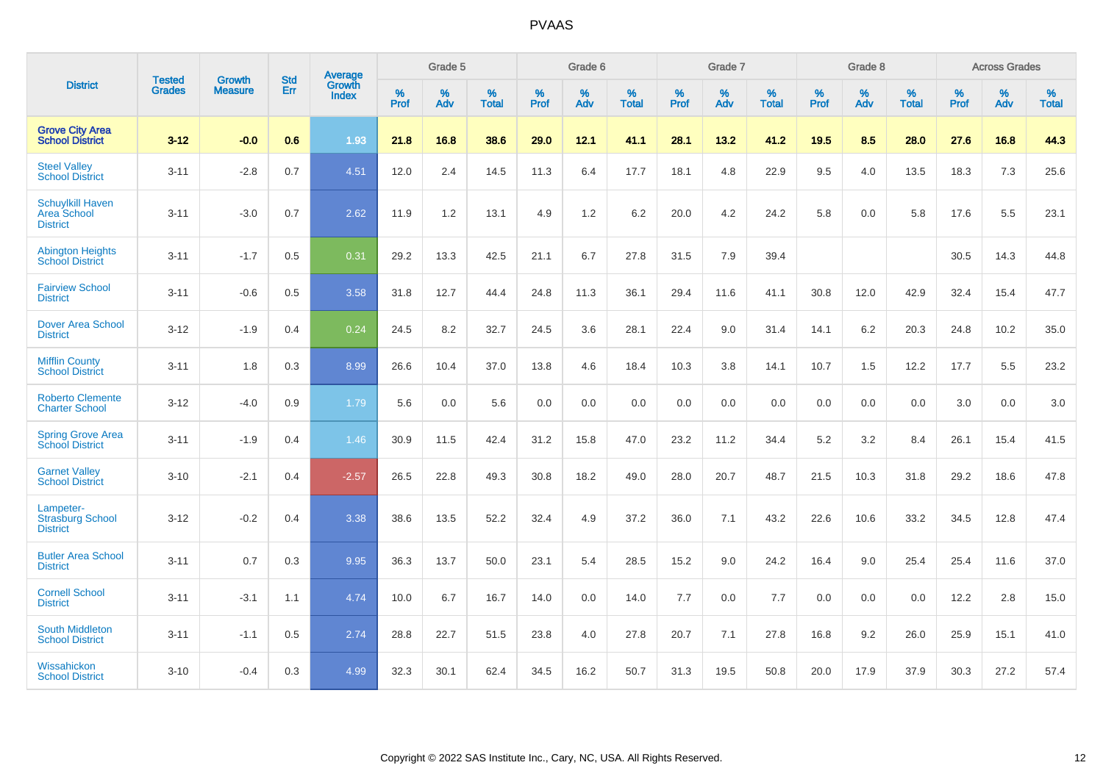|                                                           | <b>Tested</b> | <b>Growth</b>  | <b>Std</b> | Average                |                     | Grade 5  |                   |                     | Grade 6  |                   |              | Grade 7  |                   |                     | Grade 8  |                   |                     | <b>Across Grades</b> |                   |
|-----------------------------------------------------------|---------------|----------------|------------|------------------------|---------------------|----------|-------------------|---------------------|----------|-------------------|--------------|----------|-------------------|---------------------|----------|-------------------|---------------------|----------------------|-------------------|
| <b>District</b>                                           | <b>Grades</b> | <b>Measure</b> | Err        | Growth<br><b>Index</b> | $\%$<br><b>Prof</b> | %<br>Adv | %<br><b>Total</b> | $\%$<br><b>Prof</b> | %<br>Adv | %<br><b>Total</b> | $\%$<br>Prof | %<br>Adv | %<br><b>Total</b> | $\%$<br><b>Prof</b> | %<br>Adv | %<br><b>Total</b> | $\%$<br><b>Prof</b> | %<br>Adv             | %<br><b>Total</b> |
| <b>Grove City Area</b><br><b>School District</b>          | $3 - 12$      | $-0.0$         | 0.6        | 1.93                   | 21.8                | 16.8     | 38.6              | 29.0                | 12.1     | 41.1              | 28.1         | 13.2     | 41.2              | 19.5                | 8.5      | 28.0              | 27.6                | 16.8                 | 44.3              |
| <b>Steel Valley</b><br><b>School District</b>             | $3 - 11$      | $-2.8$         | 0.7        | 4.51                   | 12.0                | 2.4      | 14.5              | 11.3                | 6.4      | 17.7              | 18.1         | 4.8      | 22.9              | 9.5                 | 4.0      | 13.5              | 18.3                | $7.3$                | 25.6              |
| <b>Schuylkill Haven</b><br>Area School<br><b>District</b> | $3 - 11$      | $-3.0$         | 0.7        | 2.62                   | 11.9                | 1.2      | 13.1              | 4.9                 | 1.2      | 6.2               | 20.0         | 4.2      | 24.2              | 5.8                 | 0.0      | 5.8               | 17.6                | 5.5                  | 23.1              |
| <b>Abington Heights</b><br><b>School District</b>         | $3 - 11$      | $-1.7$         | 0.5        | 0.31                   | 29.2                | 13.3     | 42.5              | 21.1                | 6.7      | 27.8              | 31.5         | 7.9      | 39.4              |                     |          |                   | 30.5                | 14.3                 | 44.8              |
| <b>Fairview School</b><br><b>District</b>                 | $3 - 11$      | $-0.6$         | 0.5        | 3.58                   | 31.8                | 12.7     | 44.4              | 24.8                | 11.3     | 36.1              | 29.4         | 11.6     | 41.1              | 30.8                | 12.0     | 42.9              | 32.4                | 15.4                 | 47.7              |
| Dover Area School<br><b>District</b>                      | $3 - 12$      | $-1.9$         | 0.4        | 0.24                   | 24.5                | 8.2      | 32.7              | 24.5                | 3.6      | 28.1              | 22.4         | 9.0      | 31.4              | 14.1                | 6.2      | 20.3              | 24.8                | 10.2                 | 35.0              |
| <b>Mifflin County</b><br><b>School District</b>           | $3 - 11$      | 1.8            | 0.3        | 8.99                   | 26.6                | 10.4     | 37.0              | 13.8                | 4.6      | 18.4              | 10.3         | 3.8      | 14.1              | 10.7                | 1.5      | 12.2              | 17.7                | 5.5                  | 23.2              |
| <b>Roberto Clemente</b><br><b>Charter School</b>          | $3 - 12$      | $-4.0$         | 0.9        | 1.79                   | 5.6                 | 0.0      | 5.6               | 0.0                 | 0.0      | 0.0               | 0.0          | 0.0      | 0.0               | 0.0                 | 0.0      | 0.0               | 3.0                 | 0.0                  | 3.0               |
| <b>Spring Grove Area</b><br><b>School District</b>        | $3 - 11$      | $-1.9$         | 0.4        | 1.46                   | 30.9                | 11.5     | 42.4              | 31.2                | 15.8     | 47.0              | 23.2         | 11.2     | 34.4              | 5.2                 | 3.2      | 8.4               | 26.1                | 15.4                 | 41.5              |
| <b>Garnet Valley</b><br><b>School District</b>            | $3 - 10$      | $-2.1$         | 0.4        | $-2.57$                | 26.5                | 22.8     | 49.3              | 30.8                | 18.2     | 49.0              | 28.0         | 20.7     | 48.7              | 21.5                | 10.3     | 31.8              | 29.2                | 18.6                 | 47.8              |
| Lampeter-<br><b>Strasburg School</b><br><b>District</b>   | $3 - 12$      | $-0.2$         | 0.4        | 3.38                   | 38.6                | 13.5     | 52.2              | 32.4                | 4.9      | 37.2              | 36.0         | 7.1      | 43.2              | 22.6                | 10.6     | 33.2              | 34.5                | 12.8                 | 47.4              |
| <b>Butler Area School</b><br><b>District</b>              | $3 - 11$      | 0.7            | 0.3        | 9.95                   | 36.3                | 13.7     | 50.0              | 23.1                | 5.4      | 28.5              | 15.2         | 9.0      | 24.2              | 16.4                | 9.0      | 25.4              | 25.4                | 11.6                 | 37.0              |
| <b>Cornell School</b><br><b>District</b>                  | $3 - 11$      | $-3.1$         | 1.1        | 4.74                   | 10.0                | 6.7      | 16.7              | 14.0                | 0.0      | 14.0              | $7.7$        | 0.0      | 7.7               | 0.0                 | 0.0      | 0.0               | 12.2                | 2.8                  | 15.0              |
| <b>South Middleton</b><br><b>School District</b>          | $3 - 11$      | $-1.1$         | 0.5        | 2.74                   | 28.8                | 22.7     | 51.5              | 23.8                | 4.0      | 27.8              | 20.7         | 7.1      | 27.8              | 16.8                | 9.2      | 26.0              | 25.9                | 15.1                 | 41.0              |
| Wissahickon<br><b>School District</b>                     | $3 - 10$      | $-0.4$         | 0.3        | 4.99                   | 32.3                | 30.1     | 62.4              | 34.5                | 16.2     | 50.7              | 31.3         | 19.5     | 50.8              | 20.0                | 17.9     | 37.9              | 30.3                | 27.2                 | 57.4              |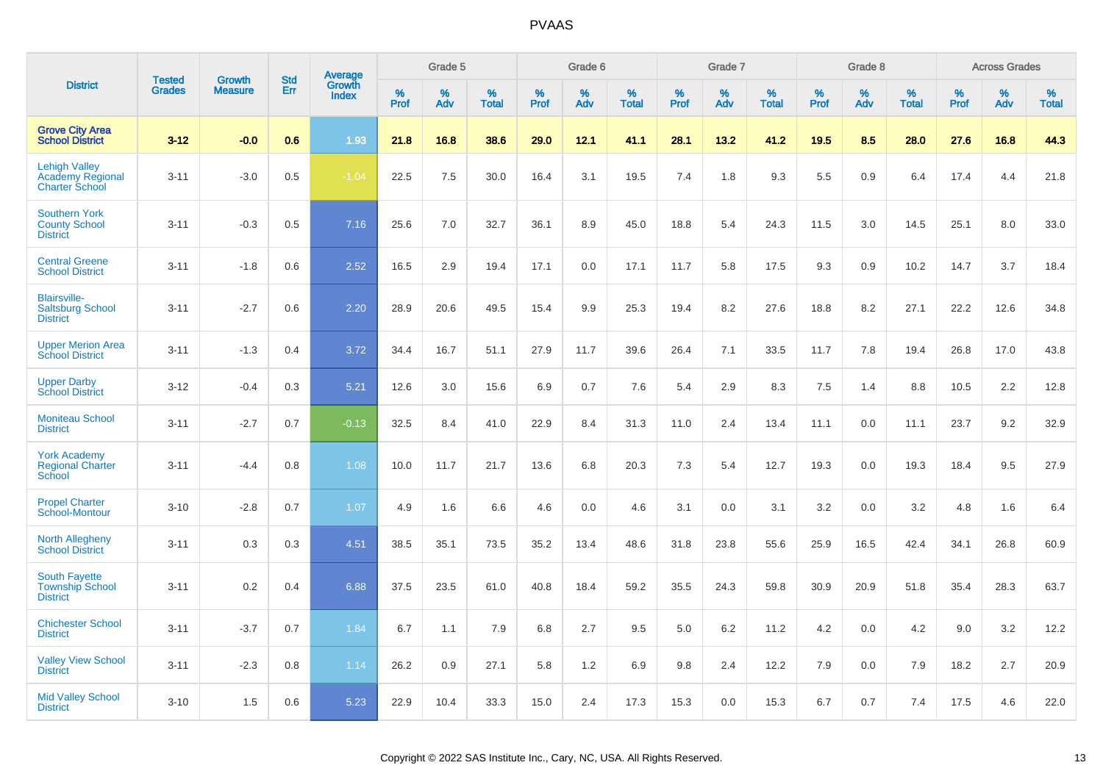|                                                                   |                                |                                 | <b>Std</b> |                                          |                  | Grade 5  |                   |           | Grade 6  |                   |           | Grade 7  |                   |           | Grade 8  |                   |              | <b>Across Grades</b> |                   |
|-------------------------------------------------------------------|--------------------------------|---------------------------------|------------|------------------------------------------|------------------|----------|-------------------|-----------|----------|-------------------|-----------|----------|-------------------|-----------|----------|-------------------|--------------|----------------------|-------------------|
| <b>District</b>                                                   | <b>Tested</b><br><b>Grades</b> | <b>Growth</b><br><b>Measure</b> | Err        | <b>Average</b><br>Growth<br><b>Index</b> | %<br><b>Prof</b> | %<br>Adv | %<br><b>Total</b> | %<br>Prof | %<br>Adv | %<br><b>Total</b> | %<br>Prof | %<br>Adv | %<br><b>Total</b> | %<br>Prof | %<br>Adv | %<br><b>Total</b> | $\%$<br>Prof | %<br>Adv             | %<br><b>Total</b> |
| <b>Grove City Area</b><br><b>School District</b>                  | $3 - 12$                       | $-0.0$                          | 0.6        | 1.93                                     | 21.8             | 16.8     | 38.6              | 29.0      | 12.1     | 41.1              | 28.1      | 13.2     | 41.2              | 19.5      | 8.5      | 28.0              | 27.6         | 16.8                 | 44.3              |
| <b>Lehigh Valley</b><br>Academy Regional<br><b>Charter School</b> | $3 - 11$                       | $-3.0$                          | 0.5        | $-1.04$                                  | 22.5             | 7.5      | 30.0              | 16.4      | 3.1      | 19.5              | 7.4       | 1.8      | 9.3               | 5.5       | 0.9      | 6.4               | 17.4         | 4.4                  | 21.8              |
| <b>Southern York</b><br><b>County School</b><br><b>District</b>   | $3 - 11$                       | $-0.3$                          | 0.5        | 7.16                                     | 25.6             | 7.0      | 32.7              | 36.1      | 8.9      | 45.0              | 18.8      | 5.4      | 24.3              | 11.5      | 3.0      | 14.5              | 25.1         | 8.0                  | 33.0              |
| <b>Central Greene</b><br><b>School District</b>                   | $3 - 11$                       | $-1.8$                          | 0.6        | 2.52                                     | 16.5             | 2.9      | 19.4              | 17.1      | 0.0      | 17.1              | 11.7      | 5.8      | 17.5              | 9.3       | 0.9      | 10.2              | 14.7         | 3.7                  | 18.4              |
| <b>Blairsville-</b><br><b>Saltsburg School</b><br><b>District</b> | $3 - 11$                       | $-2.7$                          | 0.6        | 2.20                                     | 28.9             | 20.6     | 49.5              | 15.4      | 9.9      | 25.3              | 19.4      | 8.2      | 27.6              | 18.8      | 8.2      | 27.1              | 22.2         | 12.6                 | 34.8              |
| <b>Upper Merion Area</b><br><b>School District</b>                | $3 - 11$                       | $-1.3$                          | 0.4        | 3.72                                     | 34.4             | 16.7     | 51.1              | 27.9      | 11.7     | 39.6              | 26.4      | 7.1      | 33.5              | 11.7      | 7.8      | 19.4              | 26.8         | 17.0                 | 43.8              |
| <b>Upper Darby</b><br><b>School District</b>                      | $3 - 12$                       | $-0.4$                          | 0.3        | 5.21                                     | 12.6             | 3.0      | 15.6              | 6.9       | 0.7      | 7.6               | 5.4       | 2.9      | 8.3               | 7.5       | 1.4      | 8.8               | 10.5         | 2.2                  | 12.8              |
| <b>Moniteau School</b><br><b>District</b>                         | $3 - 11$                       | $-2.7$                          | 0.7        | $-0.13$                                  | 32.5             | 8.4      | 41.0              | 22.9      | 8.4      | 31.3              | 11.0      | 2.4      | 13.4              | 11.1      | 0.0      | 11.1              | 23.7         | 9.2                  | 32.9              |
| <b>York Academy</b><br><b>Regional Charter</b><br>School          | $3 - 11$                       | $-4.4$                          | 0.8        | 1.08                                     | 10.0             | 11.7     | 21.7              | 13.6      | 6.8      | 20.3              | 7.3       | 5.4      | 12.7              | 19.3      | 0.0      | 19.3              | 18.4         | 9.5                  | 27.9              |
| <b>Propel Charter</b><br>School-Montour                           | $3 - 10$                       | $-2.8$                          | 0.7        | 1.07                                     | 4.9              | 1.6      | 6.6               | 4.6       | 0.0      | 4.6               | 3.1       | 0.0      | 3.1               | 3.2       | 0.0      | 3.2               | 4.8          | 1.6                  | 6.4               |
| <b>North Allegheny</b><br><b>School District</b>                  | $3 - 11$                       | 0.3                             | 0.3        | 4.51                                     | 38.5             | 35.1     | 73.5              | 35.2      | 13.4     | 48.6              | 31.8      | 23.8     | 55.6              | 25.9      | 16.5     | 42.4              | 34.1         | 26.8                 | 60.9              |
| <b>South Fayette</b><br><b>Township School</b><br><b>District</b> | $3 - 11$                       | 0.2                             | 0.4        | 6.88                                     | 37.5             | 23.5     | 61.0              | 40.8      | 18.4     | 59.2              | 35.5      | 24.3     | 59.8              | 30.9      | 20.9     | 51.8              | 35.4         | 28.3                 | 63.7              |
| <b>Chichester School</b><br><b>District</b>                       | $3 - 11$                       | $-3.7$                          | 0.7        | 1.84                                     | 6.7              | 1.1      | 7.9               | 6.8       | 2.7      | 9.5               | 5.0       | 6.2      | 11.2              | 4.2       | 0.0      | 4.2               | 9.0          | 3.2                  | 12.2              |
| <b>Valley View School</b><br><b>District</b>                      | $3 - 11$                       | $-2.3$                          | 0.8        | 1.14                                     | 26.2             | 0.9      | 27.1              | 5.8       | 1.2      | 6.9               | 9.8       | 2.4      | 12.2              | 7.9       | 0.0      | 7.9               | 18.2         | 2.7                  | 20.9              |
| <b>Mid Valley School</b><br><b>District</b>                       | $3 - 10$                       | 1.5                             | 0.6        | 5.23                                     | 22.9             | 10.4     | 33.3              | 15.0      | 2.4      | 17.3              | 15.3      | 0.0      | 15.3              | 6.7       | 0.7      | 7.4               | 17.5         | 4.6                  | 22.0              |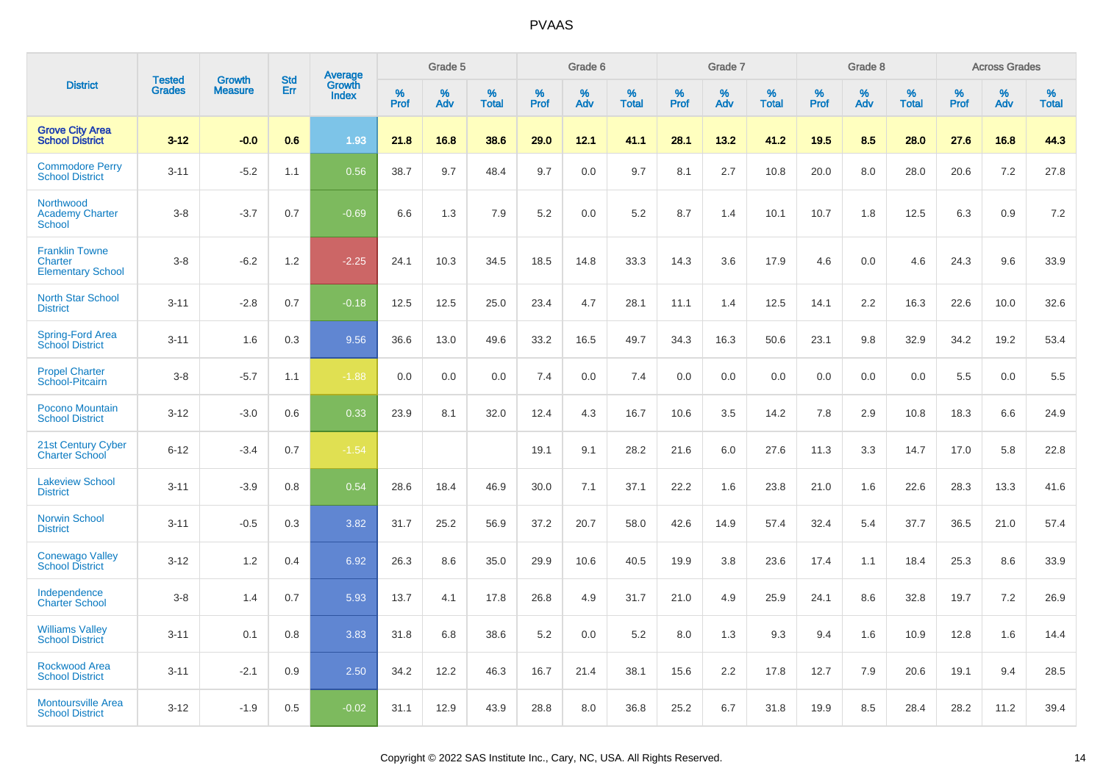|                                                              | <b>Tested</b> |                                 | <b>Std</b> |                                          |              | Grade 5  |                   |              | Grade 6  |                   |              | Grade 7  |                   |              | Grade 8  |                   |              | <b>Across Grades</b> |                   |
|--------------------------------------------------------------|---------------|---------------------------------|------------|------------------------------------------|--------------|----------|-------------------|--------------|----------|-------------------|--------------|----------|-------------------|--------------|----------|-------------------|--------------|----------------------|-------------------|
| <b>District</b>                                              | <b>Grades</b> | <b>Growth</b><br><b>Measure</b> | Err        | <b>Average</b><br>Growth<br><b>Index</b> | $\%$<br>Prof | %<br>Adv | %<br><b>Total</b> | $\%$<br>Prof | %<br>Adv | %<br><b>Total</b> | $\%$<br>Prof | %<br>Adv | %<br><b>Total</b> | $\%$<br>Prof | %<br>Adv | %<br><b>Total</b> | $\%$<br>Prof | %<br>Adv             | %<br><b>Total</b> |
| <b>Grove City Area</b><br><b>School District</b>             | $3 - 12$      | $-0.0$                          | 0.6        | 1.93                                     | 21.8         | 16.8     | 38.6              | 29.0         | 12.1     | 41.1              | 28.1         | 13.2     | 41.2              | 19.5         | 8.5      | 28.0              | 27.6         | 16.8                 | 44.3              |
| <b>Commodore Perry</b><br><b>School District</b>             | $3 - 11$      | $-5.2$                          | 1.1        | 0.56                                     | 38.7         | 9.7      | 48.4              | 9.7          | 0.0      | 9.7               | 8.1          | 2.7      | 10.8              | 20.0         | 8.0      | 28.0              | 20.6         | 7.2                  | 27.8              |
| Northwood<br><b>Academy Charter</b><br><b>School</b>         | $3 - 8$       | $-3.7$                          | 0.7        | $-0.69$                                  | 6.6          | 1.3      | 7.9               | 5.2          | 0.0      | 5.2               | 8.7          | 1.4      | 10.1              | 10.7         | 1.8      | 12.5              | 6.3          | 0.9                  | 7.2               |
| <b>Franklin Towne</b><br>Charter<br><b>Elementary School</b> | $3 - 8$       | $-6.2$                          | 1.2        | $-2.25$                                  | 24.1         | 10.3     | 34.5              | 18.5         | 14.8     | 33.3              | 14.3         | 3.6      | 17.9              | 4.6          | 0.0      | 4.6               | 24.3         | 9.6                  | 33.9              |
| <b>North Star School</b><br><b>District</b>                  | $3 - 11$      | $-2.8$                          | 0.7        | $-0.18$                                  | 12.5         | 12.5     | 25.0              | 23.4         | 4.7      | 28.1              | 11.1         | 1.4      | 12.5              | 14.1         | 2.2      | 16.3              | 22.6         | 10.0                 | 32.6              |
| Spring-Ford Area<br><b>School District</b>                   | $3 - 11$      | 1.6                             | 0.3        | 9.56                                     | 36.6         | 13.0     | 49.6              | 33.2         | 16.5     | 49.7              | 34.3         | 16.3     | 50.6              | 23.1         | 9.8      | 32.9              | 34.2         | 19.2                 | 53.4              |
| <b>Propel Charter</b><br>School-Pitcairn                     | $3 - 8$       | $-5.7$                          | 1.1        | $-1.88$                                  | 0.0          | 0.0      | 0.0               | 7.4          | 0.0      | 7.4               | 0.0          | 0.0      | 0.0               | 0.0          | 0.0      | 0.0               | 5.5          | 0.0                  | 5.5               |
| Pocono Mountain<br><b>School District</b>                    | $3 - 12$      | $-3.0$                          | 0.6        | 0.33                                     | 23.9         | 8.1      | 32.0              | 12.4         | 4.3      | 16.7              | 10.6         | 3.5      | 14.2              | 7.8          | 2.9      | 10.8              | 18.3         | 6.6                  | 24.9              |
| 21st Century Cyber<br><b>Charter School</b>                  | $6 - 12$      | $-3.4$                          | 0.7        | $-1.54$                                  |              |          |                   | 19.1         | 9.1      | 28.2              | 21.6         | 6.0      | 27.6              | 11.3         | 3.3      | 14.7              | 17.0         | 5.8                  | 22.8              |
| <b>Lakeview School</b><br><b>District</b>                    | $3 - 11$      | $-3.9$                          | 0.8        | 0.54                                     | 28.6         | 18.4     | 46.9              | 30.0         | 7.1      | 37.1              | 22.2         | 1.6      | 23.8              | 21.0         | 1.6      | 22.6              | 28.3         | 13.3                 | 41.6              |
| <b>Norwin School</b><br><b>District</b>                      | $3 - 11$      | $-0.5$                          | 0.3        | 3.82                                     | 31.7         | 25.2     | 56.9              | 37.2         | 20.7     | 58.0              | 42.6         | 14.9     | 57.4              | 32.4         | 5.4      | 37.7              | 36.5         | 21.0                 | 57.4              |
| <b>Conewago Valley</b><br><b>School District</b>             | $3 - 12$      | 1.2                             | 0.4        | 6.92                                     | 26.3         | 8.6      | 35.0              | 29.9         | 10.6     | 40.5              | 19.9         | 3.8      | 23.6              | 17.4         | 1.1      | 18.4              | 25.3         | 8.6                  | 33.9              |
| Independence<br><b>Charter School</b>                        | $3 - 8$       | 1.4                             | 0.7        | 5.93                                     | 13.7         | 4.1      | 17.8              | 26.8         | 4.9      | 31.7              | 21.0         | 4.9      | 25.9              | 24.1         | 8.6      | 32.8              | 19.7         | 7.2                  | 26.9              |
| <b>Williams Valley</b><br><b>School District</b>             | $3 - 11$      | 0.1                             | 0.8        | 3.83                                     | 31.8         | 6.8      | 38.6              | 5.2          | 0.0      | 5.2               | 8.0          | 1.3      | 9.3               | 9.4          | 1.6      | 10.9              | 12.8         | 1.6                  | 14.4              |
| <b>Rockwood Area</b><br><b>School District</b>               | $3 - 11$      | $-2.1$                          | 0.9        | 2.50                                     | 34.2         | 12.2     | 46.3              | 16.7         | 21.4     | 38.1              | 15.6         | 2.2      | 17.8              | 12.7         | 7.9      | 20.6              | 19.1         | 9.4                  | 28.5              |
| <b>Montoursville Area</b><br><b>School District</b>          | $3 - 12$      | $-1.9$                          | 0.5        | $-0.02$                                  | 31.1         | 12.9     | 43.9              | 28.8         | 8.0      | 36.8              | 25.2         | 6.7      | 31.8              | 19.9         | 8.5      | 28.4              | 28.2         | 11.2                 | 39.4              |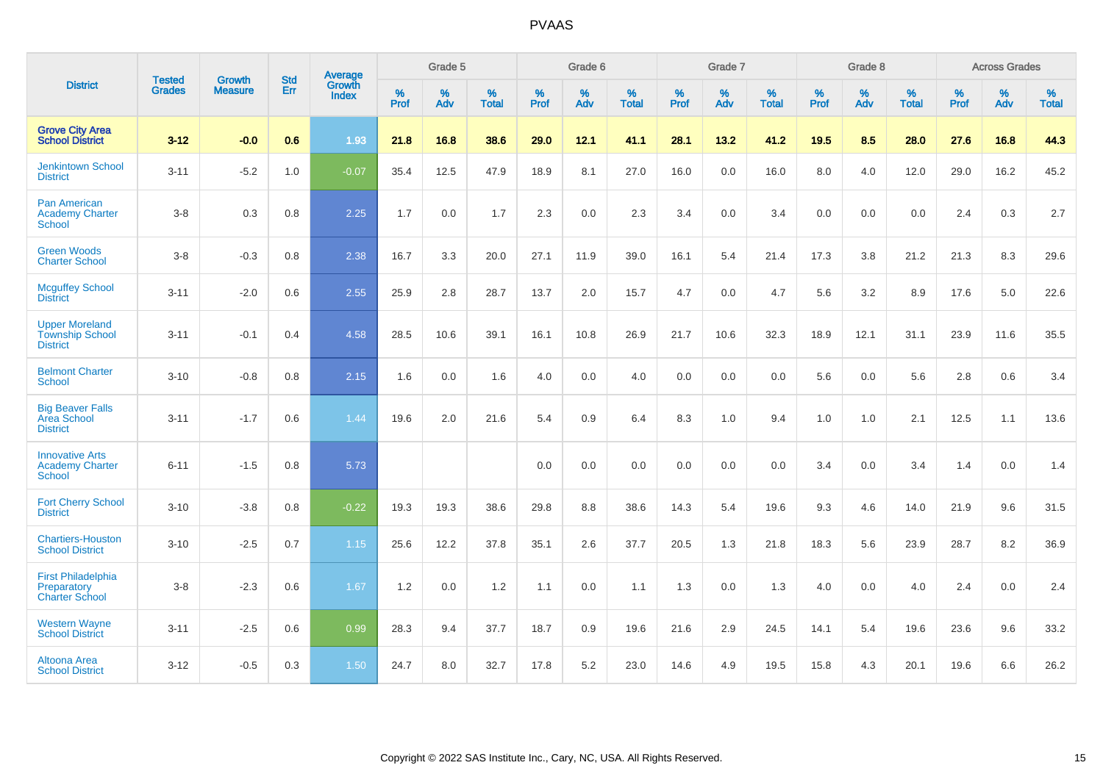|                                                                    |                                |                                 | <b>Std</b> | Average                |                     | Grade 5  |                   |              | Grade 6  |                   |                     | Grade 7  |                   |                     | Grade 8  |                   |              | <b>Across Grades</b> |                   |
|--------------------------------------------------------------------|--------------------------------|---------------------------------|------------|------------------------|---------------------|----------|-------------------|--------------|----------|-------------------|---------------------|----------|-------------------|---------------------|----------|-------------------|--------------|----------------------|-------------------|
| <b>District</b>                                                    | <b>Tested</b><br><b>Grades</b> | <b>Growth</b><br><b>Measure</b> | Err        | Growth<br><b>Index</b> | $\%$<br><b>Prof</b> | %<br>Adv | %<br><b>Total</b> | $\%$<br>Prof | %<br>Adv | %<br><b>Total</b> | $\%$<br><b>Prof</b> | %<br>Adv | %<br><b>Total</b> | $\%$<br><b>Prof</b> | %<br>Adv | %<br><b>Total</b> | $\%$<br>Prof | %<br>Adv             | %<br><b>Total</b> |
| <b>Grove City Area</b><br><b>School District</b>                   | $3 - 12$                       | $-0.0$                          | 0.6        | 1.93                   | 21.8                | 16.8     | 38.6              | 29.0         | 12.1     | 41.1              | 28.1                | 13.2     | 41.2              | 19.5                | 8.5      | 28.0              | 27.6         | 16.8                 | 44.3              |
| <b>Jenkintown School</b><br><b>District</b>                        | $3 - 11$                       | $-5.2$                          | 1.0        | $-0.07$                | 35.4                | 12.5     | 47.9              | 18.9         | 8.1      | 27.0              | 16.0                | 0.0      | 16.0              | 8.0                 | 4.0      | 12.0              | 29.0         | 16.2                 | 45.2              |
| Pan American<br><b>Academy Charter</b><br><b>School</b>            | $3-8$                          | 0.3                             | 0.8        | 2.25                   | 1.7                 | 0.0      | 1.7               | 2.3          | 0.0      | 2.3               | 3.4                 | 0.0      | 3.4               | 0.0                 | 0.0      | 0.0               | 2.4          | 0.3                  | 2.7               |
| <b>Green Woods</b><br><b>Charter School</b>                        | $3-8$                          | $-0.3$                          | 0.8        | 2.38                   | 16.7                | 3.3      | 20.0              | 27.1         | 11.9     | 39.0              | 16.1                | 5.4      | 21.4              | 17.3                | 3.8      | 21.2              | 21.3         | 8.3                  | 29.6              |
| <b>Mcguffey School</b><br><b>District</b>                          | $3 - 11$                       | $-2.0$                          | 0.6        | 2.55                   | 25.9                | 2.8      | 28.7              | 13.7         | 2.0      | 15.7              | 4.7                 | 0.0      | 4.7               | 5.6                 | 3.2      | 8.9               | 17.6         | 5.0                  | 22.6              |
| <b>Upper Moreland</b><br><b>Township School</b><br><b>District</b> | $3 - 11$                       | $-0.1$                          | 0.4        | 4.58                   | 28.5                | 10.6     | 39.1              | 16.1         | 10.8     | 26.9              | 21.7                | 10.6     | 32.3              | 18.9                | 12.1     | 31.1              | 23.9         | 11.6                 | 35.5              |
| <b>Belmont Charter</b><br>School                                   | $3 - 10$                       | $-0.8$                          | 0.8        | 2.15                   | 1.6                 | 0.0      | 1.6               | 4.0          | 0.0      | 4.0               | 0.0                 | 0.0      | 0.0               | 5.6                 | 0.0      | 5.6               | 2.8          | 0.6                  | 3.4               |
| <b>Big Beaver Falls</b><br>Area School<br><b>District</b>          | $3 - 11$                       | $-1.7$                          | 0.6        | 1.44                   | 19.6                | 2.0      | 21.6              | 5.4          | 0.9      | 6.4               | 8.3                 | 1.0      | 9.4               | 1.0                 | 1.0      | 2.1               | 12.5         | 1.1                  | 13.6              |
| <b>Innovative Arts</b><br><b>Academy Charter</b><br><b>School</b>  | $6 - 11$                       | $-1.5$                          | 0.8        | 5.73                   |                     |          |                   | 0.0          | 0.0      | 0.0               | 0.0                 | 0.0      | 0.0               | 3.4                 | 0.0      | 3.4               | 1.4          | 0.0                  | 1.4               |
| <b>Fort Cherry School</b><br><b>District</b>                       | $3 - 10$                       | $-3.8$                          | 0.8        | $-0.22$                | 19.3                | 19.3     | 38.6              | 29.8         | 8.8      | 38.6              | 14.3                | 5.4      | 19.6              | 9.3                 | 4.6      | 14.0              | 21.9         | 9.6                  | 31.5              |
| <b>Chartiers-Houston</b><br><b>School District</b>                 | $3 - 10$                       | $-2.5$                          | 0.7        | 1.15                   | 25.6                | 12.2     | 37.8              | 35.1         | 2.6      | 37.7              | 20.5                | 1.3      | 21.8              | 18.3                | 5.6      | 23.9              | 28.7         | 8.2                  | 36.9              |
| <b>First Philadelphia</b><br>Preparatory<br><b>Charter School</b>  | $3 - 8$                        | $-2.3$                          | 0.6        | 1.67                   | 1.2                 | 0.0      | 1.2               | 1.1          | 0.0      | 1.1               | 1.3                 | 0.0      | 1.3               | 4.0                 | 0.0      | 4.0               | 2.4          | 0.0                  | 2.4               |
| <b>Western Wayne</b><br><b>School District</b>                     | $3 - 11$                       | $-2.5$                          | 0.6        | 0.99                   | 28.3                | 9.4      | 37.7              | 18.7         | 0.9      | 19.6              | 21.6                | 2.9      | 24.5              | 14.1                | 5.4      | 19.6              | 23.6         | 9.6                  | 33.2              |
| Altoona Area<br><b>School District</b>                             | $3 - 12$                       | $-0.5$                          | 0.3        | 1.50                   | 24.7                | 8.0      | 32.7              | 17.8         | 5.2      | 23.0              | 14.6                | 4.9      | 19.5              | 15.8                | 4.3      | 20.1              | 19.6         | 6.6                  | 26.2              |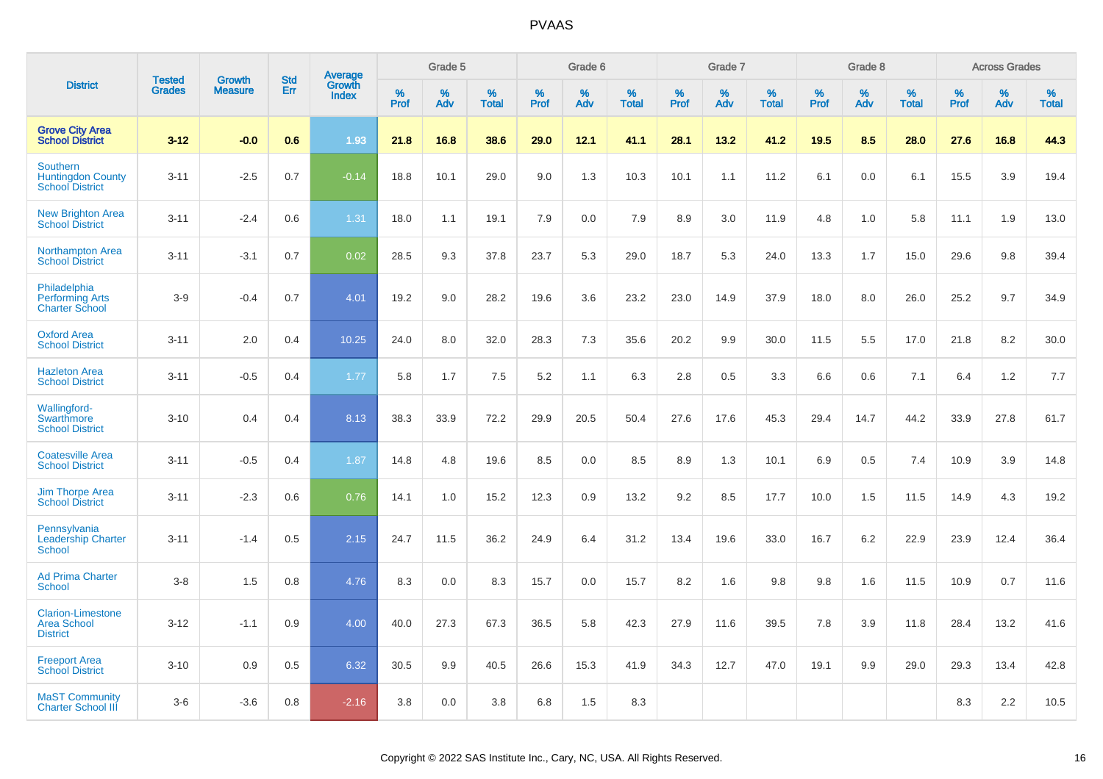|                                                                       | <b>Tested</b> | <b>Growth</b>  | <b>Std</b> | Average                       |           | Grade 5  |                   |           | Grade 6  |                   |           | Grade 7  |                   |           | Grade 8  |                   |                  | <b>Across Grades</b> |                   |
|-----------------------------------------------------------------------|---------------|----------------|------------|-------------------------------|-----------|----------|-------------------|-----------|----------|-------------------|-----------|----------|-------------------|-----------|----------|-------------------|------------------|----------------------|-------------------|
| <b>District</b>                                                       | <b>Grades</b> | <b>Measure</b> | Err        | <b>Growth</b><br><b>Index</b> | %<br>Prof | %<br>Adv | %<br><b>Total</b> | %<br>Prof | %<br>Adv | %<br><b>Total</b> | %<br>Prof | %<br>Adv | %<br><b>Total</b> | %<br>Prof | %<br>Adv | %<br><b>Total</b> | %<br><b>Prof</b> | %<br>Adv             | %<br><b>Total</b> |
| <b>Grove City Area</b><br><b>School District</b>                      | $3 - 12$      | $-0.0$         | 0.6        | 1.93                          | 21.8      | 16.8     | 38.6              | 29.0      | 12.1     | 41.1              | 28.1      | 13.2     | 41.2              | 19.5      | 8.5      | 28.0              | 27.6             | 16.8                 | 44.3              |
| <b>Southern</b><br><b>Huntingdon County</b><br><b>School District</b> | $3 - 11$      | $-2.5$         | 0.7        | $-0.14$                       | 18.8      | 10.1     | 29.0              | 9.0       | 1.3      | 10.3              | 10.1      | 1.1      | 11.2              | 6.1       | 0.0      | 6.1               | 15.5             | 3.9                  | 19.4              |
| <b>New Brighton Area</b><br><b>School District</b>                    | $3 - 11$      | $-2.4$         | 0.6        | 1.31                          | 18.0      | 1.1      | 19.1              | 7.9       | 0.0      | 7.9               | 8.9       | 3.0      | 11.9              | 4.8       | 1.0      | 5.8               | 11.1             | 1.9                  | 13.0              |
| <b>Northampton Area</b><br><b>School District</b>                     | $3 - 11$      | $-3.1$         | 0.7        | 0.02                          | 28.5      | 9.3      | 37.8              | 23.7      | 5.3      | 29.0              | 18.7      | 5.3      | 24.0              | 13.3      | 1.7      | 15.0              | 29.6             | 9.8                  | 39.4              |
| Philadelphia<br><b>Performing Arts</b><br><b>Charter School</b>       | $3-9$         | $-0.4$         | 0.7        | 4.01                          | 19.2      | 9.0      | 28.2              | 19.6      | 3.6      | 23.2              | 23.0      | 14.9     | 37.9              | 18.0      | 8.0      | 26.0              | 25.2             | 9.7                  | 34.9              |
| <b>Oxford Area</b><br><b>School District</b>                          | $3 - 11$      | 2.0            | 0.4        | 10.25                         | 24.0      | 8.0      | 32.0              | 28.3      | 7.3      | 35.6              | 20.2      | 9.9      | 30.0              | 11.5      | 5.5      | 17.0              | 21.8             | 8.2                  | 30.0              |
| <b>Hazleton Area</b><br><b>School District</b>                        | $3 - 11$      | $-0.5$         | 0.4        | 1.77                          | 5.8       | 1.7      | 7.5               | 5.2       | 1.1      | 6.3               | 2.8       | 0.5      | 3.3               | 6.6       | 0.6      | 7.1               | 6.4              | 1.2                  | 7.7               |
| Wallingford-<br>Swarthmore<br><b>School District</b>                  | $3 - 10$      | 0.4            | 0.4        | 8.13                          | 38.3      | 33.9     | 72.2              | 29.9      | 20.5     | 50.4              | 27.6      | 17.6     | 45.3              | 29.4      | 14.7     | 44.2              | 33.9             | 27.8                 | 61.7              |
| <b>Coatesville Area</b><br><b>School District</b>                     | $3 - 11$      | $-0.5$         | 0.4        | 1.87                          | 14.8      | 4.8      | 19.6              | 8.5       | 0.0      | 8.5               | 8.9       | 1.3      | 10.1              | 6.9       | 0.5      | 7.4               | 10.9             | 3.9                  | 14.8              |
| <b>Jim Thorpe Area</b><br><b>School District</b>                      | $3 - 11$      | $-2.3$         | 0.6        | 0.76                          | 14.1      | 1.0      | 15.2              | 12.3      | 0.9      | 13.2              | 9.2       | 8.5      | 17.7              | 10.0      | 1.5      | 11.5              | 14.9             | 4.3                  | 19.2              |
| Pennsylvania<br><b>Leadership Charter</b><br>School                   | $3 - 11$      | $-1.4$         | 0.5        | 2.15                          | 24.7      | 11.5     | 36.2              | 24.9      | 6.4      | 31.2              | 13.4      | 19.6     | 33.0              | 16.7      | 6.2      | 22.9              | 23.9             | 12.4                 | 36.4              |
| <b>Ad Prima Charter</b><br><b>School</b>                              | $3 - 8$       | 1.5            | 0.8        | 4.76                          | 8.3       | 0.0      | 8.3               | 15.7      | 0.0      | 15.7              | 8.2       | 1.6      | 9.8               | 9.8       | 1.6      | 11.5              | 10.9             | 0.7                  | 11.6              |
| <b>Clarion-Limestone</b><br><b>Area School</b><br><b>District</b>     | $3 - 12$      | $-1.1$         | 0.9        | 4.00                          | 40.0      | 27.3     | 67.3              | 36.5      | 5.8      | 42.3              | 27.9      | 11.6     | 39.5              | 7.8       | 3.9      | 11.8              | 28.4             | 13.2                 | 41.6              |
| <b>Freeport Area</b><br><b>School District</b>                        | $3 - 10$      | 0.9            | 0.5        | 6.32                          | 30.5      | 9.9      | 40.5              | 26.6      | 15.3     | 41.9              | 34.3      | 12.7     | 47.0              | 19.1      | 9.9      | 29.0              | 29.3             | 13.4                 | 42.8              |
| <b>MaST Community</b><br><b>Charter School III</b>                    | $3-6$         | $-3.6$         | 0.8        | $-2.16$                       | 3.8       | 0.0      | 3.8               | 6.8       | 1.5      | 8.3               |           |          |                   |           |          |                   | 8.3              | 2.2                  | 10.5              |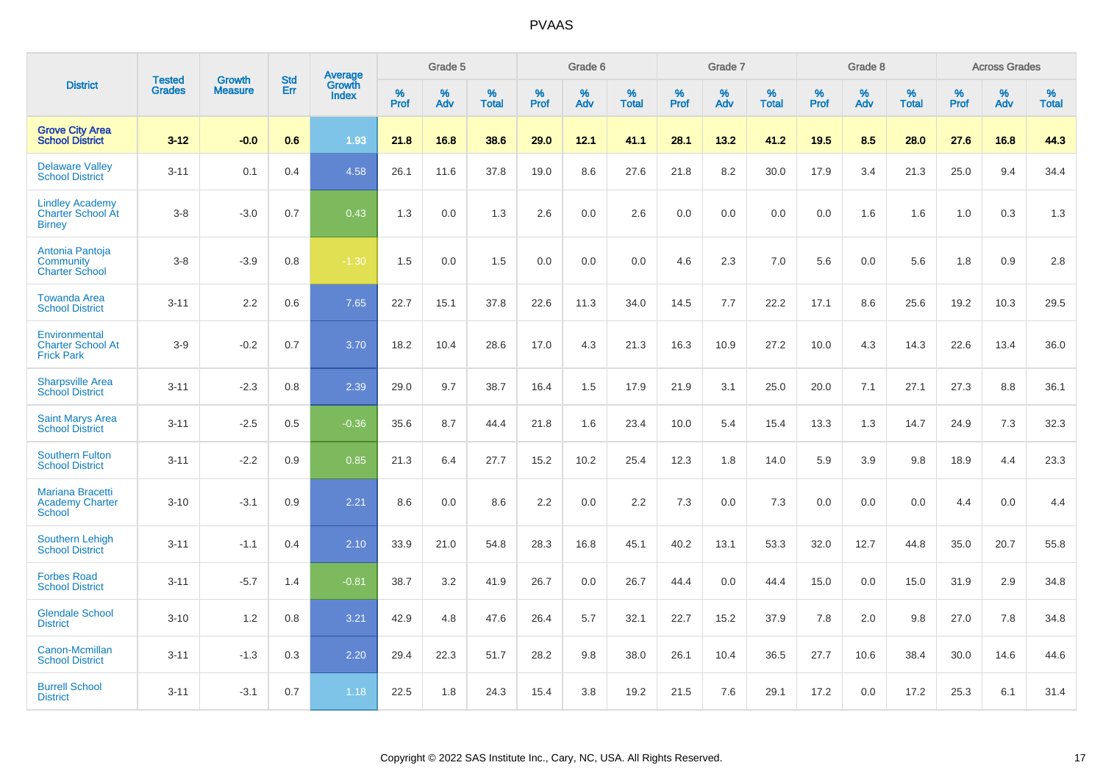|                                                                     |                                | <b>Growth</b>  | <b>Std</b> |                                          |              | Grade 5  |                   |           | Grade 6  |                   |              | Grade 7  |                   |              | Grade 8  |                   |              | <b>Across Grades</b> |                   |
|---------------------------------------------------------------------|--------------------------------|----------------|------------|------------------------------------------|--------------|----------|-------------------|-----------|----------|-------------------|--------------|----------|-------------------|--------------|----------|-------------------|--------------|----------------------|-------------------|
| <b>District</b>                                                     | <b>Tested</b><br><b>Grades</b> | <b>Measure</b> | <b>Err</b> | <b>Average</b><br>Growth<br><b>Index</b> | $\%$<br>Prof | %<br>Adv | %<br><b>Total</b> | %<br>Prof | %<br>Adv | %<br><b>Total</b> | $\%$<br>Prof | %<br>Adv | %<br><b>Total</b> | $\%$<br>Prof | %<br>Adv | %<br><b>Total</b> | $\%$<br>Prof | %<br>Adv             | %<br><b>Total</b> |
| <b>Grove City Area</b><br><b>School District</b>                    | $3 - 12$                       | $-0.0$         | 0.6        | 1.93                                     | 21.8         | 16.8     | 38.6              | 29.0      | 12.1     | 41.1              | 28.1         | 13.2     | 41.2              | 19.5         | 8.5      | 28.0              | 27.6         | 16.8                 | 44.3              |
| <b>Delaware Valley</b><br><b>School District</b>                    | $3 - 11$                       | 0.1            | 0.4        | 4.58                                     | 26.1         | 11.6     | 37.8              | 19.0      | 8.6      | 27.6              | 21.8         | 8.2      | 30.0              | 17.9         | 3.4      | 21.3              | 25.0         | 9.4                  | 34.4              |
| <b>Lindley Academy</b><br><b>Charter School At</b><br><b>Birney</b> | $3 - 8$                        | $-3.0$         | 0.7        | 0.43                                     | 1.3          | 0.0      | 1.3               | 2.6       | 0.0      | 2.6               | 0.0          | 0.0      | 0.0               | 0.0          | 1.6      | 1.6               | 1.0          | 0.3                  | 1.3               |
| Antonia Pantoja<br>Community<br><b>Charter School</b>               | $3 - 8$                        | $-3.9$         | 0.8        | $-1.30$                                  | 1.5          | 0.0      | 1.5               | 0.0       | 0.0      | 0.0               | 4.6          | 2.3      | 7.0               | 5.6          | 0.0      | 5.6               | 1.8          | 0.9                  | 2.8               |
| <b>Towanda Area</b><br><b>School District</b>                       | $3 - 11$                       | 2.2            | 0.6        | 7.65                                     | 22.7         | 15.1     | 37.8              | 22.6      | 11.3     | 34.0              | 14.5         | 7.7      | 22.2              | 17.1         | 8.6      | 25.6              | 19.2         | 10.3                 | 29.5              |
| Environmental<br><b>Charter School At</b><br><b>Frick Park</b>      | $3-9$                          | $-0.2$         | 0.7        | 3.70                                     | 18.2         | 10.4     | 28.6              | 17.0      | 4.3      | 21.3              | 16.3         | 10.9     | 27.2              | 10.0         | 4.3      | 14.3              | 22.6         | 13.4                 | 36.0              |
| <b>Sharpsville Area</b><br><b>School District</b>                   | $3 - 11$                       | $-2.3$         | 0.8        | 2.39                                     | 29.0         | 9.7      | 38.7              | 16.4      | 1.5      | 17.9              | 21.9         | 3.1      | 25.0              | 20.0         | 7.1      | 27.1              | 27.3         | 8.8                  | 36.1              |
| <b>Saint Marys Area</b><br><b>School District</b>                   | $3 - 11$                       | $-2.5$         | 0.5        | $-0.36$                                  | 35.6         | 8.7      | 44.4              | 21.8      | 1.6      | 23.4              | 10.0         | 5.4      | 15.4              | 13.3         | 1.3      | 14.7              | 24.9         | 7.3                  | 32.3              |
| <b>Southern Fulton</b><br><b>School District</b>                    | $3 - 11$                       | $-2.2$         | 0.9        | 0.85                                     | 21.3         | 6.4      | 27.7              | 15.2      | 10.2     | 25.4              | 12.3         | 1.8      | 14.0              | 5.9          | 3.9      | 9.8               | 18.9         | 4.4                  | 23.3              |
| <b>Mariana Bracetti</b><br><b>Academy Charter</b><br><b>School</b>  | $3 - 10$                       | $-3.1$         | 0.9        | 2.21                                     | 8.6          | 0.0      | 8.6               | 2.2       | 0.0      | 2.2               | 7.3          | 0.0      | 7.3               | 0.0          | 0.0      | 0.0               | 4.4          | 0.0                  | 4.4               |
| <b>Southern Lehigh</b><br><b>School District</b>                    | $3 - 11$                       | $-1.1$         | 0.4        | 2.10                                     | 33.9         | 21.0     | 54.8              | 28.3      | 16.8     | 45.1              | 40.2         | 13.1     | 53.3              | 32.0         | 12.7     | 44.8              | 35.0         | 20.7                 | 55.8              |
| <b>Forbes Road</b><br><b>School District</b>                        | $3 - 11$                       | $-5.7$         | 1.4        | $-0.81$                                  | 38.7         | 3.2      | 41.9              | 26.7      | 0.0      | 26.7              | 44.4         | 0.0      | 44.4              | 15.0         | 0.0      | 15.0              | 31.9         | 2.9                  | 34.8              |
| <b>Glendale School</b><br><b>District</b>                           | $3 - 10$                       | 1.2            | 0.8        | 3.21                                     | 42.9         | 4.8      | 47.6              | 26.4      | 5.7      | 32.1              | 22.7         | 15.2     | 37.9              | 7.8          | 2.0      | 9.8               | 27.0         | 7.8                  | 34.8              |
| Canon-Mcmillan<br><b>School District</b>                            | $3 - 11$                       | $-1.3$         | 0.3        | 2.20                                     | 29.4         | 22.3     | 51.7              | 28.2      | 9.8      | 38.0              | 26.1         | 10.4     | 36.5              | 27.7         | 10.6     | 38.4              | 30.0         | 14.6                 | 44.6              |
| <b>Burrell School</b><br><b>District</b>                            | $3 - 11$                       | $-3.1$         | 0.7        | 1.18                                     | 22.5         | 1.8      | 24.3              | 15.4      | 3.8      | 19.2              | 21.5         | 7.6      | 29.1              | 17.2         | 0.0      | 17.2              | 25.3         | 6.1                  | 31.4              |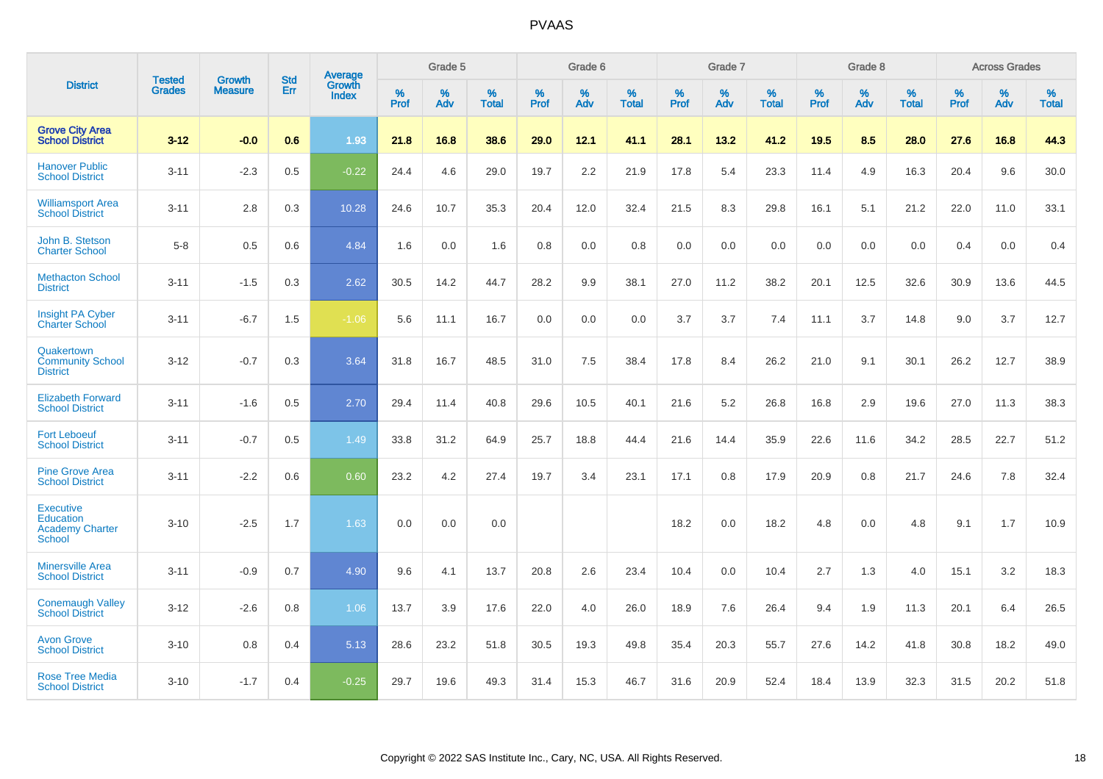|                                                                          |                                |                                 | <b>Std</b> | Average                       |           | Grade 5  |                   |           | Grade 6  |                   |           | Grade 7  |                   |           | Grade 8  |                   |           | <b>Across Grades</b> |                   |
|--------------------------------------------------------------------------|--------------------------------|---------------------------------|------------|-------------------------------|-----------|----------|-------------------|-----------|----------|-------------------|-----------|----------|-------------------|-----------|----------|-------------------|-----------|----------------------|-------------------|
| <b>District</b>                                                          | <b>Tested</b><br><b>Grades</b> | <b>Growth</b><br><b>Measure</b> | Err        | <b>Growth</b><br><b>Index</b> | %<br>Prof | %<br>Adv | %<br><b>Total</b> | %<br>Prof | %<br>Adv | %<br><b>Total</b> | %<br>Prof | %<br>Adv | %<br><b>Total</b> | %<br>Prof | %<br>Adv | %<br><b>Total</b> | %<br>Prof | %<br>Adv             | %<br><b>Total</b> |
| <b>Grove City Area</b><br><b>School District</b>                         | $3 - 12$                       | $-0.0$                          | 0.6        | 1.93                          | 21.8      | 16.8     | 38.6              | 29.0      | 12.1     | 41.1              | 28.1      | 13.2     | 41.2              | 19.5      | 8.5      | 28.0              | 27.6      | 16.8                 | 44.3              |
| <b>Hanover Public</b><br><b>School District</b>                          | $3 - 11$                       | $-2.3$                          | 0.5        | $-0.22$                       | 24.4      | 4.6      | 29.0              | 19.7      | 2.2      | 21.9              | 17.8      | 5.4      | 23.3              | 11.4      | 4.9      | 16.3              | 20.4      | 9.6                  | 30.0              |
| <b>Williamsport Area</b><br><b>School District</b>                       | $3 - 11$                       | 2.8                             | 0.3        | 10.28                         | 24.6      | 10.7     | 35.3              | 20.4      | 12.0     | 32.4              | 21.5      | 8.3      | 29.8              | 16.1      | 5.1      | 21.2              | 22.0      | 11.0                 | 33.1              |
| John B. Stetson<br><b>Charter School</b>                                 | $5 - 8$                        | 0.5                             | 0.6        | 4.84                          | 1.6       | 0.0      | 1.6               | 0.8       | 0.0      | 0.8               | 0.0       | 0.0      | 0.0               | 0.0       | 0.0      | 0.0               | 0.4       | 0.0                  | 0.4               |
| <b>Methacton School</b><br><b>District</b>                               | $3 - 11$                       | $-1.5$                          | 0.3        | 2.62                          | 30.5      | 14.2     | 44.7              | 28.2      | 9.9      | 38.1              | 27.0      | 11.2     | 38.2              | 20.1      | 12.5     | 32.6              | 30.9      | 13.6                 | 44.5              |
| <b>Insight PA Cyber</b><br><b>Charter School</b>                         | $3 - 11$                       | $-6.7$                          | 1.5        | $-1.06$                       | 5.6       | 11.1     | 16.7              | 0.0       | 0.0      | 0.0               | 3.7       | 3.7      | 7.4               | 11.1      | 3.7      | 14.8              | 9.0       | 3.7                  | 12.7              |
| Quakertown<br><b>Community School</b><br><b>District</b>                 | $3 - 12$                       | $-0.7$                          | 0.3        | 3.64                          | 31.8      | 16.7     | 48.5              | 31.0      | 7.5      | 38.4              | 17.8      | 8.4      | 26.2              | 21.0      | 9.1      | 30.1              | 26.2      | 12.7                 | 38.9              |
| <b>Elizabeth Forward</b><br><b>School District</b>                       | $3 - 11$                       | $-1.6$                          | 0.5        | 2.70                          | 29.4      | 11.4     | 40.8              | 29.6      | 10.5     | 40.1              | 21.6      | 5.2      | 26.8              | 16.8      | 2.9      | 19.6              | 27.0      | 11.3                 | 38.3              |
| <b>Fort Leboeuf</b><br><b>School District</b>                            | $3 - 11$                       | $-0.7$                          | 0.5        | 1.49                          | 33.8      | 31.2     | 64.9              | 25.7      | 18.8     | 44.4              | 21.6      | 14.4     | 35.9              | 22.6      | 11.6     | 34.2              | 28.5      | 22.7                 | 51.2              |
| <b>Pine Grove Area</b><br><b>School District</b>                         | $3 - 11$                       | $-2.2$                          | 0.6        | 0.60                          | 23.2      | 4.2      | 27.4              | 19.7      | 3.4      | 23.1              | 17.1      | 0.8      | 17.9              | 20.9      | 0.8      | 21.7              | 24.6      | 7.8                  | 32.4              |
| <b>Executive</b><br>Education<br><b>Academy Charter</b><br><b>School</b> | $3 - 10$                       | $-2.5$                          | 1.7        | 1.63                          | 0.0       | 0.0      | 0.0               |           |          |                   | 18.2      | 0.0      | 18.2              | 4.8       | 0.0      | 4.8               | 9.1       | 1.7                  | 10.9              |
| <b>Minersville Area</b><br><b>School District</b>                        | $3 - 11$                       | $-0.9$                          | 0.7        | 4.90                          | 9.6       | 4.1      | 13.7              | 20.8      | 2.6      | 23.4              | 10.4      | 0.0      | 10.4              | 2.7       | 1.3      | 4.0               | 15.1      | 3.2                  | 18.3              |
| <b>Conemaugh Valley</b><br><b>School District</b>                        | $3 - 12$                       | $-2.6$                          | 0.8        | 1.06                          | 13.7      | 3.9      | 17.6              | 22.0      | 4.0      | 26.0              | 18.9      | 7.6      | 26.4              | 9.4       | 1.9      | 11.3              | 20.1      | 6.4                  | 26.5              |
| <b>Avon Grove</b><br><b>School District</b>                              | $3 - 10$                       | 0.8                             | 0.4        | 5.13                          | 28.6      | 23.2     | 51.8              | 30.5      | 19.3     | 49.8              | 35.4      | 20.3     | 55.7              | 27.6      | 14.2     | 41.8              | 30.8      | 18.2                 | 49.0              |
| <b>Rose Tree Media</b><br><b>School District</b>                         | $3 - 10$                       | $-1.7$                          | 0.4        | $-0.25$                       | 29.7      | 19.6     | 49.3              | 31.4      | 15.3     | 46.7              | 31.6      | 20.9     | 52.4              | 18.4      | 13.9     | 32.3              | 31.5      | 20.2                 | 51.8              |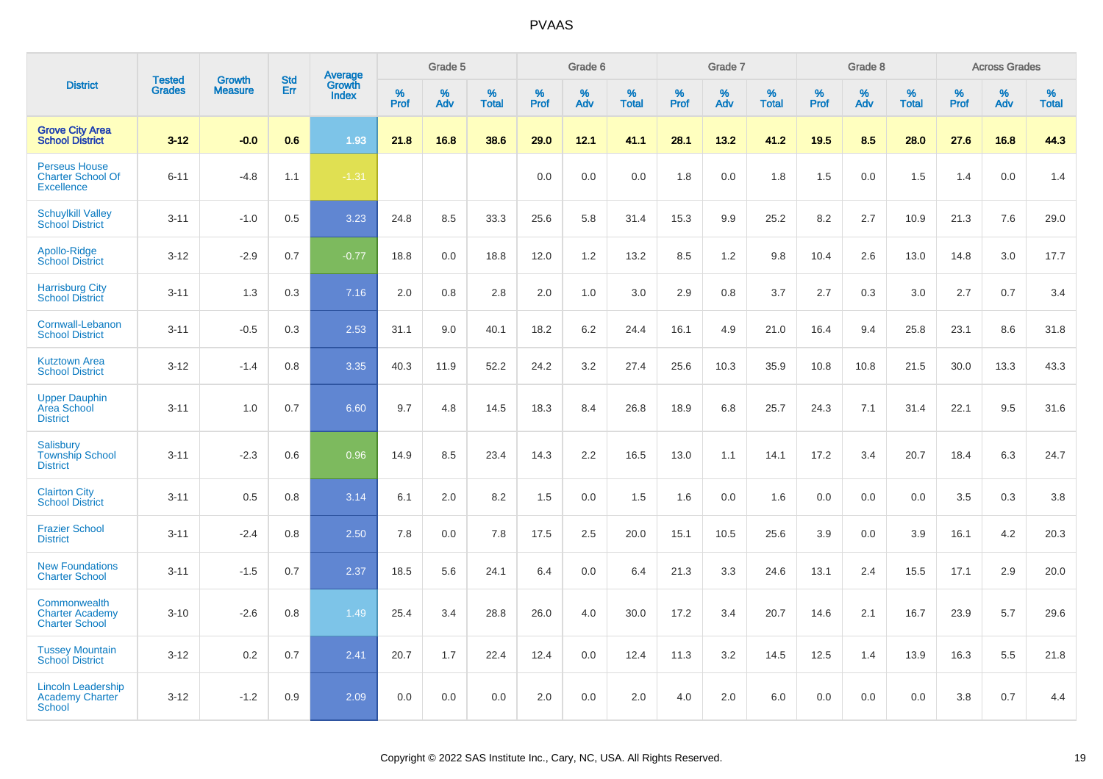|                                                                       |                                |                                 | <b>Std</b> | <b>Average</b>         |                     | Grade 5     |                   |                  | Grade 6  |                   |                  | Grade 7  |                   |           | Grade 8  |                   |              | <b>Across Grades</b> |                   |
|-----------------------------------------------------------------------|--------------------------------|---------------------------------|------------|------------------------|---------------------|-------------|-------------------|------------------|----------|-------------------|------------------|----------|-------------------|-----------|----------|-------------------|--------------|----------------------|-------------------|
| <b>District</b>                                                       | <b>Tested</b><br><b>Grades</b> | <b>Growth</b><br><b>Measure</b> | Err        | Growth<br><b>Index</b> | $\%$<br><b>Prof</b> | $\%$<br>Adv | %<br><b>Total</b> | %<br><b>Prof</b> | %<br>Adv | %<br><b>Total</b> | %<br><b>Prof</b> | %<br>Adv | %<br><b>Total</b> | %<br>Prof | %<br>Adv | %<br><b>Total</b> | $\%$<br>Prof | %<br>Adv             | %<br><b>Total</b> |
| <b>Grove City Area</b><br><b>School District</b>                      | $3 - 12$                       | $-0.0$                          | 0.6        | 1.93                   | 21.8                | 16.8        | 38.6              | 29.0             | 12.1     | 41.1              | 28.1             | 13.2     | 41.2              | 19.5      | 8.5      | 28.0              | 27.6         | 16.8                 | 44.3              |
| <b>Perseus House</b><br><b>Charter School Of</b><br><b>Excellence</b> | $6 - 11$                       | $-4.8$                          | 1.1        | $-1.31$                |                     |             |                   | 0.0              | 0.0      | 0.0               | 1.8              | 0.0      | 1.8               | 1.5       | 0.0      | 1.5               | 1.4          | 0.0                  | 1.4               |
| <b>Schuylkill Valley</b><br><b>School District</b>                    | $3 - 11$                       | $-1.0$                          | 0.5        | 3.23                   | 24.8                | 8.5         | 33.3              | 25.6             | 5.8      | 31.4              | 15.3             | 9.9      | 25.2              | 8.2       | 2.7      | 10.9              | 21.3         | 7.6                  | 29.0              |
| Apollo-Ridge<br><b>School District</b>                                | $3-12$                         | $-2.9$                          | 0.7        | $-0.77$                | 18.8                | 0.0         | 18.8              | 12.0             | 1.2      | 13.2              | 8.5              | 1.2      | 9.8               | 10.4      | 2.6      | 13.0              | 14.8         | 3.0                  | 17.7              |
| <b>Harrisburg City</b><br><b>School District</b>                      | $3 - 11$                       | 1.3                             | 0.3        | 7.16                   | 2.0                 | 0.8         | 2.8               | 2.0              | 1.0      | 3.0               | 2.9              | 0.8      | 3.7               | 2.7       | 0.3      | 3.0               | 2.7          | 0.7                  | 3.4               |
| Cornwall-Lebanon<br><b>School District</b>                            | $3 - 11$                       | $-0.5$                          | 0.3        | 2.53                   | 31.1                | 9.0         | 40.1              | 18.2             | 6.2      | 24.4              | 16.1             | 4.9      | 21.0              | 16.4      | 9.4      | 25.8              | 23.1         | 8.6                  | 31.8              |
| <b>Kutztown Area</b><br><b>School District</b>                        | $3 - 12$                       | $-1.4$                          | 0.8        | 3.35                   | 40.3                | 11.9        | 52.2              | 24.2             | 3.2      | 27.4              | 25.6             | 10.3     | 35.9              | 10.8      | 10.8     | 21.5              | 30.0         | 13.3                 | 43.3              |
| <b>Upper Dauphin</b><br><b>Area School</b><br><b>District</b>         | $3 - 11$                       | 1.0                             | 0.7        | 6.60                   | 9.7                 | 4.8         | 14.5              | 18.3             | 8.4      | 26.8              | 18.9             | 6.8      | 25.7              | 24.3      | 7.1      | 31.4              | 22.1         | 9.5                  | 31.6              |
| Salisbury<br><b>Township School</b><br><b>District</b>                | $3 - 11$                       | $-2.3$                          | 0.6        | 0.96                   | 14.9                | 8.5         | 23.4              | 14.3             | 2.2      | 16.5              | 13.0             | 1.1      | 14.1              | 17.2      | 3.4      | 20.7              | 18.4         | 6.3                  | 24.7              |
| <b>Clairton City</b><br><b>School District</b>                        | $3 - 11$                       | 0.5                             | 0.8        | 3.14                   | 6.1                 | 2.0         | 8.2               | 1.5              | 0.0      | 1.5               | 1.6              | 0.0      | 1.6               | 0.0       | 0.0      | 0.0               | 3.5          | 0.3                  | 3.8               |
| <b>Frazier School</b><br><b>District</b>                              | $3 - 11$                       | $-2.4$                          | 0.8        | 2.50                   | 7.8                 | 0.0         | 7.8               | 17.5             | 2.5      | 20.0              | 15.1             | 10.5     | 25.6              | 3.9       | 0.0      | 3.9               | 16.1         | 4.2                  | 20.3              |
| <b>New Foundations</b><br><b>Charter School</b>                       | $3 - 11$                       | $-1.5$                          | 0.7        | 2.37                   | 18.5                | 5.6         | 24.1              | 6.4              | 0.0      | 6.4               | 21.3             | 3.3      | 24.6              | 13.1      | 2.4      | 15.5              | 17.1         | 2.9                  | 20.0              |
| Commonwealth<br><b>Charter Academy</b><br><b>Charter School</b>       | $3 - 10$                       | $-2.6$                          | 0.8        | 1.49                   | 25.4                | 3.4         | 28.8              | 26.0             | 4.0      | 30.0              | 17.2             | 3.4      | 20.7              | 14.6      | 2.1      | 16.7              | 23.9         | 5.7                  | 29.6              |
| <b>Tussey Mountain</b><br><b>School District</b>                      | $3 - 12$                       | 0.2                             | 0.7        | 2.41                   | 20.7                | 1.7         | 22.4              | 12.4             | 0.0      | 12.4              | 11.3             | 3.2      | 14.5              | 12.5      | 1.4      | 13.9              | 16.3         | 5.5                  | 21.8              |
| <b>Lincoln Leadership</b><br>Academy Charter<br>School                | $3 - 12$                       | $-1.2$                          | 0.9        | 2.09                   | 0.0                 | 0.0         | 0.0               | 2.0              | 0.0      | 2.0               | 4.0              | 2.0      | 6.0               | 0.0       | 0.0      | 0.0               | 3.8          | 0.7                  | 4.4               |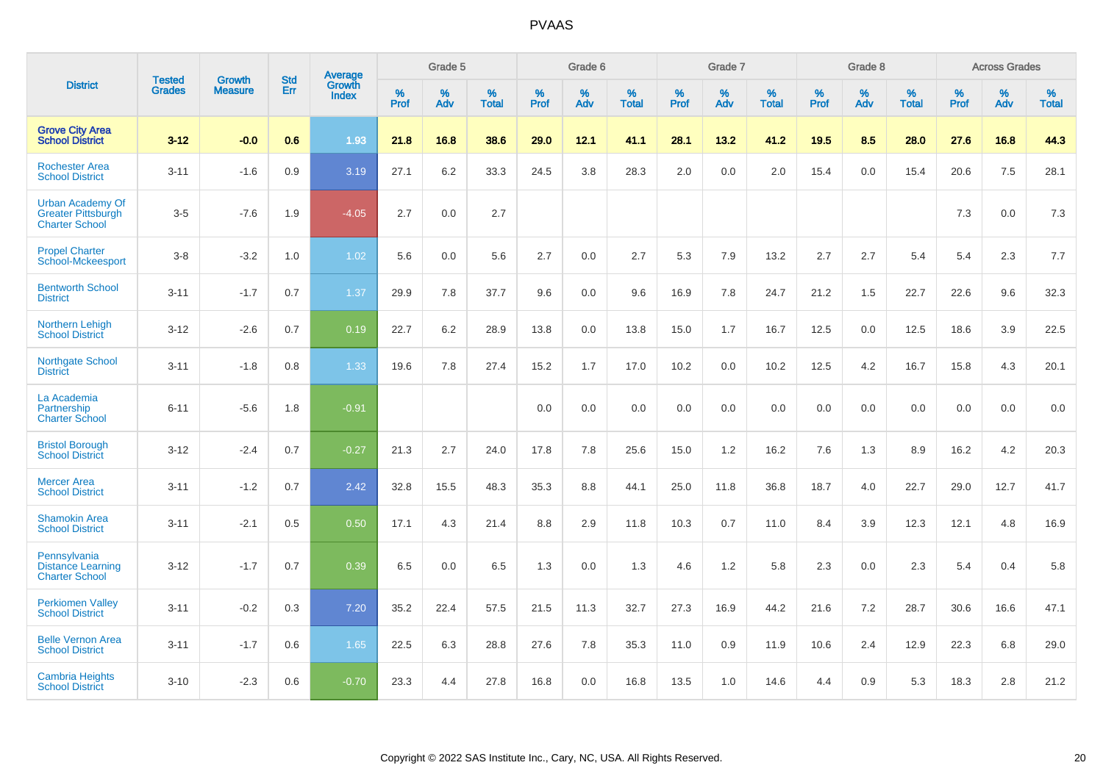|                                                                               |                                |                                 | <b>Std</b> | Average                       |              | Grade 5  |                   |           | Grade 6  |                   |           | Grade 7  |                   |           | Grade 8  |                   |           | <b>Across Grades</b> |                   |
|-------------------------------------------------------------------------------|--------------------------------|---------------------------------|------------|-------------------------------|--------------|----------|-------------------|-----------|----------|-------------------|-----------|----------|-------------------|-----------|----------|-------------------|-----------|----------------------|-------------------|
| <b>District</b>                                                               | <b>Tested</b><br><b>Grades</b> | <b>Growth</b><br><b>Measure</b> | Err        | <b>Growth</b><br><b>Index</b> | $\%$<br>Prof | %<br>Adv | %<br><b>Total</b> | %<br>Prof | %<br>Adv | %<br><b>Total</b> | %<br>Prof | %<br>Adv | %<br><b>Total</b> | %<br>Prof | %<br>Adv | %<br><b>Total</b> | %<br>Prof | $\%$<br>Adv          | %<br><b>Total</b> |
| <b>Grove City Area</b><br><b>School District</b>                              | $3 - 12$                       | $-0.0$                          | 0.6        | 1.93                          | 21.8         | 16.8     | 38.6              | 29.0      | 12.1     | 41.1              | 28.1      | 13.2     | 41.2              | 19.5      | 8.5      | 28.0              | 27.6      | 16.8                 | 44.3              |
| <b>Rochester Area</b><br><b>School District</b>                               | $3 - 11$                       | $-1.6$                          | 0.9        | 3.19                          | 27.1         | 6.2      | 33.3              | 24.5      | 3.8      | 28.3              | 2.0       | 0.0      | 2.0               | 15.4      | 0.0      | 15.4              | 20.6      | 7.5                  | 28.1              |
| <b>Urban Academy Of</b><br><b>Greater Pittsburgh</b><br><b>Charter School</b> | $3-5$                          | $-7.6$                          | 1.9        | $-4.05$                       | 2.7          | 0.0      | 2.7               |           |          |                   |           |          |                   |           |          |                   | 7.3       | 0.0                  | $7.3$             |
| <b>Propel Charter</b><br><b>School-Mckeesport</b>                             | $3-8$                          | $-3.2$                          | 1.0        | 1.02                          | 5.6          | 0.0      | 5.6               | 2.7       | 0.0      | 2.7               | 5.3       | 7.9      | 13.2              | 2.7       | 2.7      | 5.4               | 5.4       | 2.3                  | 7.7               |
| <b>Bentworth School</b><br><b>District</b>                                    | $3 - 11$                       | $-1.7$                          | 0.7        | 1.37                          | 29.9         | 7.8      | 37.7              | 9.6       | 0.0      | 9.6               | 16.9      | 7.8      | 24.7              | 21.2      | 1.5      | 22.7              | 22.6      | 9.6                  | 32.3              |
| Northern Lehigh<br><b>School District</b>                                     | $3 - 12$                       | $-2.6$                          | 0.7        | 0.19                          | 22.7         | 6.2      | 28.9              | 13.8      | 0.0      | 13.8              | 15.0      | 1.7      | 16.7              | 12.5      | 0.0      | 12.5              | 18.6      | 3.9                  | 22.5              |
| Northgate School<br><b>District</b>                                           | $3 - 11$                       | $-1.8$                          | 0.8        | 1.33                          | 19.6         | 7.8      | 27.4              | 15.2      | 1.7      | 17.0              | 10.2      | 0.0      | 10.2              | 12.5      | 4.2      | 16.7              | 15.8      | 4.3                  | 20.1              |
| La Academia<br>Partnership<br><b>Charter School</b>                           | $6 - 11$                       | $-5.6$                          | 1.8        | $-0.91$                       |              |          |                   | 0.0       | 0.0      | 0.0               | 0.0       | 0.0      | 0.0               | 0.0       | 0.0      | 0.0               | 0.0       | 0.0                  | 0.0               |
| <b>Bristol Borough</b><br><b>School District</b>                              | $3 - 12$                       | $-2.4$                          | 0.7        | $-0.27$                       | 21.3         | 2.7      | 24.0              | 17.8      | 7.8      | 25.6              | 15.0      | 1.2      | 16.2              | 7.6       | 1.3      | 8.9               | 16.2      | 4.2                  | 20.3              |
| <b>Mercer Area</b><br><b>School District</b>                                  | $3 - 11$                       | $-1.2$                          | 0.7        | 2.42                          | 32.8         | 15.5     | 48.3              | 35.3      | 8.8      | 44.1              | 25.0      | 11.8     | 36.8              | 18.7      | 4.0      | 22.7              | 29.0      | 12.7                 | 41.7              |
| <b>Shamokin Area</b><br><b>School District</b>                                | $3 - 11$                       | $-2.1$                          | 0.5        | 0.50                          | 17.1         | 4.3      | 21.4              | 8.8       | 2.9      | 11.8              | 10.3      | 0.7      | 11.0              | 8.4       | 3.9      | 12.3              | 12.1      | 4.8                  | 16.9              |
| Pennsylvania<br><b>Distance Learning</b><br><b>Charter School</b>             | $3 - 12$                       | $-1.7$                          | 0.7        | 0.39                          | 6.5          | 0.0      | 6.5               | 1.3       | 0.0      | 1.3               | 4.6       | 1.2      | 5.8               | 2.3       | 0.0      | 2.3               | 5.4       | 0.4                  | 5.8               |
| <b>Perkiomen Valley</b><br><b>School District</b>                             | $3 - 11$                       | $-0.2$                          | 0.3        | 7.20                          | 35.2         | 22.4     | 57.5              | 21.5      | 11.3     | 32.7              | 27.3      | 16.9     | 44.2              | 21.6      | 7.2      | 28.7              | 30.6      | 16.6                 | 47.1              |
| <b>Belle Vernon Area</b><br><b>School District</b>                            | $3 - 11$                       | $-1.7$                          | 0.6        | 1.65                          | 22.5         | 6.3      | 28.8              | 27.6      | 7.8      | 35.3              | 11.0      | 0.9      | 11.9              | 10.6      | 2.4      | 12.9              | 22.3      | 6.8                  | 29.0              |
| <b>Cambria Heights</b><br><b>School District</b>                              | $3 - 10$                       | $-2.3$                          | 0.6        | $-0.70$                       | 23.3         | 4.4      | 27.8              | 16.8      | 0.0      | 16.8              | 13.5      | 1.0      | 14.6              | 4.4       | 0.9      | 5.3               | 18.3      | 2.8                  | 21.2              |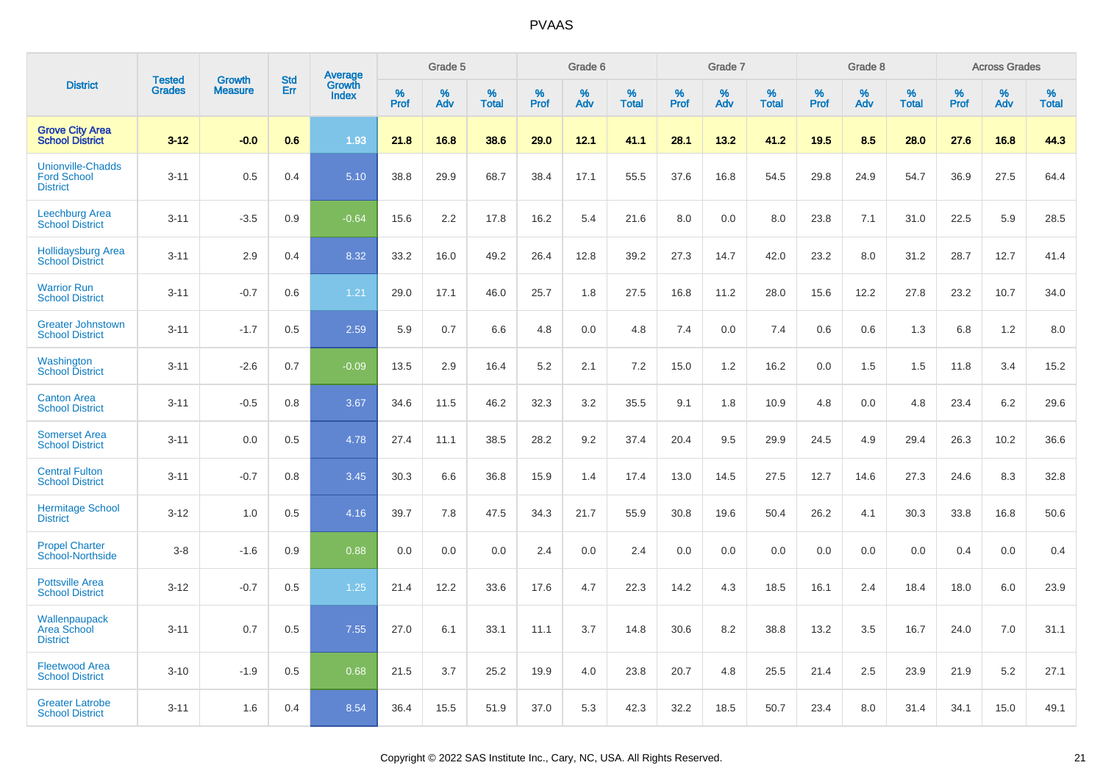|                                                                   | <b>Tested</b> | <b>Growth</b>  | <b>Std</b> | Average                |           | Grade 5  |                   |           | Grade 6  |                   |           | Grade 7  |                   |           | Grade 8  |                   |           | <b>Across Grades</b> |                   |
|-------------------------------------------------------------------|---------------|----------------|------------|------------------------|-----------|----------|-------------------|-----------|----------|-------------------|-----------|----------|-------------------|-----------|----------|-------------------|-----------|----------------------|-------------------|
| <b>District</b>                                                   | <b>Grades</b> | <b>Measure</b> | Err        | Growth<br><b>Index</b> | %<br>Prof | %<br>Adv | %<br><b>Total</b> | %<br>Prof | %<br>Adv | %<br><b>Total</b> | %<br>Prof | %<br>Adv | %<br><b>Total</b> | %<br>Prof | %<br>Adv | %<br><b>Total</b> | %<br>Prof | %<br>Adv             | %<br><b>Total</b> |
| <b>Grove City Area</b><br><b>School District</b>                  | $3 - 12$      | $-0.0$         | 0.6        | 1.93                   | 21.8      | 16.8     | 38.6              | 29.0      | 12.1     | 41.1              | 28.1      | 13.2     | 41.2              | 19.5      | 8.5      | 28.0              | 27.6      | 16.8                 | 44.3              |
| <b>Unionville-Chadds</b><br><b>Ford School</b><br><b>District</b> | $3 - 11$      | 0.5            | 0.4        | 5.10                   | 38.8      | 29.9     | 68.7              | 38.4      | 17.1     | 55.5              | 37.6      | 16.8     | 54.5              | 29.8      | 24.9     | 54.7              | 36.9      | 27.5                 | 64.4              |
| Leechburg Area<br><b>School District</b>                          | $3 - 11$      | $-3.5$         | 0.9        | $-0.64$                | 15.6      | 2.2      | 17.8              | 16.2      | 5.4      | 21.6              | 8.0       | 0.0      | 8.0               | 23.8      | 7.1      | 31.0              | 22.5      | 5.9                  | 28.5              |
| <b>Hollidaysburg Area</b><br><b>School District</b>               | $3 - 11$      | 2.9            | 0.4        | 8.32                   | 33.2      | 16.0     | 49.2              | 26.4      | 12.8     | 39.2              | 27.3      | 14.7     | 42.0              | 23.2      | 8.0      | 31.2              | 28.7      | 12.7                 | 41.4              |
| <b>Warrior Run</b><br><b>School District</b>                      | $3 - 11$      | $-0.7$         | 0.6        | 1.21                   | 29.0      | 17.1     | 46.0              | 25.7      | 1.8      | 27.5              | 16.8      | 11.2     | 28.0              | 15.6      | 12.2     | 27.8              | 23.2      | 10.7                 | 34.0              |
| <b>Greater Johnstown</b><br><b>School District</b>                | $3 - 11$      | $-1.7$         | 0.5        | 2.59                   | 5.9       | 0.7      | 6.6               | 4.8       | 0.0      | 4.8               | 7.4       | 0.0      | 7.4               | 0.6       | 0.6      | 1.3               | 6.8       | 1.2                  | 8.0               |
| Washington<br><b>School District</b>                              | $3 - 11$      | $-2.6$         | 0.7        | $-0.09$                | 13.5      | 2.9      | 16.4              | 5.2       | 2.1      | 7.2               | 15.0      | 1.2      | 16.2              | 0.0       | 1.5      | 1.5               | 11.8      | 3.4                  | 15.2              |
| <b>Canton Area</b><br><b>School District</b>                      | $3 - 11$      | $-0.5$         | 0.8        | 3.67                   | 34.6      | 11.5     | 46.2              | 32.3      | 3.2      | 35.5              | 9.1       | 1.8      | 10.9              | 4.8       | 0.0      | 4.8               | 23.4      | 6.2                  | 29.6              |
| <b>Somerset Area</b><br><b>School District</b>                    | $3 - 11$      | 0.0            | 0.5        | 4.78                   | 27.4      | 11.1     | 38.5              | 28.2      | 9.2      | 37.4              | 20.4      | 9.5      | 29.9              | 24.5      | 4.9      | 29.4              | 26.3      | 10.2                 | 36.6              |
| <b>Central Fulton</b><br><b>School District</b>                   | $3 - 11$      | $-0.7$         | 0.8        | 3.45                   | 30.3      | 6.6      | 36.8              | 15.9      | 1.4      | 17.4              | 13.0      | 14.5     | 27.5              | 12.7      | 14.6     | 27.3              | 24.6      | 8.3                  | 32.8              |
| <b>Hermitage School</b><br><b>District</b>                        | $3 - 12$      | 1.0            | 0.5        | 4.16                   | 39.7      | 7.8      | 47.5              | 34.3      | 21.7     | 55.9              | 30.8      | 19.6     | 50.4              | 26.2      | 4.1      | 30.3              | 33.8      | 16.8                 | 50.6              |
| <b>Propel Charter</b><br><b>School-Northside</b>                  | $3 - 8$       | $-1.6$         | 0.9        | 0.88                   | 0.0       | 0.0      | 0.0               | 2.4       | 0.0      | 2.4               | 0.0       | 0.0      | 0.0               | 0.0       | 0.0      | 0.0               | 0.4       | 0.0                  | 0.4               |
| <b>Pottsville Area</b><br><b>School District</b>                  | $3 - 12$      | $-0.7$         | 0.5        | 1.25                   | 21.4      | 12.2     | 33.6              | 17.6      | 4.7      | 22.3              | 14.2      | 4.3      | 18.5              | 16.1      | 2.4      | 18.4              | 18.0      | 6.0                  | 23.9              |
| Wallenpaupack<br><b>Area School</b><br><b>District</b>            | $3 - 11$      | 0.7            | 0.5        | 7.55                   | 27.0      | 6.1      | 33.1              | 11.1      | 3.7      | 14.8              | 30.6      | 8.2      | 38.8              | 13.2      | 3.5      | 16.7              | 24.0      | 7.0                  | 31.1              |
| <b>Fleetwood Area</b><br><b>School District</b>                   | $3 - 10$      | $-1.9$         | 0.5        | 0.68                   | 21.5      | 3.7      | 25.2              | 19.9      | 4.0      | 23.8              | 20.7      | 4.8      | 25.5              | 21.4      | 2.5      | 23.9              | 21.9      | 5.2                  | 27.1              |
| <b>Greater Latrobe</b><br><b>School District</b>                  | $3 - 11$      | 1.6            | 0.4        | 8.54                   | 36.4      | 15.5     | 51.9              | 37.0      | 5.3      | 42.3              | 32.2      | 18.5     | 50.7              | 23.4      | 8.0      | 31.4              | 34.1      | 15.0                 | 49.1              |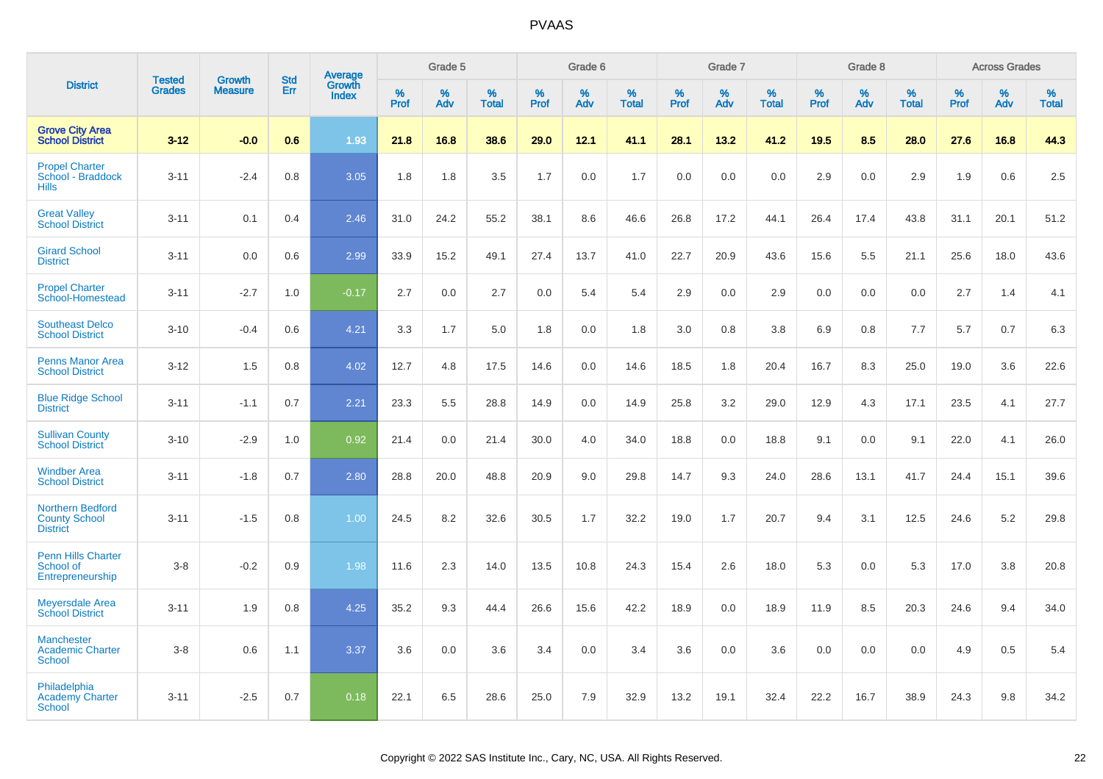|                                                                    |                                |                                 | <b>Std</b> | Average                |                  | Grade 5  |                   |                  | Grade 6  |                   |                  | Grade 7  |                   |           | Grade 8  |                   |                  | <b>Across Grades</b> |                   |
|--------------------------------------------------------------------|--------------------------------|---------------------------------|------------|------------------------|------------------|----------|-------------------|------------------|----------|-------------------|------------------|----------|-------------------|-----------|----------|-------------------|------------------|----------------------|-------------------|
| <b>District</b>                                                    | <b>Tested</b><br><b>Grades</b> | <b>Growth</b><br><b>Measure</b> | Err        | Growth<br><b>Index</b> | %<br><b>Prof</b> | %<br>Adv | %<br><b>Total</b> | %<br><b>Prof</b> | %<br>Adv | %<br><b>Total</b> | %<br><b>Prof</b> | %<br>Adv | %<br><b>Total</b> | %<br>Prof | %<br>Adv | %<br><b>Total</b> | %<br><b>Prof</b> | %<br>Adv             | %<br><b>Total</b> |
| <b>Grove City Area</b><br><b>School District</b>                   | $3-12$                         | $-0.0$                          | 0.6        | 1.93                   | 21.8             | 16.8     | 38.6              | 29.0             | 12.1     | 41.1              | 28.1             | 13.2     | 41.2              | 19.5      | 8.5      | 28.0              | 27.6             | 16.8                 | 44.3              |
| <b>Propel Charter</b><br>School - Braddock<br><b>Hills</b>         | $3 - 11$                       | $-2.4$                          | 0.8        | 3.05                   | 1.8              | 1.8      | 3.5               | 1.7              | 0.0      | 1.7               | 0.0              | 0.0      | 0.0               | 2.9       | 0.0      | 2.9               | 1.9              | 0.6                  | 2.5               |
| <b>Great Valley</b><br><b>School District</b>                      | $3 - 11$                       | 0.1                             | 0.4        | 2.46                   | 31.0             | 24.2     | 55.2              | 38.1             | 8.6      | 46.6              | 26.8             | 17.2     | 44.1              | 26.4      | 17.4     | 43.8              | 31.1             | 20.1                 | 51.2              |
| <b>Girard School</b><br><b>District</b>                            | $3 - 11$                       | 0.0                             | 0.6        | 2.99                   | 33.9             | 15.2     | 49.1              | 27.4             | 13.7     | 41.0              | 22.7             | 20.9     | 43.6              | 15.6      | 5.5      | 21.1              | 25.6             | 18.0                 | 43.6              |
| <b>Propel Charter</b><br>School-Homestead                          | $3 - 11$                       | $-2.7$                          | 1.0        | $-0.17$                | 2.7              | 0.0      | 2.7               | 0.0              | 5.4      | 5.4               | 2.9              | 0.0      | 2.9               | 0.0       | 0.0      | 0.0               | 2.7              | 1.4                  | 4.1               |
| <b>Southeast Delco</b><br><b>School District</b>                   | $3 - 10$                       | $-0.4$                          | 0.6        | 4.21                   | 3.3              | 1.7      | 5.0               | 1.8              | 0.0      | 1.8               | 3.0              | 0.8      | 3.8               | 6.9       | 0.8      | 7.7               | 5.7              | 0.7                  | 6.3               |
| <b>Penns Manor Area</b><br><b>School District</b>                  | $3 - 12$                       | 1.5                             | 0.8        | 4.02                   | 12.7             | 4.8      | 17.5              | 14.6             | 0.0      | 14.6              | 18.5             | 1.8      | 20.4              | 16.7      | 8.3      | 25.0              | 19.0             | 3.6                  | 22.6              |
| <b>Blue Ridge School</b><br><b>District</b>                        | $3 - 11$                       | $-1.1$                          | 0.7        | 2.21                   | 23.3             | 5.5      | 28.8              | 14.9             | 0.0      | 14.9              | 25.8             | 3.2      | 29.0              | 12.9      | 4.3      | 17.1              | 23.5             | 4.1                  | 27.7              |
| <b>Sullivan County</b><br><b>School District</b>                   | $3 - 10$                       | $-2.9$                          | 1.0        | 0.92                   | 21.4             | 0.0      | 21.4              | 30.0             | 4.0      | 34.0              | 18.8             | 0.0      | 18.8              | 9.1       | 0.0      | 9.1               | 22.0             | 4.1                  | 26.0              |
| <b>Windber Area</b><br><b>School District</b>                      | $3 - 11$                       | $-1.8$                          | 0.7        | 2.80                   | 28.8             | 20.0     | 48.8              | 20.9             | 9.0      | 29.8              | 14.7             | 9.3      | 24.0              | 28.6      | 13.1     | 41.7              | 24.4             | 15.1                 | 39.6              |
| <b>Northern Bedford</b><br><b>County School</b><br><b>District</b> | $3 - 11$                       | $-1.5$                          | 0.8        | 1.00                   | 24.5             | 8.2      | 32.6              | 30.5             | 1.7      | 32.2              | 19.0             | 1.7      | 20.7              | 9.4       | 3.1      | 12.5              | 24.6             | 5.2                  | 29.8              |
| <b>Penn Hills Charter</b><br>School of<br>Entrepreneurship         | $3-8$                          | $-0.2$                          | 0.9        | 1.98                   | 11.6             | 2.3      | 14.0              | 13.5             | 10.8     | 24.3              | 15.4             | 2.6      | 18.0              | 5.3       | 0.0      | 5.3               | 17.0             | 3.8                  | 20.8              |
| <b>Meyersdale Area</b><br><b>School District</b>                   | $3 - 11$                       | 1.9                             | 0.8        | 4.25                   | 35.2             | 9.3      | 44.4              | 26.6             | 15.6     | 42.2              | 18.9             | 0.0      | 18.9              | 11.9      | 8.5      | 20.3              | 24.6             | 9.4                  | 34.0              |
| <b>Manchester</b><br><b>Academic Charter</b><br><b>School</b>      | $3-8$                          | 0.6                             | 1.1        | 3.37                   | 3.6              | 0.0      | 3.6               | 3.4              | 0.0      | 3.4               | 3.6              | 0.0      | 3.6               | 0.0       | 0.0      | 0.0               | 4.9              | 0.5                  | 5.4               |
| Philadelphia<br><b>Academy Charter</b><br><b>School</b>            | $3 - 11$                       | $-2.5$                          | 0.7        | 0.18                   | 22.1             | 6.5      | 28.6              | 25.0             | 7.9      | 32.9              | 13.2             | 19.1     | 32.4              | 22.2      | 16.7     | 38.9              | 24.3             | 9.8                  | 34.2              |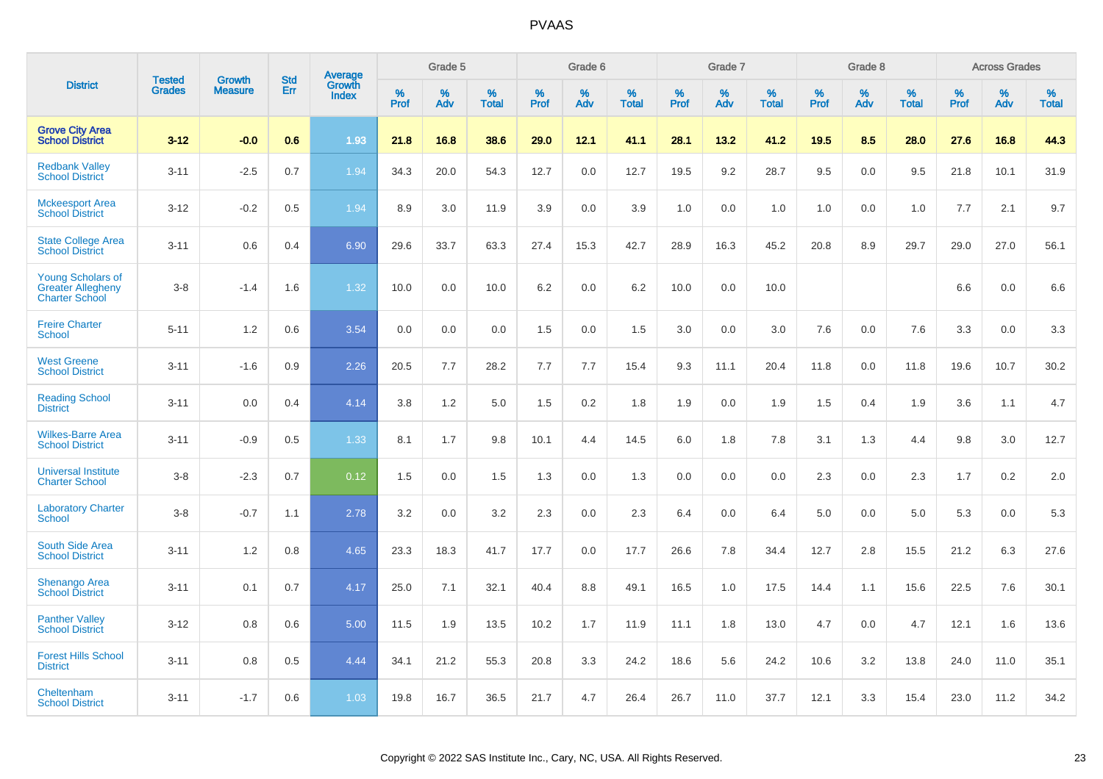|                                                                               | <b>Tested</b> | <b>Growth</b>  | <b>Std</b> | <b>Average</b><br>Growth |                     | Grade 5  |                      |                     | Grade 6  |                      |              | Grade 7  |                      |                     | Grade 8  |                      |                     | <b>Across Grades</b> |                      |
|-------------------------------------------------------------------------------|---------------|----------------|------------|--------------------------|---------------------|----------|----------------------|---------------------|----------|----------------------|--------------|----------|----------------------|---------------------|----------|----------------------|---------------------|----------------------|----------------------|
| <b>District</b>                                                               | <b>Grades</b> | <b>Measure</b> | Err        | <b>Index</b>             | $\%$<br><b>Prof</b> | %<br>Adv | $\%$<br><b>Total</b> | $\%$<br><b>Prof</b> | %<br>Adv | $\%$<br><b>Total</b> | $\%$<br>Prof | %<br>Adv | $\%$<br><b>Total</b> | $\%$<br><b>Prof</b> | %<br>Adv | $\%$<br><b>Total</b> | $\%$<br><b>Prof</b> | $\%$<br>Adv          | $\%$<br><b>Total</b> |
| <b>Grove City Area</b><br><b>School District</b>                              | $3 - 12$      | $-0.0$         | 0.6        | 1.93                     | 21.8                | 16.8     | 38.6                 | 29.0                | 12.1     | 41.1                 | 28.1         | 13.2     | 41.2                 | 19.5                | 8.5      | 28.0                 | 27.6                | 16.8                 | 44.3                 |
| <b>Redbank Valley</b><br><b>School District</b>                               | $3 - 11$      | $-2.5$         | 0.7        | 1.94                     | 34.3                | 20.0     | 54.3                 | 12.7                | 0.0      | 12.7                 | 19.5         | 9.2      | 28.7                 | 9.5                 | 0.0      | 9.5                  | 21.8                | 10.1                 | 31.9                 |
| <b>Mckeesport Area</b><br><b>School District</b>                              | $3 - 12$      | $-0.2$         | 0.5        | 1.94                     | 8.9                 | 3.0      | 11.9                 | 3.9                 | 0.0      | 3.9                  | 1.0          | 0.0      | 1.0                  | 1.0                 | 0.0      | 1.0                  | 7.7                 | 2.1                  | 9.7                  |
| <b>State College Area</b><br><b>School District</b>                           | $3 - 11$      | 0.6            | 0.4        | 6.90                     | 29.6                | 33.7     | 63.3                 | 27.4                | 15.3     | 42.7                 | 28.9         | 16.3     | 45.2                 | 20.8                | 8.9      | 29.7                 | 29.0                | 27.0                 | 56.1                 |
| <b>Young Scholars of</b><br><b>Greater Allegheny</b><br><b>Charter School</b> | $3 - 8$       | $-1.4$         | 1.6        | 1.32                     | 10.0                | 0.0      | 10.0                 | 6.2                 | 0.0      | 6.2                  | 10.0         | 0.0      | 10.0                 |                     |          |                      | 6.6                 | 0.0                  | 6.6                  |
| <b>Freire Charter</b><br><b>School</b>                                        | $5 - 11$      | 1.2            | 0.6        | 3.54                     | 0.0                 | 0.0      | 0.0                  | 1.5                 | 0.0      | 1.5                  | 3.0          | 0.0      | 3.0                  | 7.6                 | 0.0      | 7.6                  | 3.3                 | 0.0                  | 3.3                  |
| <b>West Greene</b><br><b>School District</b>                                  | $3 - 11$      | $-1.6$         | 0.9        | 2.26                     | 20.5                | 7.7      | 28.2                 | 7.7                 | 7.7      | 15.4                 | 9.3          | 11.1     | 20.4                 | 11.8                | 0.0      | 11.8                 | 19.6                | 10.7                 | 30.2                 |
| <b>Reading School</b><br><b>District</b>                                      | $3 - 11$      | 0.0            | 0.4        | 4.14                     | 3.8                 | 1.2      | 5.0                  | 1.5                 | 0.2      | 1.8                  | 1.9          | 0.0      | 1.9                  | 1.5                 | 0.4      | 1.9                  | 3.6                 | 1.1                  | 4.7                  |
| <b>Wilkes-Barre Area</b><br><b>School District</b>                            | $3 - 11$      | $-0.9$         | 0.5        | 1.33                     | 8.1                 | 1.7      | 9.8                  | 10.1                | 4.4      | 14.5                 | 6.0          | 1.8      | 7.8                  | 3.1                 | 1.3      | 4.4                  | 9.8                 | 3.0                  | 12.7                 |
| <b>Universal Institute</b><br><b>Charter School</b>                           | $3 - 8$       | $-2.3$         | 0.7        | 0.12                     | 1.5                 | 0.0      | 1.5                  | 1.3                 | 0.0      | 1.3                  | 0.0          | 0.0      | 0.0                  | 2.3                 | 0.0      | 2.3                  | 1.7                 | 0.2                  | 2.0                  |
| <b>Laboratory Charter</b><br><b>School</b>                                    | $3 - 8$       | $-0.7$         | 1.1        | 2.78                     | 3.2                 | 0.0      | 3.2                  | 2.3                 | 0.0      | 2.3                  | 6.4          | 0.0      | 6.4                  | 5.0                 | 0.0      | 5.0                  | 5.3                 | 0.0                  | 5.3                  |
| South Side Area<br><b>School District</b>                                     | $3 - 11$      | 1.2            | 0.8        | 4.65                     | 23.3                | 18.3     | 41.7                 | 17.7                | 0.0      | 17.7                 | 26.6         | 7.8      | 34.4                 | 12.7                | 2.8      | 15.5                 | 21.2                | 6.3                  | 27.6                 |
| <b>Shenango Area</b><br><b>School District</b>                                | $3 - 11$      | 0.1            | 0.7        | 4.17                     | 25.0                | 7.1      | 32.1                 | 40.4                | 8.8      | 49.1                 | 16.5         | 1.0      | 17.5                 | 14.4                | 1.1      | 15.6                 | 22.5                | 7.6                  | 30.1                 |
| <b>Panther Valley</b><br><b>School District</b>                               | $3 - 12$      | 0.8            | 0.6        | 5.00                     | 11.5                | 1.9      | 13.5                 | 10.2                | 1.7      | 11.9                 | 11.1         | 1.8      | 13.0                 | 4.7                 | 0.0      | 4.7                  | 12.1                | 1.6                  | 13.6                 |
| <b>Forest Hills School</b><br><b>District</b>                                 | $3 - 11$      | 0.8            | 0.5        | 4.44                     | 34.1                | 21.2     | 55.3                 | 20.8                | 3.3      | 24.2                 | 18.6         | 5.6      | 24.2                 | 10.6                | 3.2      | 13.8                 | 24.0                | 11.0                 | 35.1                 |
| Cheltenham<br><b>School District</b>                                          | $3 - 11$      | $-1.7$         | 0.6        | 1.03                     | 19.8                | 16.7     | 36.5                 | 21.7                | 4.7      | 26.4                 | 26.7         | 11.0     | 37.7                 | 12.1                | 3.3      | 15.4                 | 23.0                | 11.2                 | 34.2                 |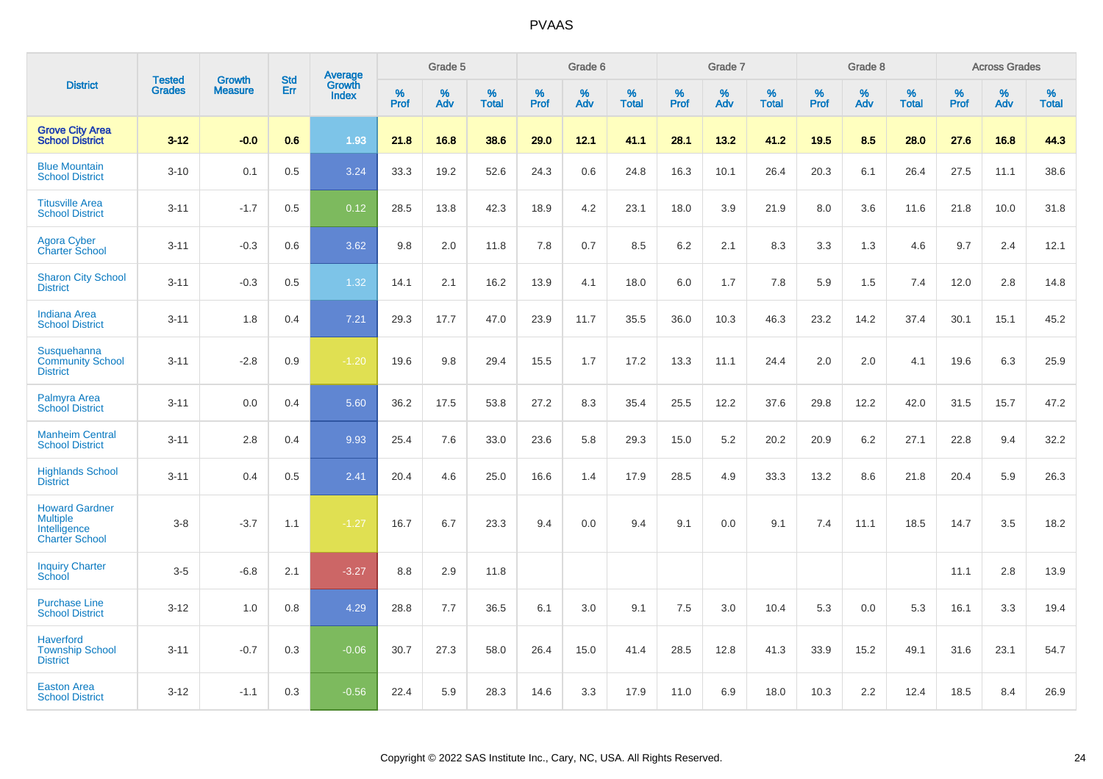|                                                                                   | <b>Tested</b> | <b>Growth</b>  | <b>Std</b> | Average         |              | Grade 5  |                   |              | Grade 6  |                   |           | Grade 7  |                   |           | Grade 8  |                   |                     | <b>Across Grades</b> |                   |
|-----------------------------------------------------------------------------------|---------------|----------------|------------|-----------------|--------------|----------|-------------------|--------------|----------|-------------------|-----------|----------|-------------------|-----------|----------|-------------------|---------------------|----------------------|-------------------|
| <b>District</b>                                                                   | <b>Grades</b> | <b>Measure</b> | Err        | Growth<br>Index | $\%$<br>Prof | %<br>Adv | %<br><b>Total</b> | $\%$<br>Prof | %<br>Adv | %<br><b>Total</b> | %<br>Prof | %<br>Adv | %<br><b>Total</b> | %<br>Prof | %<br>Adv | %<br><b>Total</b> | $\%$<br><b>Prof</b> | $\%$<br>Adv          | %<br><b>Total</b> |
| <b>Grove City Area</b><br><b>School District</b>                                  | $3 - 12$      | $-0.0$         | 0.6        | 1.93            | 21.8         | 16.8     | 38.6              | 29.0         | 12.1     | 41.1              | 28.1      | 13.2     | 41.2              | 19.5      | 8.5      | 28.0              | 27.6                | 16.8                 | 44.3              |
| <b>Blue Mountain</b><br><b>School District</b>                                    | $3 - 10$      | 0.1            | 0.5        | 3.24            | 33.3         | 19.2     | 52.6              | 24.3         | 0.6      | 24.8              | 16.3      | 10.1     | 26.4              | 20.3      | 6.1      | 26.4              | 27.5                | 11.1                 | 38.6              |
| <b>Titusville Area</b><br><b>School District</b>                                  | $3 - 11$      | $-1.7$         | 0.5        | 0.12            | 28.5         | 13.8     | 42.3              | 18.9         | 4.2      | 23.1              | 18.0      | 3.9      | 21.9              | 8.0       | 3.6      | 11.6              | 21.8                | 10.0                 | 31.8              |
| <b>Agora Cyber</b><br><b>Charter School</b>                                       | $3 - 11$      | $-0.3$         | 0.6        | 3.62            | 9.8          | 2.0      | 11.8              | 7.8          | 0.7      | 8.5               | 6.2       | 2.1      | 8.3               | 3.3       | 1.3      | 4.6               | 9.7                 | 2.4                  | 12.1              |
| <b>Sharon City School</b><br><b>District</b>                                      | $3 - 11$      | $-0.3$         | 0.5        | 1.32            | 14.1         | 2.1      | 16.2              | 13.9         | 4.1      | 18.0              | 6.0       | 1.7      | 7.8               | 5.9       | 1.5      | 7.4               | 12.0                | 2.8                  | 14.8              |
| <b>Indiana Area</b><br><b>School District</b>                                     | $3 - 11$      | 1.8            | 0.4        | 7.21            | 29.3         | 17.7     | 47.0              | 23.9         | 11.7     | 35.5              | 36.0      | 10.3     | 46.3              | 23.2      | 14.2     | 37.4              | 30.1                | 15.1                 | 45.2              |
| Susquehanna<br><b>Community School</b><br><b>District</b>                         | $3 - 11$      | $-2.8$         | 0.9        | $-1.20$         | 19.6         | 9.8      | 29.4              | 15.5         | 1.7      | 17.2              | 13.3      | 11.1     | 24.4              | 2.0       | 2.0      | 4.1               | 19.6                | 6.3                  | 25.9              |
| Palmyra Area<br><b>School District</b>                                            | $3 - 11$      | 0.0            | 0.4        | 5.60            | 36.2         | 17.5     | 53.8              | 27.2         | 8.3      | 35.4              | 25.5      | 12.2     | 37.6              | 29.8      | 12.2     | 42.0              | 31.5                | 15.7                 | 47.2              |
| <b>Manheim Central</b><br><b>School District</b>                                  | $3 - 11$      | 2.8            | 0.4        | 9.93            | 25.4         | 7.6      | 33.0              | 23.6         | 5.8      | 29.3              | 15.0      | 5.2      | 20.2              | 20.9      | 6.2      | 27.1              | 22.8                | 9.4                  | 32.2              |
| <b>Highlands School</b><br><b>District</b>                                        | $3 - 11$      | 0.4            | 0.5        | 2.41            | 20.4         | 4.6      | 25.0              | 16.6         | 1.4      | 17.9              | 28.5      | 4.9      | 33.3              | 13.2      | 8.6      | 21.8              | 20.4                | 5.9                  | 26.3              |
| <b>Howard Gardner</b><br><b>Multiple</b><br>Intelligence<br><b>Charter School</b> | $3-8$         | $-3.7$         | 1.1        | $-1.27$         | 16.7         | 6.7      | 23.3              | 9.4          | 0.0      | 9.4               | 9.1       | 0.0      | 9.1               | 7.4       | 11.1     | 18.5              | 14.7                | 3.5                  | 18.2              |
| <b>Inquiry Charter</b><br>School                                                  | $3 - 5$       | $-6.8$         | 2.1        | $-3.27$         | 8.8          | 2.9      | 11.8              |              |          |                   |           |          |                   |           |          |                   | 11.1                | 2.8                  | 13.9              |
| <b>Purchase Line</b><br><b>School District</b>                                    | $3 - 12$      | 1.0            | 0.8        | 4.29            | 28.8         | 7.7      | 36.5              | 6.1          | 3.0      | 9.1               | 7.5       | 3.0      | 10.4              | 5.3       | 0.0      | 5.3               | 16.1                | 3.3                  | 19.4              |
| <b>Haverford</b><br><b>Township School</b><br><b>District</b>                     | $3 - 11$      | $-0.7$         | 0.3        | $-0.06$         | 30.7         | 27.3     | 58.0              | 26.4         | 15.0     | 41.4              | 28.5      | 12.8     | 41.3              | 33.9      | 15.2     | 49.1              | 31.6                | 23.1                 | 54.7              |
| <b>Easton Area</b><br><b>School District</b>                                      | $3 - 12$      | $-1.1$         | 0.3        | $-0.56$         | 22.4         | 5.9      | 28.3              | 14.6         | 3.3      | 17.9              | 11.0      | 6.9      | 18.0              | 10.3      | 2.2      | 12.4              | 18.5                | 8.4                  | 26.9              |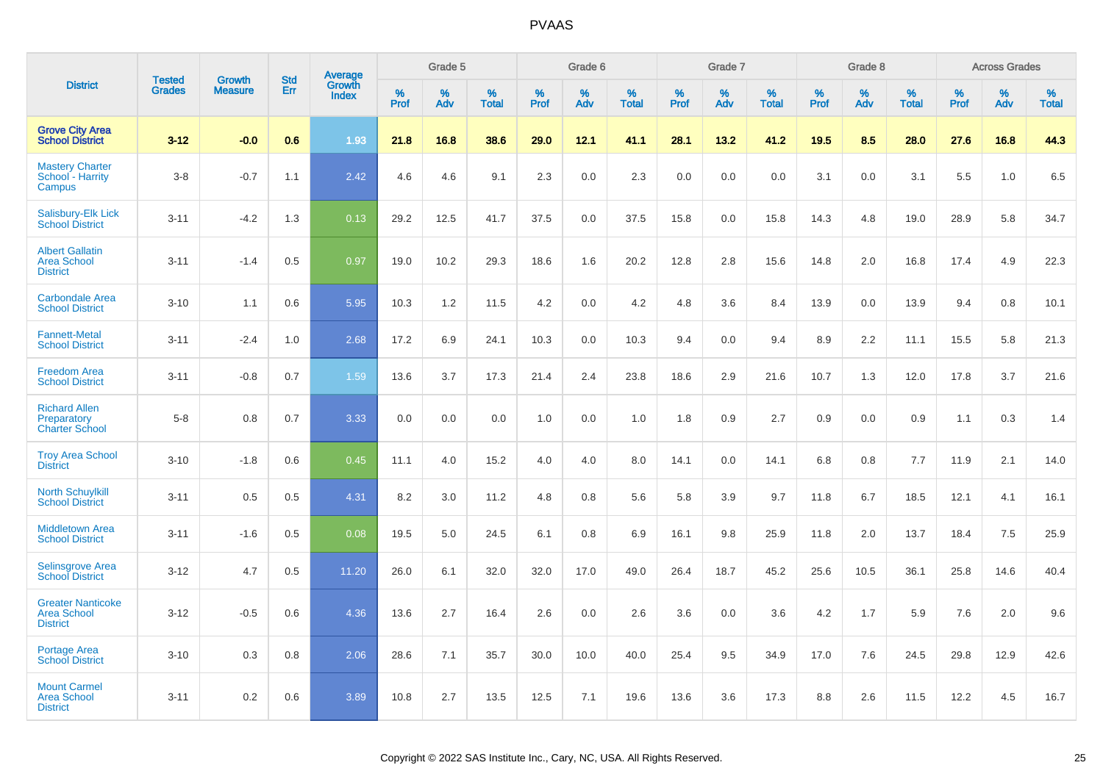|                                                                   |                                |                                 |                   | Average                |                     | Grade 5     |                   |                  | Grade 6  |                   |                  | Grade 7  |                   |           | Grade 8  |                   |              | <b>Across Grades</b> |                   |
|-------------------------------------------------------------------|--------------------------------|---------------------------------|-------------------|------------------------|---------------------|-------------|-------------------|------------------|----------|-------------------|------------------|----------|-------------------|-----------|----------|-------------------|--------------|----------------------|-------------------|
| <b>District</b>                                                   | <b>Tested</b><br><b>Grades</b> | <b>Growth</b><br><b>Measure</b> | <b>Std</b><br>Err | Growth<br><b>Index</b> | $\%$<br><b>Prof</b> | $\%$<br>Adv | %<br><b>Total</b> | %<br><b>Prof</b> | %<br>Adv | %<br><b>Total</b> | %<br><b>Prof</b> | %<br>Adv | %<br><b>Total</b> | %<br>Prof | %<br>Adv | %<br><b>Total</b> | $\%$<br>Prof | $\%$<br>Adv          | %<br><b>Total</b> |
| <b>Grove City Area</b><br><b>School District</b>                  | $3 - 12$                       | $-0.0$                          | 0.6               | 1.93                   | 21.8                | 16.8        | 38.6              | 29.0             | 12.1     | 41.1              | 28.1             | 13.2     | 41.2              | 19.5      | 8.5      | 28.0              | 27.6         | 16.8                 | 44.3              |
| <b>Mastery Charter</b><br>School - Harrity<br>Campus              | $3-8$                          | $-0.7$                          | 1.1               | 2.42                   | 4.6                 | 4.6         | 9.1               | 2.3              | 0.0      | 2.3               | 0.0              | 0.0      | 0.0               | 3.1       | 0.0      | 3.1               | 5.5          | 1.0                  | 6.5               |
| Salisbury-Elk Lick<br><b>School District</b>                      | $3 - 11$                       | $-4.2$                          | 1.3               | 0.13                   | 29.2                | 12.5        | 41.7              | 37.5             | 0.0      | 37.5              | 15.8             | 0.0      | 15.8              | 14.3      | 4.8      | 19.0              | 28.9         | 5.8                  | 34.7              |
| <b>Albert Gallatin</b><br><b>Area School</b><br><b>District</b>   | $3 - 11$                       | $-1.4$                          | 0.5               | 0.97                   | 19.0                | 10.2        | 29.3              | 18.6             | 1.6      | 20.2              | 12.8             | 2.8      | 15.6              | 14.8      | 2.0      | 16.8              | 17.4         | 4.9                  | 22.3              |
| <b>Carbondale Area</b><br><b>School District</b>                  | $3 - 10$                       | 1.1                             | 0.6               | 5.95                   | 10.3                | 1.2         | 11.5              | 4.2              | 0.0      | 4.2               | 4.8              | 3.6      | 8.4               | 13.9      | 0.0      | 13.9              | 9.4          | 0.8                  | 10.1              |
| <b>Fannett-Metal</b><br><b>School District</b>                    | $3 - 11$                       | $-2.4$                          | 1.0               | 2.68                   | 17.2                | 6.9         | 24.1              | 10.3             | 0.0      | 10.3              | 9.4              | 0.0      | 9.4               | 8.9       | 2.2      | 11.1              | 15.5         | 5.8                  | 21.3              |
| <b>Freedom Area</b><br><b>School District</b>                     | $3 - 11$                       | $-0.8$                          | 0.7               | 1.59                   | 13.6                | 3.7         | 17.3              | 21.4             | 2.4      | 23.8              | 18.6             | 2.9      | 21.6              | 10.7      | 1.3      | 12.0              | 17.8         | 3.7                  | 21.6              |
| <b>Richard Allen</b><br>Preparatory<br><b>Charter School</b>      | $5-8$                          | 0.8                             | 0.7               | 3.33                   | 0.0                 | 0.0         | 0.0               | 1.0              | 0.0      | 1.0               | 1.8              | 0.9      | 2.7               | 0.9       | 0.0      | 0.9               | 1.1          | 0.3                  | 1.4               |
| <b>Troy Area School</b><br><b>District</b>                        | $3 - 10$                       | $-1.8$                          | 0.6               | 0.45                   | 11.1                | 4.0         | 15.2              | 4.0              | 4.0      | 8.0               | 14.1             | 0.0      | 14.1              | 6.8       | 0.8      | 7.7               | 11.9         | 2.1                  | 14.0              |
| <b>North Schuylkill</b><br><b>School District</b>                 | $3 - 11$                       | 0.5                             | 0.5               | 4.31                   | 8.2                 | 3.0         | 11.2              | 4.8              | 0.8      | 5.6               | 5.8              | 3.9      | 9.7               | 11.8      | 6.7      | 18.5              | 12.1         | 4.1                  | 16.1              |
| <b>Middletown Area</b><br><b>School District</b>                  | $3 - 11$                       | $-1.6$                          | 0.5               | 0.08                   | 19.5                | 5.0         | 24.5              | 6.1              | 0.8      | 6.9               | 16.1             | 9.8      | 25.9              | 11.8      | 2.0      | 13.7              | 18.4         | 7.5                  | 25.9              |
| <b>Selinsgrove Area</b><br><b>School District</b>                 | $3 - 12$                       | 4.7                             | 0.5               | 11.20                  | 26.0                | 6.1         | 32.0              | 32.0             | 17.0     | 49.0              | 26.4             | 18.7     | 45.2              | 25.6      | 10.5     | 36.1              | 25.8         | 14.6                 | 40.4              |
| <b>Greater Nanticoke</b><br><b>Area School</b><br><b>District</b> | $3 - 12$                       | $-0.5$                          | 0.6               | 4.36                   | 13.6                | 2.7         | 16.4              | 2.6              | 0.0      | 2.6               | 3.6              | 0.0      | 3.6               | 4.2       | 1.7      | 5.9               | 7.6          | 2.0                  | 9.6               |
| Portage Area<br><b>School District</b>                            | $3 - 10$                       | 0.3                             | 0.8               | 2.06                   | 28.6                | 7.1         | 35.7              | 30.0             | 10.0     | 40.0              | 25.4             | 9.5      | 34.9              | 17.0      | 7.6      | 24.5              | 29.8         | 12.9                 | 42.6              |
| <b>Mount Carmel</b><br><b>Area School</b><br><b>District</b>      | $3 - 11$                       | 0.2                             | 0.6               | 3.89                   | 10.8                | 2.7         | 13.5              | 12.5             | 7.1      | 19.6              | 13.6             | 3.6      | 17.3              | 8.8       | 2.6      | 11.5              | 12.2         | 4.5                  | 16.7              |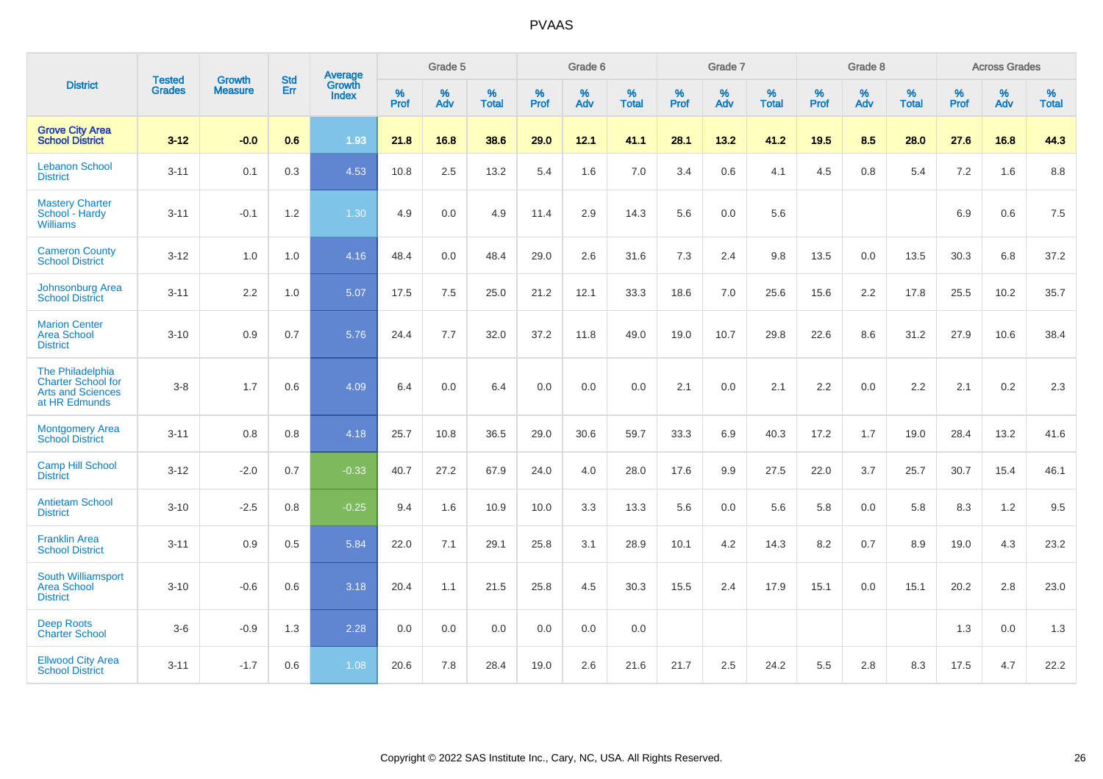|                                                                                            | <b>Tested</b> | <b>Growth</b>    | <b>Std</b> | Average                |                     | Grade 5  |                   |                     | Grade 6  |                   |              | Grade 7  |                   |                     | Grade 8  |                   |                     | <b>Across Grades</b> |                   |
|--------------------------------------------------------------------------------------------|---------------|------------------|------------|------------------------|---------------------|----------|-------------------|---------------------|----------|-------------------|--------------|----------|-------------------|---------------------|----------|-------------------|---------------------|----------------------|-------------------|
| <b>District</b>                                                                            | <b>Grades</b> | <b>Measure</b>   | <b>Err</b> | Growth<br><b>Index</b> | $\%$<br><b>Prof</b> | %<br>Adv | %<br><b>Total</b> | $\%$<br><b>Prof</b> | %<br>Adv | %<br><b>Total</b> | $\%$<br>Prof | %<br>Adv | %<br><b>Total</b> | $\%$<br><b>Prof</b> | %<br>Adv | %<br><b>Total</b> | $\%$<br><b>Prof</b> | %<br>Adv             | %<br><b>Total</b> |
| <b>Grove City Area</b><br><b>School District</b>                                           | $3 - 12$      | $-0.0$           | 0.6        | 1.93                   | 21.8                | 16.8     | 38.6              | 29.0                | 12.1     | 41.1              | 28.1         | 13.2     | 41.2              | 19.5                | 8.5      | 28.0              | 27.6                | 16.8                 | 44.3              |
| <b>Lebanon School</b><br><b>District</b>                                                   | $3 - 11$      | 0.1              | 0.3        | 4.53                   | 10.8                | 2.5      | 13.2              | 5.4                 | 1.6      | 7.0               | 3.4          | 0.6      | 4.1               | 4.5                 | 0.8      | 5.4               | 7.2                 | 1.6                  | 8.8               |
| <b>Mastery Charter</b><br>School - Hardy<br>Williams                                       | $3 - 11$      | $-0.1$           | $1.2$      | 1.30                   | 4.9                 | 0.0      | 4.9               | 11.4                | 2.9      | 14.3              | 5.6          | 0.0      | 5.6               |                     |          |                   | 6.9                 | 0.6                  | 7.5               |
| <b>Cameron County</b><br><b>School District</b>                                            | $3 - 12$      | 1.0              | 1.0        | 4.16                   | 48.4                | 0.0      | 48.4              | 29.0                | 2.6      | 31.6              | 7.3          | 2.4      | 9.8               | 13.5                | $0.0\,$  | 13.5              | 30.3                | 6.8                  | 37.2              |
| Johnsonburg Area<br><b>School District</b>                                                 | $3 - 11$      | $2.2\phantom{0}$ | 1.0        | 5.07                   | 17.5                | 7.5      | 25.0              | 21.2                | 12.1     | 33.3              | 18.6         | 7.0      | 25.6              | 15.6                | 2.2      | 17.8              | 25.5                | 10.2                 | 35.7              |
| <b>Marion Center</b><br><b>Area School</b><br><b>District</b>                              | $3 - 10$      | 0.9              | 0.7        | 5.76                   | 24.4                | 7.7      | 32.0              | 37.2                | 11.8     | 49.0              | 19.0         | 10.7     | 29.8              | 22.6                | 8.6      | 31.2              | 27.9                | 10.6                 | 38.4              |
| The Philadelphia<br><b>Charter School for</b><br><b>Arts and Sciences</b><br>at HR Edmunds | $3 - 8$       | 1.7              | 0.6        | 4.09                   | 6.4                 | 0.0      | 6.4               | 0.0                 | 0.0      | 0.0               | 2.1          | 0.0      | 2.1               | 2.2                 | 0.0      | 2.2               | 2.1                 | 0.2                  | 2.3               |
| Montgomery Area<br><b>School District</b>                                                  | $3 - 11$      | 0.8              | 0.8        | 4.18                   | 25.7                | 10.8     | 36.5              | 29.0                | 30.6     | 59.7              | 33.3         | 6.9      | 40.3              | 17.2                | 1.7      | 19.0              | 28.4                | 13.2                 | 41.6              |
| <b>Camp Hill School</b><br><b>District</b>                                                 | $3 - 12$      | $-2.0$           | 0.7        | $-0.33$                | 40.7                | 27.2     | 67.9              | 24.0                | 4.0      | 28.0              | 17.6         | 9.9      | 27.5              | 22.0                | 3.7      | 25.7              | 30.7                | 15.4                 | 46.1              |
| <b>Antietam School</b><br><b>District</b>                                                  | $3 - 10$      | $-2.5$           | 0.8        | $-0.25$                | 9.4                 | 1.6      | 10.9              | 10.0                | 3.3      | 13.3              | 5.6          | 0.0      | 5.6               | 5.8                 | 0.0      | 5.8               | 8.3                 | 1.2                  | 9.5               |
| <b>Franklin Area</b><br><b>School District</b>                                             | $3 - 11$      | 0.9              | 0.5        | 5.84                   | 22.0                | 7.1      | 29.1              | 25.8                | 3.1      | 28.9              | 10.1         | 4.2      | 14.3              | 8.2                 | 0.7      | 8.9               | 19.0                | 4.3                  | 23.2              |
| South Williamsport<br><b>Area School</b><br><b>District</b>                                | $3 - 10$      | $-0.6$           | 0.6        | 3.18                   | 20.4                | 1.1      | 21.5              | 25.8                | 4.5      | 30.3              | 15.5         | 2.4      | 17.9              | 15.1                | 0.0      | 15.1              | 20.2                | 2.8                  | 23.0              |
| <b>Deep Roots</b><br><b>Charter School</b>                                                 | $3-6$         | $-0.9$           | 1.3        | 2.28                   | 0.0                 | 0.0      | 0.0               | 0.0                 | 0.0      | 0.0               |              |          |                   |                     |          |                   | 1.3                 | 0.0                  | 1.3               |
| <b>Ellwood City Area</b><br><b>School District</b>                                         | $3 - 11$      | $-1.7$           | 0.6        | 1.08                   | 20.6                | 7.8      | 28.4              | 19.0                | 2.6      | 21.6              | 21.7         | 2.5      | 24.2              | 5.5                 | 2.8      | 8.3               | 17.5                | 4.7                  | 22.2              |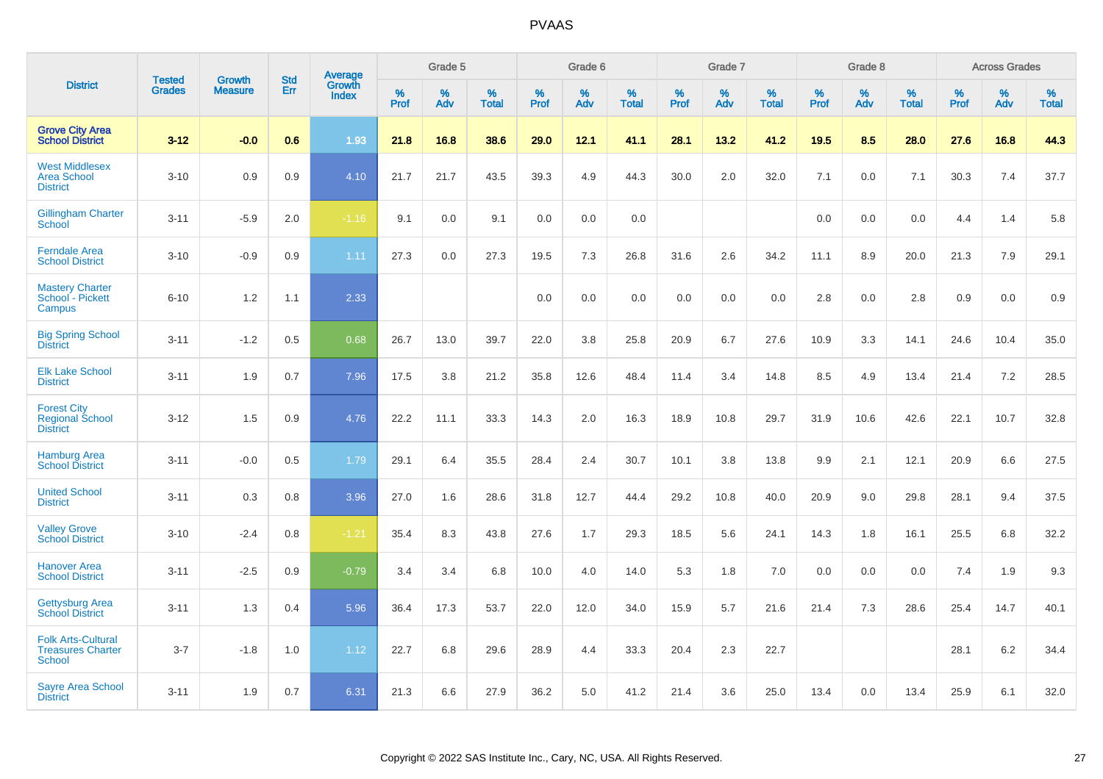|                                                                        |                                |                                 |                   | Average                |                     | Grade 5     |                   |                  | Grade 6     |                   |                  | Grade 7  |                   |                     | Grade 8  |                   |                     | <b>Across Grades</b> |                   |
|------------------------------------------------------------------------|--------------------------------|---------------------------------|-------------------|------------------------|---------------------|-------------|-------------------|------------------|-------------|-------------------|------------------|----------|-------------------|---------------------|----------|-------------------|---------------------|----------------------|-------------------|
| <b>District</b>                                                        | <b>Tested</b><br><b>Grades</b> | <b>Growth</b><br><b>Measure</b> | <b>Std</b><br>Err | Growth<br><b>Index</b> | $\%$<br><b>Prof</b> | $\%$<br>Adv | %<br><b>Total</b> | %<br><b>Prof</b> | $\%$<br>Adv | %<br><b>Total</b> | %<br><b>Prof</b> | %<br>Adv | %<br><b>Total</b> | $\%$<br><b>Prof</b> | %<br>Adv | %<br><b>Total</b> | $\%$<br><b>Prof</b> | $\%$<br>Adv          | %<br><b>Total</b> |
| <b>Grove City Area</b><br><b>School District</b>                       | $3 - 12$                       | $-0.0$                          | 0.6               | 1.93                   | 21.8                | 16.8        | 38.6              | 29.0             | 12.1        | 41.1              | 28.1             | 13.2     | 41.2              | 19.5                | 8.5      | 28.0              | 27.6                | 16.8                 | 44.3              |
| <b>West Middlesex</b><br><b>Area School</b><br><b>District</b>         | $3 - 10$                       | 0.9                             | 0.9               | 4.10                   | 21.7                | 21.7        | 43.5              | 39.3             | 4.9         | 44.3              | 30.0             | 2.0      | 32.0              | 7.1                 | 0.0      | 7.1               | 30.3                | 7.4                  | 37.7              |
| <b>Gillingham Charter</b><br>School                                    | $3 - 11$                       | $-5.9$                          | 2.0               | $-1.16$                | 9.1                 | 0.0         | 9.1               | 0.0              | 0.0         | 0.0               |                  |          |                   | 0.0                 | 0.0      | 0.0               | 4.4                 | 1.4                  | 5.8               |
| <b>Ferndale Area</b><br><b>School District</b>                         | $3 - 10$                       | $-0.9$                          | 0.9               | 1.11                   | 27.3                | 0.0         | 27.3              | 19.5             | 7.3         | 26.8              | 31.6             | 2.6      | 34.2              | 11.1                | 8.9      | 20.0              | 21.3                | 7.9                  | 29.1              |
| <b>Mastery Charter</b><br>School - Pickett<br>Campus                   | $6 - 10$                       | 1.2                             | 1.1               | 2.33                   |                     |             |                   | 0.0              | 0.0         | 0.0               | 0.0              | 0.0      | 0.0               | 2.8                 | 0.0      | 2.8               | 0.9                 | 0.0                  | 0.9               |
| <b>Big Spring School</b><br><b>District</b>                            | $3 - 11$                       | $-1.2$                          | 0.5               | 0.68                   | 26.7                | 13.0        | 39.7              | 22.0             | 3.8         | 25.8              | 20.9             | 6.7      | 27.6              | 10.9                | 3.3      | 14.1              | 24.6                | 10.4                 | 35.0              |
| <b>Elk Lake School</b><br><b>District</b>                              | $3 - 11$                       | 1.9                             | 0.7               | 7.96                   | 17.5                | 3.8         | 21.2              | 35.8             | 12.6        | 48.4              | 11.4             | 3.4      | 14.8              | 8.5                 | 4.9      | 13.4              | 21.4                | 7.2                  | 28.5              |
| <b>Forest City</b><br><b>Regional School</b><br><b>District</b>        | $3 - 12$                       | 1.5                             | 0.9               | 4.76                   | 22.2                | 11.1        | 33.3              | 14.3             | 2.0         | 16.3              | 18.9             | 10.8     | 29.7              | 31.9                | 10.6     | 42.6              | 22.1                | 10.7                 | 32.8              |
| <b>Hamburg Area</b><br><b>School District</b>                          | $3 - 11$                       | $-0.0$                          | 0.5               | 1.79                   | 29.1                | 6.4         | 35.5              | 28.4             | 2.4         | 30.7              | 10.1             | 3.8      | 13.8              | 9.9                 | 2.1      | 12.1              | 20.9                | 6.6                  | 27.5              |
| <b>United School</b><br><b>District</b>                                | $3 - 11$                       | 0.3                             | 0.8               | 3.96                   | 27.0                | 1.6         | 28.6              | 31.8             | 12.7        | 44.4              | 29.2             | 10.8     | 40.0              | 20.9                | 9.0      | 29.8              | 28.1                | 9.4                  | 37.5              |
| <b>Valley Grove</b><br><b>School District</b>                          | $3 - 10$                       | $-2.4$                          | 0.8               | $-1.21$                | 35.4                | 8.3         | 43.8              | 27.6             | 1.7         | 29.3              | 18.5             | 5.6      | 24.1              | 14.3                | 1.8      | 16.1              | 25.5                | 6.8                  | 32.2              |
| <b>Hanover Area</b><br><b>School District</b>                          | $3 - 11$                       | $-2.5$                          | 0.9               | $-0.79$                | 3.4                 | 3.4         | 6.8               | 10.0             | 4.0         | 14.0              | 5.3              | 1.8      | 7.0               | 0.0                 | 0.0      | 0.0               | 7.4                 | 1.9                  | 9.3               |
| <b>Gettysburg Area</b><br><b>School District</b>                       | $3 - 11$                       | 1.3                             | 0.4               | 5.96                   | 36.4                | 17.3        | 53.7              | 22.0             | 12.0        | 34.0              | 15.9             | 5.7      | 21.6              | 21.4                | 7.3      | 28.6              | 25.4                | 14.7                 | 40.1              |
| <b>Folk Arts-Cultural</b><br><b>Treasures Charter</b><br><b>School</b> | $3 - 7$                        | $-1.8$                          | 1.0               | 1.12                   | 22.7                | 6.8         | 29.6              | 28.9             | 4.4         | 33.3              | 20.4             | 2.3      | 22.7              |                     |          |                   | 28.1                | 6.2                  | 34.4              |
| <b>Sayre Area School</b><br><b>District</b>                            | $3 - 11$                       | 1.9                             | 0.7               | 6.31                   | 21.3                | 6.6         | 27.9              | 36.2             | 5.0         | 41.2              | 21.4             | 3.6      | 25.0              | 13.4                | 0.0      | 13.4              | 25.9                | 6.1                  | 32.0              |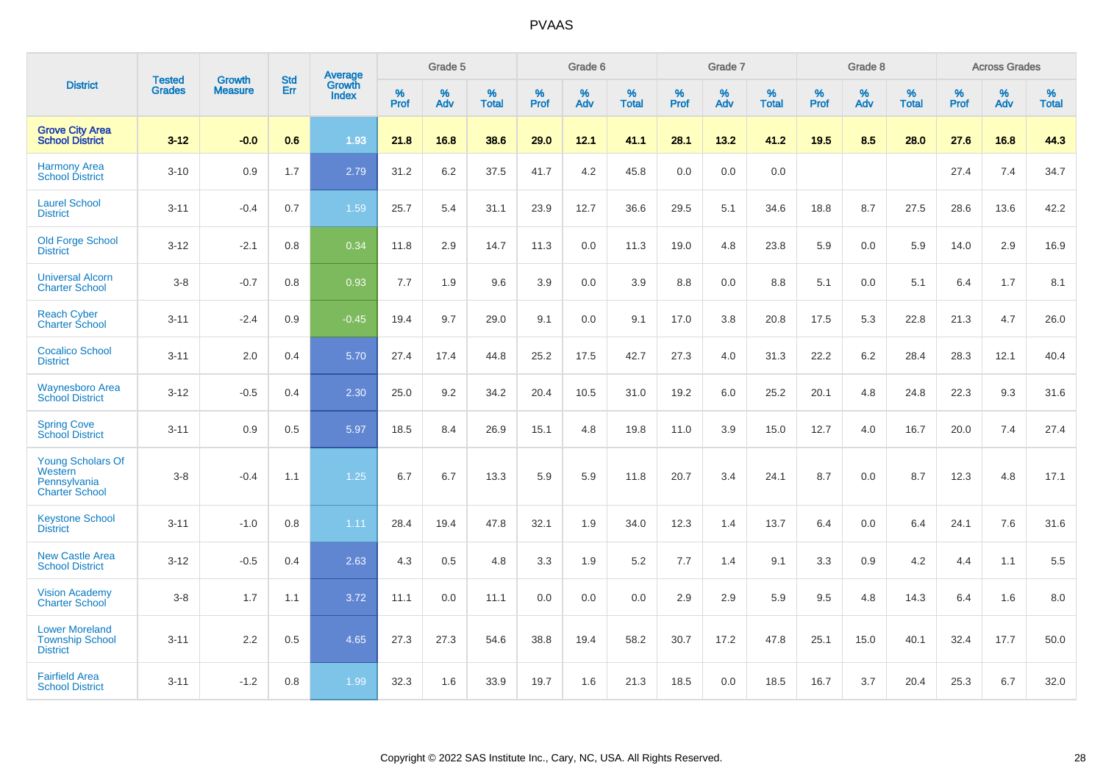|                                                                              |                                |                                 | <b>Std</b> | Average                       |           | Grade 5  |                   |           | Grade 6  |                   |           | Grade 7  |                   |           | Grade 8  |                   |           | <b>Across Grades</b> |                   |
|------------------------------------------------------------------------------|--------------------------------|---------------------------------|------------|-------------------------------|-----------|----------|-------------------|-----------|----------|-------------------|-----------|----------|-------------------|-----------|----------|-------------------|-----------|----------------------|-------------------|
| <b>District</b>                                                              | <b>Tested</b><br><b>Grades</b> | <b>Growth</b><br><b>Measure</b> | Err        | <b>Growth</b><br><b>Index</b> | %<br>Prof | %<br>Adv | %<br><b>Total</b> | %<br>Prof | %<br>Adv | %<br><b>Total</b> | %<br>Prof | %<br>Adv | %<br><b>Total</b> | %<br>Prof | %<br>Adv | %<br><b>Total</b> | %<br>Prof | %<br>Adv             | %<br><b>Total</b> |
| <b>Grove City Area</b><br><b>School District</b>                             | $3 - 12$                       | $-0.0$                          | 0.6        | 1.93                          | 21.8      | 16.8     | 38.6              | 29.0      | 12.1     | 41.1              | 28.1      | 13.2     | 41.2              | 19.5      | 8.5      | 28.0              | 27.6      | 16.8                 | 44.3              |
| <b>Harmony Area</b><br><b>School District</b>                                | $3 - 10$                       | 0.9                             | 1.7        | 2.79                          | 31.2      | 6.2      | 37.5              | 41.7      | 4.2      | 45.8              | 0.0       | 0.0      | 0.0               |           |          |                   | 27.4      | 7.4                  | 34.7              |
| <b>Laurel School</b><br><b>District</b>                                      | $3 - 11$                       | $-0.4$                          | 0.7        | 1.59                          | 25.7      | 5.4      | 31.1              | 23.9      | 12.7     | 36.6              | 29.5      | 5.1      | 34.6              | 18.8      | 8.7      | 27.5              | 28.6      | 13.6                 | 42.2              |
| <b>Old Forge School</b><br><b>District</b>                                   | $3 - 12$                       | $-2.1$                          | 0.8        | 0.34                          | 11.8      | 2.9      | 14.7              | 11.3      | 0.0      | 11.3              | 19.0      | 4.8      | 23.8              | 5.9       | 0.0      | 5.9               | 14.0      | 2.9                  | 16.9              |
| <b>Universal Alcorn</b><br><b>Charter School</b>                             | $3 - 8$                        | $-0.7$                          | 0.8        | 0.93                          | 7.7       | 1.9      | 9.6               | 3.9       | 0.0      | 3.9               | 8.8       | 0.0      | 8.8               | 5.1       | 0.0      | 5.1               | 6.4       | 1.7                  | 8.1               |
| <b>Reach Cyber</b><br><b>Charter School</b>                                  | $3 - 11$                       | $-2.4$                          | 0.9        | $-0.45$                       | 19.4      | 9.7      | 29.0              | 9.1       | 0.0      | 9.1               | 17.0      | 3.8      | 20.8              | 17.5      | 5.3      | 22.8              | 21.3      | 4.7                  | 26.0              |
| <b>Cocalico School</b><br><b>District</b>                                    | $3 - 11$                       | 2.0                             | 0.4        | 5.70                          | 27.4      | 17.4     | 44.8              | 25.2      | 17.5     | 42.7              | 27.3      | 4.0      | 31.3              | 22.2      | $6.2\,$  | 28.4              | 28.3      | 12.1                 | 40.4              |
| <b>Waynesboro Area</b><br><b>School District</b>                             | $3 - 12$                       | $-0.5$                          | 0.4        | 2.30                          | 25.0      | 9.2      | 34.2              | 20.4      | 10.5     | 31.0              | 19.2      | 6.0      | 25.2              | 20.1      | 4.8      | 24.8              | 22.3      | 9.3                  | 31.6              |
| <b>Spring Cove</b><br><b>School District</b>                                 | $3 - 11$                       | 0.9                             | 0.5        | 5.97                          | 18.5      | 8.4      | 26.9              | 15.1      | 4.8      | 19.8              | 11.0      | 3.9      | 15.0              | 12.7      | 4.0      | 16.7              | 20.0      | 7.4                  | 27.4              |
| <b>Young Scholars Of</b><br>Western<br>Pennsylvania<br><b>Charter School</b> | $3 - 8$                        | $-0.4$                          | 1.1        | 1.25                          | 6.7       | 6.7      | 13.3              | 5.9       | 5.9      | 11.8              | 20.7      | 3.4      | 24.1              | 8.7       | 0.0      | 8.7               | 12.3      | 4.8                  | 17.1              |
| <b>Keystone School</b><br><b>District</b>                                    | $3 - 11$                       | $-1.0$                          | 0.8        | 1.11                          | 28.4      | 19.4     | 47.8              | 32.1      | 1.9      | 34.0              | 12.3      | 1.4      | 13.7              | 6.4       | 0.0      | 6.4               | 24.1      | 7.6                  | 31.6              |
| <b>New Castle Area</b><br><b>School District</b>                             | $3 - 12$                       | $-0.5$                          | 0.4        | 2.63                          | 4.3       | 0.5      | 4.8               | 3.3       | 1.9      | 5.2               | 7.7       | 1.4      | 9.1               | 3.3       | 0.9      | 4.2               | 4.4       | 1.1                  | 5.5               |
| <b>Vision Academy</b><br>Charter School                                      | $3 - 8$                        | 1.7                             | 1.1        | 3.72                          | 11.1      | 0.0      | 11.1              | 0.0       | 0.0      | 0.0               | 2.9       | 2.9      | 5.9               | 9.5       | 4.8      | 14.3              | 6.4       | 1.6                  | 8.0               |
| <b>Lower Moreland</b><br><b>Township School</b><br><b>District</b>           | $3 - 11$                       | 2.2                             | 0.5        | 4.65                          | 27.3      | 27.3     | 54.6              | 38.8      | 19.4     | 58.2              | 30.7      | 17.2     | 47.8              | 25.1      | 15.0     | 40.1              | 32.4      | 17.7                 | 50.0              |
| <b>Fairfield Area</b><br><b>School District</b>                              | $3 - 11$                       | $-1.2$                          | 0.8        | 1.99                          | 32.3      | 1.6      | 33.9              | 19.7      | 1.6      | 21.3              | 18.5      | 0.0      | 18.5              | 16.7      | 3.7      | 20.4              | 25.3      | 6.7                  | 32.0              |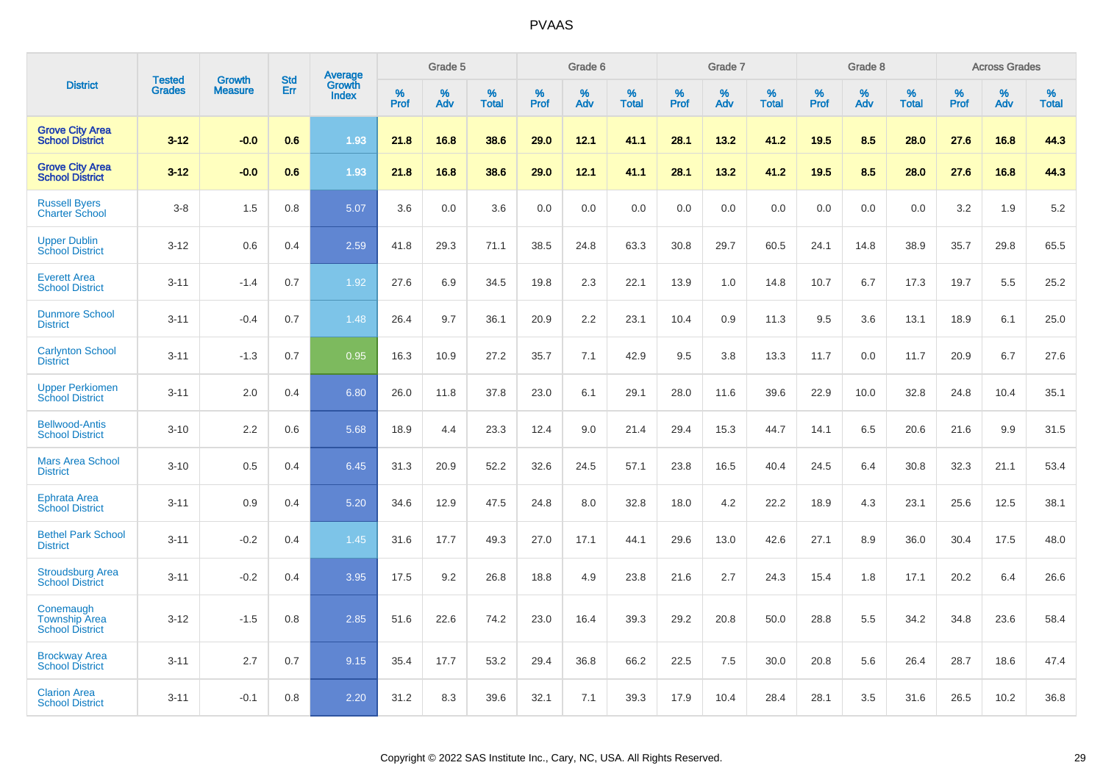|                                                             |                         | <b>Growth</b>  | <b>Std</b> | Average                |              | Grade 5     |                      |                     | Grade 6     |                      |              | Grade 7     |                   |              | Grade 8     |                   |                     | <b>Across Grades</b> |                      |
|-------------------------------------------------------------|-------------------------|----------------|------------|------------------------|--------------|-------------|----------------------|---------------------|-------------|----------------------|--------------|-------------|-------------------|--------------|-------------|-------------------|---------------------|----------------------|----------------------|
| <b>District</b>                                             | Tested<br><b>Grades</b> | <b>Measure</b> | Err        | Growth<br><b>Index</b> | $\%$<br>Prof | $\%$<br>Adv | $\%$<br><b>Total</b> | $\%$<br><b>Prof</b> | $\%$<br>Adv | $\%$<br><b>Total</b> | $\%$<br>Prof | $\%$<br>Adv | %<br><b>Total</b> | $\%$<br>Prof | $\%$<br>Adv | %<br><b>Total</b> | $\%$<br><b>Prof</b> | $\%$<br>Adv          | $\%$<br><b>Total</b> |
| <b>Grove City Area</b><br><b>School District</b>            | $3 - 12$                | $-0.0$         | 0.6        | 1.93                   | 21.8         | 16.8        | 38.6                 | 29.0                | 12.1        | 41.1                 | 28.1         | 13.2        | 41.2              | 19.5         | 8.5         | 28.0              | 27.6                | 16.8                 | 44.3                 |
| <b>Grove City Area</b><br><b>School District</b>            | $3 - 12$                | $-0.0$         | 0.6        | 1.93                   | 21.8         | 16.8        | 38.6                 | 29.0                | 12.1        | 41.1                 | 28.1         | 13.2        | 41.2              | 19.5         | 8.5         | 28.0              | 27.6                | 16.8                 | 44.3                 |
| <b>Russell Byers</b><br><b>Charter School</b>               | $3 - 8$                 | 1.5            | 0.8        | 5.07                   | 3.6          | 0.0         | 3.6                  | 0.0                 | 0.0         | 0.0                  | 0.0          | 0.0         | 0.0               | 0.0          | 0.0         | 0.0               | 3.2                 | 1.9                  | 5.2                  |
| <b>Upper Dublin</b><br><b>School District</b>               | $3 - 12$                | 0.6            | 0.4        | 2.59                   | 41.8         | 29.3        | 71.1                 | 38.5                | 24.8        | 63.3                 | 30.8         | 29.7        | 60.5              | 24.1         | 14.8        | 38.9              | 35.7                | 29.8                 | 65.5                 |
| <b>Everett Area</b><br><b>School District</b>               | $3 - 11$                | $-1.4$         | 0.7        | 1.92                   | 27.6         | 6.9         | 34.5                 | 19.8                | 2.3         | 22.1                 | 13.9         | 1.0         | 14.8              | 10.7         | 6.7         | 17.3              | 19.7                | 5.5                  | 25.2                 |
| <b>Dunmore School</b><br><b>District</b>                    | $3 - 11$                | $-0.4$         | 0.7        | 1.48                   | 26.4         | 9.7         | 36.1                 | 20.9                | 2.2         | 23.1                 | 10.4         | 0.9         | 11.3              | 9.5          | 3.6         | 13.1              | 18.9                | 6.1                  | 25.0                 |
| <b>Carlynton School</b><br><b>District</b>                  | $3 - 11$                | $-1.3$         | 0.7        | 0.95                   | 16.3         | 10.9        | 27.2                 | 35.7                | 7.1         | 42.9                 | 9.5          | 3.8         | 13.3              | 11.7         | 0.0         | 11.7              | 20.9                | 6.7                  | 27.6                 |
| <b>Upper Perkiomen</b><br><b>School District</b>            | $3 - 11$                | 2.0            | 0.4        | 6.80                   | 26.0         | 11.8        | 37.8                 | 23.0                | 6.1         | 29.1                 | 28.0         | 11.6        | 39.6              | 22.9         | 10.0        | 32.8              | 24.8                | 10.4                 | 35.1                 |
| <b>Bellwood-Antis</b><br><b>School District</b>             | $3 - 10$                | 2.2            | 0.6        | 5.68                   | 18.9         | 4.4         | 23.3                 | 12.4                | 9.0         | 21.4                 | 29.4         | 15.3        | 44.7              | 14.1         | 6.5         | 20.6              | 21.6                | 9.9                  | 31.5                 |
| <b>Mars Area School</b><br><b>District</b>                  | $3 - 10$                | 0.5            | 0.4        | 6.45                   | 31.3         | 20.9        | 52.2                 | 32.6                | 24.5        | 57.1                 | 23.8         | 16.5        | 40.4              | 24.5         | 6.4         | 30.8              | 32.3                | 21.1                 | 53.4                 |
| Ephrata Area<br><b>School District</b>                      | $3 - 11$                | 0.9            | 0.4        | 5.20                   | 34.6         | 12.9        | 47.5                 | 24.8                | 8.0         | 32.8                 | 18.0         | 4.2         | 22.2              | 18.9         | 4.3         | 23.1              | 25.6                | 12.5                 | 38.1                 |
| <b>Bethel Park School</b><br><b>District</b>                | $3 - 11$                | $-0.2$         | 0.4        | 1.45                   | 31.6         | 17.7        | 49.3                 | 27.0                | 17.1        | 44.1                 | 29.6         | 13.0        | 42.6              | 27.1         | 8.9         | 36.0              | 30.4                | 17.5                 | 48.0                 |
| <b>Stroudsburg Area</b><br><b>School District</b>           | $3 - 11$                | $-0.2$         | 0.4        | 3.95                   | 17.5         | 9.2         | 26.8                 | 18.8                | 4.9         | 23.8                 | 21.6         | 2.7         | 24.3              | 15.4         | 1.8         | 17.1              | 20.2                | 6.4                  | 26.6                 |
| Conemaugh<br><b>Township Area</b><br><b>School District</b> | $3 - 12$                | $-1.5$         | 0.8        | 2.85                   | 51.6         | 22.6        | 74.2                 | 23.0                | 16.4        | 39.3                 | 29.2         | 20.8        | 50.0              | 28.8         | 5.5         | 34.2              | 34.8                | 23.6                 | 58.4                 |
| <b>Brockway Area</b><br><b>School District</b>              | $3 - 11$                | 2.7            | 0.7        | 9.15                   | 35.4         | 17.7        | 53.2                 | 29.4                | 36.8        | 66.2                 | 22.5         | 7.5         | 30.0              | 20.8         | 5.6         | 26.4              | 28.7                | 18.6                 | 47.4                 |
| <b>Clarion Area</b><br><b>School District</b>               | $3 - 11$                | $-0.1$         | 0.8        | 2.20                   | 31.2         | 8.3         | 39.6                 | 32.1                | 7.1         | 39.3                 | 17.9         | 10.4        | 28.4              | 28.1         | 3.5         | 31.6              | 26.5                | 10.2                 | 36.8                 |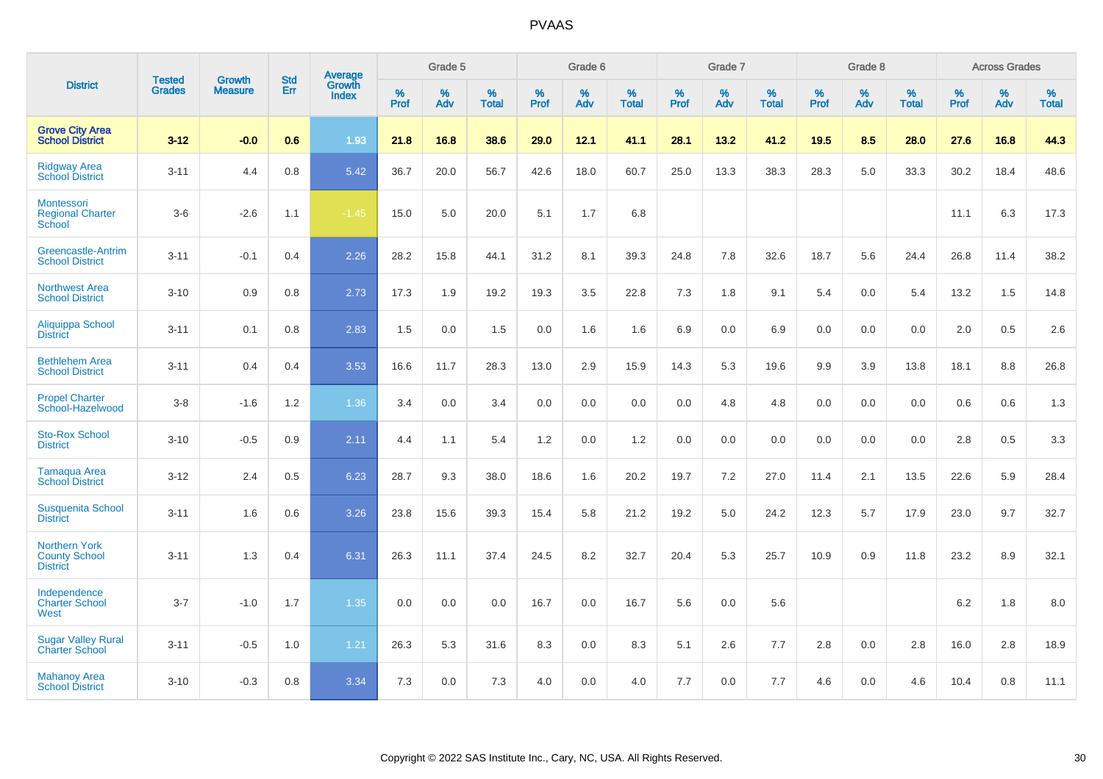|                                                                 | <b>Tested</b> | <b>Growth</b>  | <b>Std</b> | Average                |              | Grade 5  |                   |           | Grade 6  |                   |           | Grade 7  |                   |           | Grade 8  |                   |           | <b>Across Grades</b> |                   |
|-----------------------------------------------------------------|---------------|----------------|------------|------------------------|--------------|----------|-------------------|-----------|----------|-------------------|-----------|----------|-------------------|-----------|----------|-------------------|-----------|----------------------|-------------------|
| <b>District</b>                                                 | <b>Grades</b> | <b>Measure</b> | Err        | Growth<br><b>Index</b> | $\%$<br>Prof | %<br>Adv | %<br><b>Total</b> | %<br>Prof | %<br>Adv | %<br><b>Total</b> | %<br>Prof | %<br>Adv | %<br><b>Total</b> | %<br>Prof | %<br>Adv | %<br><b>Total</b> | %<br>Prof | %<br>Adv             | %<br><b>Total</b> |
| <b>Grove City Area</b><br><b>School District</b>                | $3 - 12$      | $-0.0$         | 0.6        | 1.93                   | 21.8         | 16.8     | 38.6              | 29.0      | 12.1     | 41.1              | 28.1      | 13.2     | 41.2              | 19.5      | 8.5      | 28.0              | 27.6      | 16.8                 | 44.3              |
| <b>Ridgway Area</b><br><b>School District</b>                   | $3 - 11$      | 4.4            | 0.8        | 5.42                   | 36.7         | 20.0     | 56.7              | 42.6      | 18.0     | 60.7              | 25.0      | 13.3     | 38.3              | 28.3      | 5.0      | 33.3              | 30.2      | 18.4                 | 48.6              |
| Montessori<br><b>Regional Charter</b><br>School                 | $3-6$         | $-2.6$         | 1.1        | $-1.45$                | 15.0         | 5.0      | 20.0              | 5.1       | 1.7      | 6.8               |           |          |                   |           |          |                   | 11.1      | 6.3                  | 17.3              |
| Greencastle-Antrim<br><b>School District</b>                    | $3 - 11$      | $-0.1$         | 0.4        | 2.26                   | 28.2         | 15.8     | 44.1              | 31.2      | 8.1      | 39.3              | 24.8      | 7.8      | 32.6              | 18.7      | 5.6      | 24.4              | 26.8      | 11.4                 | 38.2              |
| <b>Northwest Area</b><br><b>School District</b>                 | $3 - 10$      | 0.9            | 0.8        | 2.73                   | 17.3         | 1.9      | 19.2              | 19.3      | 3.5      | 22.8              | 7.3       | 1.8      | 9.1               | 5.4       | 0.0      | 5.4               | 13.2      | 1.5                  | 14.8              |
| Aliquippa School<br><b>District</b>                             | $3 - 11$      | 0.1            | 0.8        | 2.83                   | 1.5          | 0.0      | 1.5               | 0.0       | 1.6      | 1.6               | 6.9       | 0.0      | 6.9               | 0.0       | 0.0      | 0.0               | 2.0       | 0.5                  | 2.6               |
| <b>Bethlehem Area</b><br><b>School District</b>                 | $3 - 11$      | 0.4            | 0.4        | 3.53                   | 16.6         | 11.7     | 28.3              | 13.0      | 2.9      | 15.9              | 14.3      | 5.3      | 19.6              | 9.9       | 3.9      | 13.8              | 18.1      | 8.8                  | 26.8              |
| <b>Propel Charter</b><br>School-Hazelwood                       | $3 - 8$       | $-1.6$         | $1.2$      | 1.36                   | 3.4          | 0.0      | 3.4               | 0.0       | 0.0      | 0.0               | 0.0       | 4.8      | 4.8               | 0.0       | 0.0      | 0.0               | 0.6       | 0.6                  | 1.3               |
| <b>Sto-Rox School</b><br><b>District</b>                        | $3 - 10$      | $-0.5$         | 0.9        | 2.11                   | 4.4          | 1.1      | 5.4               | 1.2       | 0.0      | 1.2               | 0.0       | 0.0      | 0.0               | 0.0       | 0.0      | 0.0               | 2.8       | 0.5                  | 3.3               |
| Tamaqua Area<br><b>School District</b>                          | $3 - 12$      | 2.4            | 0.5        | 6.23                   | 28.7         | 9.3      | 38.0              | 18.6      | 1.6      | 20.2              | 19.7      | $7.2\,$  | 27.0              | 11.4      | 2.1      | 13.5              | 22.6      | 5.9                  | 28.4              |
| <b>Susquenita School</b><br><b>District</b>                     | $3 - 11$      | 1.6            | 0.6        | 3.26                   | 23.8         | 15.6     | 39.3              | 15.4      | 5.8      | 21.2              | 19.2      | 5.0      | 24.2              | 12.3      | 5.7      | 17.9              | 23.0      | 9.7                  | 32.7              |
| <b>Northern York</b><br><b>County School</b><br><b>District</b> | $3 - 11$      | 1.3            | 0.4        | 6.31                   | 26.3         | 11.1     | 37.4              | 24.5      | 8.2      | 32.7              | 20.4      | 5.3      | 25.7              | 10.9      | 0.9      | 11.8              | 23.2      | 8.9                  | 32.1              |
| Independence<br><b>Charter School</b><br>West                   | $3 - 7$       | $-1.0$         | 1.7        | 1.35                   | 0.0          | 0.0      | 0.0               | 16.7      | 0.0      | 16.7              | 5.6       | 0.0      | 5.6               |           |          |                   | $6.2\,$   | 1.8                  | $8.0\,$           |
| <b>Sugar Valley Rural</b><br><b>Charter School</b>              | $3 - 11$      | $-0.5$         | 1.0        | 1.21                   | 26.3         | 5.3      | 31.6              | 8.3       | 0.0      | 8.3               | 5.1       | 2.6      | 7.7               | 2.8       | 0.0      | 2.8               | 16.0      | 2.8                  | 18.9              |
| <b>Mahanoy Area</b><br><b>School District</b>                   | $3 - 10$      | $-0.3$         | 0.8        | 3.34                   | 7.3          | 0.0      | 7.3               | 4.0       | 0.0      | 4.0               | 7.7       | 0.0      | 7.7               | 4.6       | 0.0      | 4.6               | 10.4      | 0.8                  | 11.1              |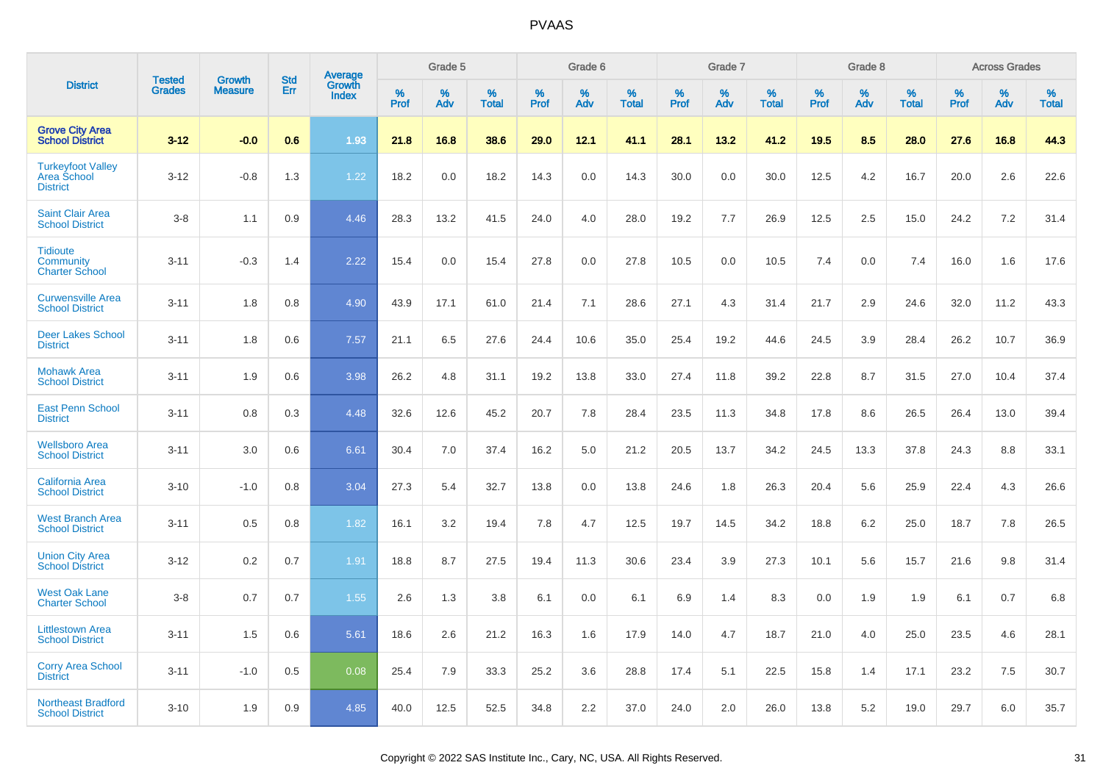|                                                                   |                                |                                 |                   |                                          |              | Grade 5  |                   |              | Grade 6  |                   |              | Grade 7  |                   |              | Grade 8  |                   |              | <b>Across Grades</b> |                   |
|-------------------------------------------------------------------|--------------------------------|---------------------------------|-------------------|------------------------------------------|--------------|----------|-------------------|--------------|----------|-------------------|--------------|----------|-------------------|--------------|----------|-------------------|--------------|----------------------|-------------------|
| <b>District</b>                                                   | <b>Tested</b><br><b>Grades</b> | <b>Growth</b><br><b>Measure</b> | <b>Std</b><br>Err | <b>Average</b><br>Growth<br><b>Index</b> | $\%$<br>Prof | %<br>Adv | %<br><b>Total</b> | $\%$<br>Prof | %<br>Adv | %<br><b>Total</b> | $\%$<br>Prof | %<br>Adv | %<br><b>Total</b> | $\%$<br>Prof | %<br>Adv | %<br><b>Total</b> | $\%$<br>Prof | %<br>Adv             | %<br><b>Total</b> |
| <b>Grove City Area</b><br><b>School District</b>                  | $3 - 12$                       | $-0.0$                          | 0.6               | 1.93                                     | 21.8         | 16.8     | 38.6              | 29.0         | 12.1     | 41.1              | 28.1         | 13.2     | 41.2              | 19.5         | 8.5      | 28.0              | 27.6         | 16.8                 | 44.3              |
| <b>Turkeyfoot Valley</b><br><b>Area School</b><br><b>District</b> | $3 - 12$                       | $-0.8$                          | 1.3               | 1.22                                     | 18.2         | 0.0      | 18.2              | 14.3         | 0.0      | 14.3              | 30.0         | 0.0      | 30.0              | 12.5         | 4.2      | 16.7              | 20.0         | 2.6                  | 22.6              |
| <b>Saint Clair Area</b><br><b>School District</b>                 | $3 - 8$                        | 1.1                             | 0.9               | 4.46                                     | 28.3         | 13.2     | 41.5              | 24.0         | 4.0      | 28.0              | 19.2         | 7.7      | 26.9              | 12.5         | 2.5      | 15.0              | 24.2         | 7.2                  | 31.4              |
| <b>Tidioute</b><br>Community<br><b>Charter School</b>             | $3 - 11$                       | $-0.3$                          | 1.4               | 2.22                                     | 15.4         | 0.0      | 15.4              | 27.8         | 0.0      | 27.8              | 10.5         | 0.0      | 10.5              | 7.4          | 0.0      | 7.4               | 16.0         | 1.6                  | 17.6              |
| <b>Curwensville Area</b><br><b>School District</b>                | $3 - 11$                       | 1.8                             | 0.8               | 4.90                                     | 43.9         | 17.1     | 61.0              | 21.4         | 7.1      | 28.6              | 27.1         | 4.3      | 31.4              | 21.7         | 2.9      | 24.6              | 32.0         | 11.2                 | 43.3              |
| <b>Deer Lakes School</b><br><b>District</b>                       | $3 - 11$                       | 1.8                             | 0.6               | 7.57                                     | 21.1         | 6.5      | 27.6              | 24.4         | 10.6     | 35.0              | 25.4         | 19.2     | 44.6              | 24.5         | 3.9      | 28.4              | 26.2         | 10.7                 | 36.9              |
| <b>Mohawk Area</b><br><b>School District</b>                      | $3 - 11$                       | 1.9                             | 0.6               | 3.98                                     | 26.2         | 4.8      | 31.1              | 19.2         | 13.8     | 33.0              | 27.4         | 11.8     | 39.2              | 22.8         | 8.7      | 31.5              | 27.0         | 10.4                 | 37.4              |
| <b>East Penn School</b><br><b>District</b>                        | $3 - 11$                       | 0.8                             | 0.3               | 4.48                                     | 32.6         | 12.6     | 45.2              | 20.7         | 7.8      | 28.4              | 23.5         | 11.3     | 34.8              | 17.8         | 8.6      | 26.5              | 26.4         | 13.0                 | 39.4              |
| <b>Wellsboro Area</b><br><b>School District</b>                   | $3 - 11$                       | 3.0                             | 0.6               | 6.61                                     | 30.4         | 7.0      | 37.4              | 16.2         | 5.0      | 21.2              | 20.5         | 13.7     | 34.2              | 24.5         | 13.3     | 37.8              | 24.3         | 8.8                  | 33.1              |
| <b>California Area</b><br><b>School District</b>                  | $3 - 10$                       | $-1.0$                          | 0.8               | 3.04                                     | 27.3         | 5.4      | 32.7              | 13.8         | 0.0      | 13.8              | 24.6         | 1.8      | 26.3              | 20.4         | 5.6      | 25.9              | 22.4         | 4.3                  | 26.6              |
| <b>West Branch Area</b><br><b>School District</b>                 | $3 - 11$                       | 0.5                             | 0.8               | 1.82                                     | 16.1         | 3.2      | 19.4              | 7.8          | 4.7      | 12.5              | 19.7         | 14.5     | 34.2              | 18.8         | 6.2      | 25.0              | 18.7         | 7.8                  | 26.5              |
| <b>Union City Area</b><br><b>School District</b>                  | $3 - 12$                       | 0.2                             | 0.7               | 1.91                                     | 18.8         | 8.7      | 27.5              | 19.4         | 11.3     | 30.6              | 23.4         | 3.9      | 27.3              | 10.1         | 5.6      | 15.7              | 21.6         | 9.8                  | 31.4              |
| <b>West Oak Lane</b><br><b>Charter School</b>                     | $3 - 8$                        | 0.7                             | 0.7               | 1.55                                     | 2.6          | 1.3      | 3.8               | 6.1          | 0.0      | 6.1               | 6.9          | 1.4      | 8.3               | 0.0          | 1.9      | 1.9               | 6.1          | 0.7                  | 6.8               |
| <b>Littlestown Area</b><br><b>School District</b>                 | $3 - 11$                       | 1.5                             | 0.6               | 5.61                                     | 18.6         | 2.6      | 21.2              | 16.3         | 1.6      | 17.9              | 14.0         | 4.7      | 18.7              | 21.0         | 4.0      | 25.0              | 23.5         | 4.6                  | 28.1              |
| <b>Corry Area School</b><br><b>District</b>                       | $3 - 11$                       | $-1.0$                          | 0.5               | 0.08                                     | 25.4         | 7.9      | 33.3              | 25.2         | 3.6      | 28.8              | 17.4         | 5.1      | 22.5              | 15.8         | 1.4      | 17.1              | 23.2         | 7.5                  | 30.7              |
| <b>Northeast Bradford</b><br><b>School District</b>               | $3 - 10$                       | 1.9                             | 0.9               | 4.85                                     | 40.0         | 12.5     | 52.5              | 34.8         | 2.2      | 37.0              | 24.0         | 2.0      | 26.0              | 13.8         | 5.2      | 19.0              | 29.7         | 6.0                  | 35.7              |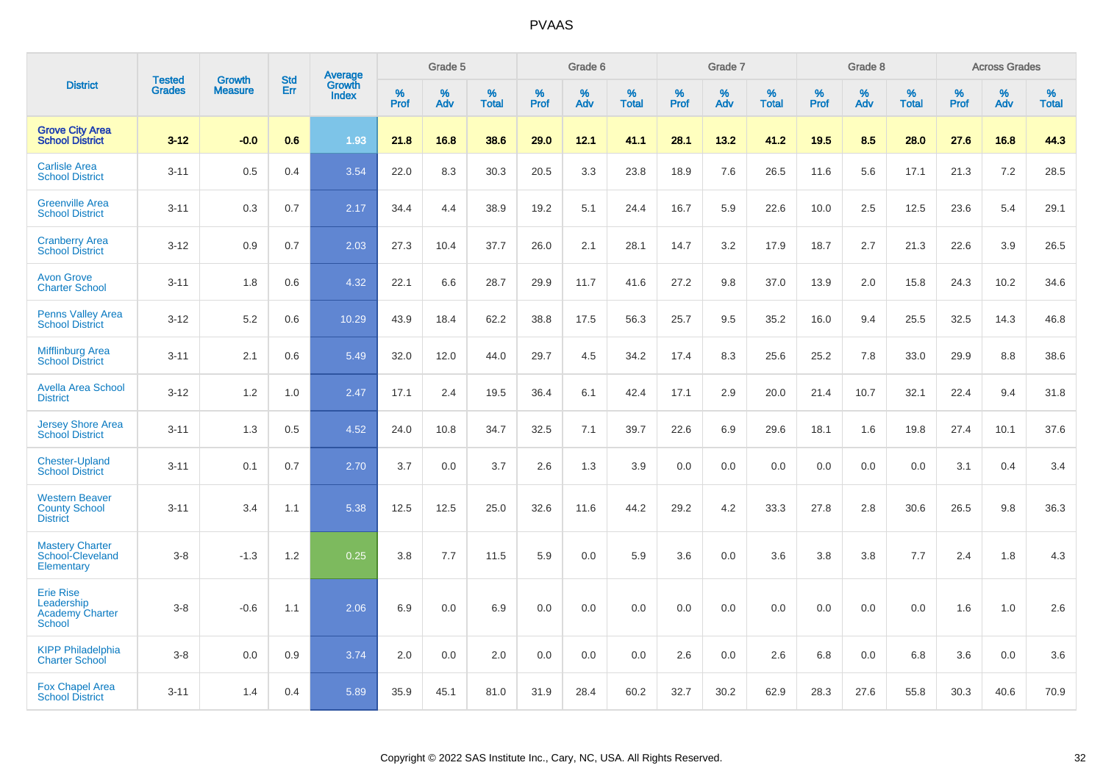|                                                                           | <b>Tested</b> | <b>Growth</b>  | <b>Std</b> | Average         |           | Grade 5  |                   |                  | Grade 6  |                   |           | Grade 7  |                   |           | Grade 8  |                   |                     | <b>Across Grades</b> |                   |
|---------------------------------------------------------------------------|---------------|----------------|------------|-----------------|-----------|----------|-------------------|------------------|----------|-------------------|-----------|----------|-------------------|-----------|----------|-------------------|---------------------|----------------------|-------------------|
| <b>District</b>                                                           | <b>Grades</b> | <b>Measure</b> | Err        | Growth<br>Index | %<br>Prof | %<br>Adv | %<br><b>Total</b> | %<br><b>Prof</b> | %<br>Adv | %<br><b>Total</b> | %<br>Prof | %<br>Adv | %<br><b>Total</b> | %<br>Prof | %<br>Adv | %<br><b>Total</b> | $\%$<br><b>Prof</b> | $\%$<br>Adv          | %<br><b>Total</b> |
| <b>Grove City Area</b><br><b>School District</b>                          | $3 - 12$      | $-0.0$         | 0.6        | 1.93            | 21.8      | 16.8     | 38.6              | 29.0             | 12.1     | 41.1              | 28.1      | 13.2     | 41.2              | 19.5      | 8.5      | 28.0              | 27.6                | 16.8                 | 44.3              |
| <b>Carlisle Area</b><br><b>School District</b>                            | $3 - 11$      | 0.5            | 0.4        | 3.54            | 22.0      | 8.3      | 30.3              | 20.5             | 3.3      | 23.8              | 18.9      | 7.6      | 26.5              | 11.6      | 5.6      | 17.1              | 21.3                | 7.2                  | 28.5              |
| <b>Greenville Area</b><br><b>School District</b>                          | $3 - 11$      | 0.3            | 0.7        | 2.17            | 34.4      | 4.4      | 38.9              | 19.2             | 5.1      | 24.4              | 16.7      | 5.9      | 22.6              | 10.0      | 2.5      | 12.5              | 23.6                | 5.4                  | 29.1              |
| <b>Cranberry Area</b><br><b>School District</b>                           | $3 - 12$      | 0.9            | 0.7        | 2.03            | 27.3      | 10.4     | 37.7              | 26.0             | 2.1      | 28.1              | 14.7      | 3.2      | 17.9              | 18.7      | 2.7      | 21.3              | 22.6                | 3.9                  | 26.5              |
| <b>Avon Grove</b><br><b>Charter School</b>                                | $3 - 11$      | 1.8            | 0.6        | 4.32            | 22.1      | 6.6      | 28.7              | 29.9             | 11.7     | 41.6              | 27.2      | 9.8      | 37.0              | 13.9      | 2.0      | 15.8              | 24.3                | 10.2                 | 34.6              |
| <b>Penns Valley Area</b><br><b>School District</b>                        | $3 - 12$      | 5.2            | 0.6        | 10.29           | 43.9      | 18.4     | 62.2              | 38.8             | 17.5     | 56.3              | 25.7      | 9.5      | 35.2              | 16.0      | 9.4      | 25.5              | 32.5                | 14.3                 | 46.8              |
| <b>Mifflinburg Area</b><br><b>School District</b>                         | $3 - 11$      | 2.1            | 0.6        | 5.49            | 32.0      | 12.0     | 44.0              | 29.7             | 4.5      | 34.2              | 17.4      | 8.3      | 25.6              | 25.2      | 7.8      | 33.0              | 29.9                | 8.8                  | 38.6              |
| <b>Avella Area School</b><br><b>District</b>                              | $3 - 12$      | 1.2            | 1.0        | 2.47            | 17.1      | 2.4      | 19.5              | 36.4             | 6.1      | 42.4              | 17.1      | 2.9      | 20.0              | 21.4      | 10.7     | 32.1              | 22.4                | 9.4                  | 31.8              |
| <b>Jersey Shore Area</b><br><b>School District</b>                        | $3 - 11$      | 1.3            | 0.5        | 4.52            | 24.0      | 10.8     | 34.7              | 32.5             | 7.1      | 39.7              | 22.6      | 6.9      | 29.6              | 18.1      | 1.6      | 19.8              | 27.4                | 10.1                 | 37.6              |
| <b>Chester-Upland</b><br><b>School District</b>                           | $3 - 11$      | 0.1            | 0.7        | 2.70            | 3.7       | 0.0      | 3.7               | 2.6              | 1.3      | 3.9               | 0.0       | 0.0      | 0.0               | 0.0       | 0.0      | 0.0               | 3.1                 | 0.4                  | 3.4               |
| <b>Western Beaver</b><br><b>County School</b><br><b>District</b>          | $3 - 11$      | 3.4            | 1.1        | 5.38            | 12.5      | 12.5     | 25.0              | 32.6             | 11.6     | 44.2              | 29.2      | 4.2      | 33.3              | 27.8      | 2.8      | 30.6              | 26.5                | 9.8                  | 36.3              |
| <b>Mastery Charter</b><br>School-Cleveland<br>Elementary                  | $3 - 8$       | $-1.3$         | 1.2        | 0.25            | 3.8       | 7.7      | 11.5              | 5.9              | 0.0      | 5.9               | 3.6       | 0.0      | 3.6               | 3.8       | 3.8      | 7.7               | 2.4                 | 1.8                  | 4.3               |
| <b>Erie Rise</b><br>Leadership<br><b>Academy Charter</b><br><b>School</b> | $3 - 8$       | $-0.6$         | 1.1        | 2.06            | 6.9       | 0.0      | 6.9               | 0.0              | 0.0      | 0.0               | 0.0       | 0.0      | 0.0               | 0.0       | 0.0      | 0.0               | 1.6                 | 1.0                  | 2.6               |
| <b>KIPP Philadelphia</b><br><b>Charter School</b>                         | $3 - 8$       | 0.0            | 0.9        | 3.74            | 2.0       | 0.0      | 2.0               | 0.0              | 0.0      | 0.0               | 2.6       | 0.0      | 2.6               | 6.8       | 0.0      | 6.8               | 3.6                 | 0.0                  | 3.6               |
| <b>Fox Chapel Area</b><br><b>School District</b>                          | $3 - 11$      | 1.4            | 0.4        | 5.89            | 35.9      | 45.1     | 81.0              | 31.9             | 28.4     | 60.2              | 32.7      | 30.2     | 62.9              | 28.3      | 27.6     | 55.8              | 30.3                | 40.6                 | 70.9              |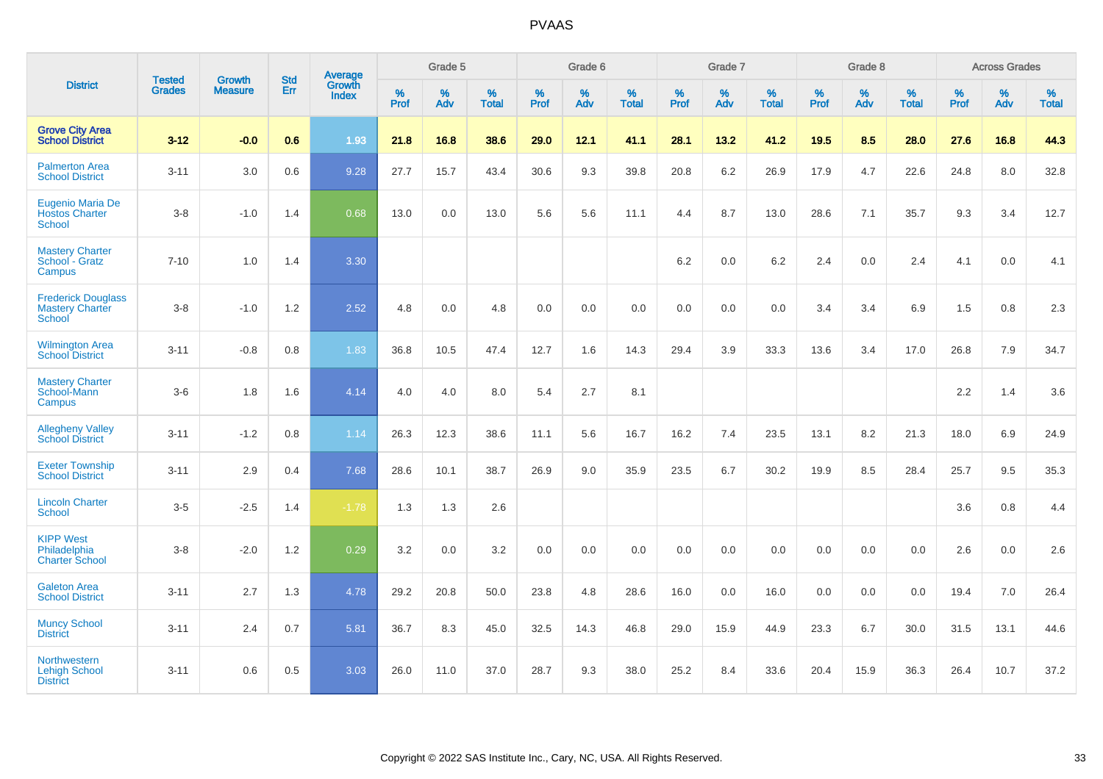|                                                               |                                | <b>Growth</b>  | <b>Std</b> | Average         |              | Grade 5  |                   |              | Grade 6  |                   |              | Grade 7  |                   |              | Grade 8  |                   |              | <b>Across Grades</b> |                   |
|---------------------------------------------------------------|--------------------------------|----------------|------------|-----------------|--------------|----------|-------------------|--------------|----------|-------------------|--------------|----------|-------------------|--------------|----------|-------------------|--------------|----------------------|-------------------|
| <b>District</b>                                               | <b>Tested</b><br><b>Grades</b> | <b>Measure</b> | Err        | Growth<br>Index | $\%$<br>Prof | %<br>Adv | %<br><b>Total</b> | $\%$<br>Prof | %<br>Adv | %<br><b>Total</b> | $\%$<br>Prof | %<br>Adv | %<br><b>Total</b> | $\%$<br>Prof | %<br>Adv | %<br><b>Total</b> | $\%$<br>Prof | %<br>Adv             | %<br><b>Total</b> |
| <b>Grove City Area</b><br><b>School District</b>              | $3 - 12$                       | $-0.0$         | 0.6        | 1.93            | 21.8         | 16.8     | 38.6              | 29.0         | 12.1     | 41.1              | 28.1         | 13.2     | 41.2              | 19.5         | 8.5      | 28.0              | 27.6         | 16.8                 | 44.3              |
| <b>Palmerton Area</b><br><b>School District</b>               | $3 - 11$                       | 3.0            | 0.6        | 9.28            | 27.7         | 15.7     | 43.4              | 30.6         | 9.3      | 39.8              | 20.8         | 6.2      | 26.9              | 17.9         | 4.7      | 22.6              | 24.8         | 8.0                  | 32.8              |
| Eugenio Maria De<br><b>Hostos Charter</b><br><b>School</b>    | $3 - 8$                        | $-1.0$         | 1.4        | 0.68            | 13.0         | 0.0      | 13.0              | 5.6          | 5.6      | 11.1              | 4.4          | 8.7      | 13.0              | 28.6         | 7.1      | 35.7              | 9.3          | 3.4                  | 12.7              |
| <b>Mastery Charter</b><br>School - Gratz<br>Campus            | $7 - 10$                       | 1.0            | 1.4        | 3.30            |              |          |                   |              |          |                   | 6.2          | 0.0      | 6.2               | 2.4          | 0.0      | 2.4               | 4.1          | 0.0                  | 4.1               |
| <b>Frederick Douglass</b><br><b>Mastery Charter</b><br>School | $3 - 8$                        | $-1.0$         | 1.2        | 2.52            | 4.8          | 0.0      | 4.8               | 0.0          | 0.0      | 0.0               | 0.0          | 0.0      | 0.0               | 3.4          | 3.4      | 6.9               | 1.5          | 0.8                  | $2.3\,$           |
| <b>Wilmington Area</b><br><b>School District</b>              | $3 - 11$                       | $-0.8$         | 0.8        | 1.83            | 36.8         | 10.5     | 47.4              | 12.7         | 1.6      | 14.3              | 29.4         | 3.9      | 33.3              | 13.6         | 3.4      | 17.0              | 26.8         | 7.9                  | 34.7              |
| <b>Mastery Charter</b><br>School-Mann<br>Campus               | $3-6$                          | 1.8            | 1.6        | 4.14            | 4.0          | 4.0      | 8.0               | 5.4          | 2.7      | 8.1               |              |          |                   |              |          |                   | $2.2\,$      | 1.4                  | 3.6               |
| <b>Allegheny Valley</b><br><b>School District</b>             | $3 - 11$                       | $-1.2$         | 0.8        | 1.14            | 26.3         | 12.3     | 38.6              | 11.1         | 5.6      | 16.7              | 16.2         | 7.4      | 23.5              | 13.1         | 8.2      | 21.3              | 18.0         | 6.9                  | 24.9              |
| <b>Exeter Township</b><br><b>School District</b>              | $3 - 11$                       | 2.9            | 0.4        | 7.68            | 28.6         | 10.1     | 38.7              | 26.9         | 9.0      | 35.9              | 23.5         | 6.7      | 30.2              | 19.9         | 8.5      | 28.4              | 25.7         | 9.5                  | 35.3              |
| <b>Lincoln Charter</b><br><b>School</b>                       | $3 - 5$                        | $-2.5$         | 1.4        | $-1.78$         | 1.3          | 1.3      | 2.6               |              |          |                   |              |          |                   |              |          |                   | 3.6          | 0.8                  | 4.4               |
| <b>KIPP West</b><br>Philadelphia<br><b>Charter School</b>     | $3 - 8$                        | $-2.0$         | 1.2        | 0.29            | 3.2          | 0.0      | 3.2               | 0.0          | 0.0      | 0.0               | 0.0          | 0.0      | 0.0               | 0.0          | 0.0      | 0.0               | 2.6          | 0.0                  | 2.6               |
| <b>Galeton Area</b><br><b>School District</b>                 | $3 - 11$                       | 2.7            | 1.3        | 4.78            | 29.2         | 20.8     | 50.0              | 23.8         | 4.8      | 28.6              | 16.0         | 0.0      | 16.0              | 0.0          | 0.0      | 0.0               | 19.4         | 7.0                  | 26.4              |
| <b>Muncy School</b><br><b>District</b>                        | $3 - 11$                       | 2.4            | 0.7        | 5.81            | 36.7         | 8.3      | 45.0              | 32.5         | 14.3     | 46.8              | 29.0         | 15.9     | 44.9              | 23.3         | 6.7      | 30.0              | 31.5         | 13.1                 | 44.6              |
| Northwestern<br><b>Lehigh School</b><br><b>District</b>       | $3 - 11$                       | 0.6            | 0.5        | 3.03            | 26.0         | 11.0     | 37.0              | 28.7         | 9.3      | 38.0              | 25.2         | 8.4      | 33.6              | 20.4         | 15.9     | 36.3              | 26.4         | 10.7                 | 37.2              |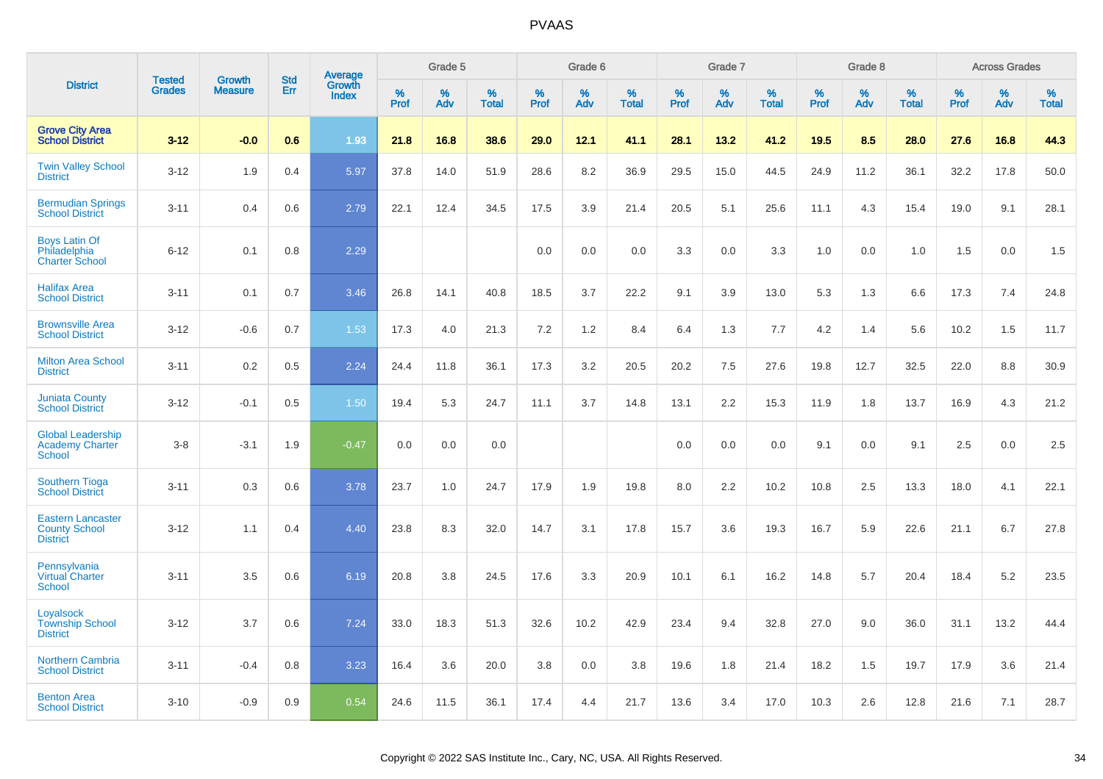|                                                                     | <b>Tested</b> | <b>Growth</b>  | <b>Std</b> |                                   |              | Grade 5  |                   |           | Grade 6  |                   |           | Grade 7  |                   |           | Grade 8  |                   |              | <b>Across Grades</b> |                   |
|---------------------------------------------------------------------|---------------|----------------|------------|-----------------------------------|--------------|----------|-------------------|-----------|----------|-------------------|-----------|----------|-------------------|-----------|----------|-------------------|--------------|----------------------|-------------------|
| <b>District</b>                                                     | <b>Grades</b> | <b>Measure</b> | <b>Err</b> | Average<br>Growth<br><b>Index</b> | $\%$<br>Prof | %<br>Adv | %<br><b>Total</b> | %<br>Prof | %<br>Adv | %<br><b>Total</b> | %<br>Prof | %<br>Adv | %<br><b>Total</b> | %<br>Prof | %<br>Adv | %<br><b>Total</b> | $\%$<br>Prof | %<br>Adv             | %<br><b>Total</b> |
| <b>Grove City Area</b><br><b>School District</b>                    | $3 - 12$      | $-0.0$         | 0.6        | 1.93                              | 21.8         | 16.8     | 38.6              | 29.0      | 12.1     | 41.1              | 28.1      | 13.2     | 41.2              | 19.5      | 8.5      | 28.0              | 27.6         | 16.8                 | 44.3              |
| <b>Twin Valley School</b><br><b>District</b>                        | $3 - 12$      | 1.9            | 0.4        | 5.97                              | 37.8         | 14.0     | 51.9              | 28.6      | 8.2      | 36.9              | 29.5      | 15.0     | 44.5              | 24.9      | 11.2     | 36.1              | 32.2         | 17.8                 | 50.0              |
| <b>Bermudian Springs</b><br><b>School District</b>                  | $3 - 11$      | 0.4            | 0.6        | 2.79                              | 22.1         | 12.4     | 34.5              | 17.5      | 3.9      | 21.4              | 20.5      | 5.1      | 25.6              | 11.1      | 4.3      | 15.4              | 19.0         | 9.1                  | 28.1              |
| <b>Boys Latin Of</b><br>Philadelphia<br><b>Charter School</b>       | $6 - 12$      | 0.1            | 0.8        | 2.29                              |              |          |                   | 0.0       | 0.0      | 0.0               | 3.3       | 0.0      | 3.3               | 1.0       | 0.0      | 1.0               | 1.5          | 0.0                  | 1.5               |
| <b>Halifax Area</b><br><b>School District</b>                       | $3 - 11$      | 0.1            | 0.7        | 3.46                              | 26.8         | 14.1     | 40.8              | 18.5      | 3.7      | 22.2              | 9.1       | 3.9      | 13.0              | 5.3       | 1.3      | 6.6               | 17.3         | 7.4                  | 24.8              |
| <b>Brownsville Area</b><br><b>School District</b>                   | $3 - 12$      | $-0.6$         | 0.7        | 1.53                              | 17.3         | 4.0      | 21.3              | 7.2       | 1.2      | 8.4               | 6.4       | 1.3      | 7.7               | 4.2       | 1.4      | 5.6               | 10.2         | 1.5                  | 11.7              |
| <b>Milton Area School</b><br><b>District</b>                        | $3 - 11$      | 0.2            | 0.5        | 2.24                              | 24.4         | 11.8     | 36.1              | 17.3      | 3.2      | 20.5              | 20.2      | 7.5      | 27.6              | 19.8      | 12.7     | 32.5              | 22.0         | 8.8                  | 30.9              |
| <b>Juniata County</b><br><b>School District</b>                     | $3 - 12$      | $-0.1$         | 0.5        | 1.50                              | 19.4         | 5.3      | 24.7              | 11.1      | 3.7      | 14.8              | 13.1      | 2.2      | 15.3              | 11.9      | 1.8      | 13.7              | 16.9         | 4.3                  | 21.2              |
| <b>Global Leadership</b><br><b>Academy Charter</b><br>School        | $3 - 8$       | $-3.1$         | 1.9        | $-0.47$                           | 0.0          | 0.0      | 0.0               |           |          |                   | 0.0       | 0.0      | 0.0               | 9.1       | 0.0      | 9.1               | 2.5          | 0.0                  | 2.5               |
| <b>Southern Tioga</b><br><b>School District</b>                     | $3 - 11$      | 0.3            | 0.6        | 3.78                              | 23.7         | 1.0      | 24.7              | 17.9      | 1.9      | 19.8              | 8.0       | 2.2      | 10.2              | 10.8      | 2.5      | 13.3              | 18.0         | 4.1                  | 22.1              |
| <b>Eastern Lancaster</b><br><b>County School</b><br><b>District</b> | $3 - 12$      | 1.1            | 0.4        | 4.40                              | 23.8         | 8.3      | 32.0              | 14.7      | 3.1      | 17.8              | 15.7      | 3.6      | 19.3              | 16.7      | 5.9      | 22.6              | 21.1         | 6.7                  | 27.8              |
| Pennsylvania<br><b>Virtual Charter</b><br><b>School</b>             | $3 - 11$      | 3.5            | 0.6        | 6.19                              | 20.8         | 3.8      | 24.5              | 17.6      | 3.3      | 20.9              | 10.1      | 6.1      | 16.2              | 14.8      | 5.7      | 20.4              | 18.4         | 5.2                  | 23.5              |
| Loyalsock<br><b>Township School</b><br><b>District</b>              | $3 - 12$      | 3.7            | 0.6        | 7.24                              | 33.0         | 18.3     | 51.3              | 32.6      | 10.2     | 42.9              | 23.4      | 9.4      | 32.8              | 27.0      | 9.0      | 36.0              | 31.1         | 13.2                 | 44.4              |
| <b>Northern Cambria</b><br><b>School District</b>                   | $3 - 11$      | $-0.4$         | 0.8        | 3.23                              | 16.4         | 3.6      | 20.0              | 3.8       | 0.0      | 3.8               | 19.6      | 1.8      | 21.4              | 18.2      | 1.5      | 19.7              | 17.9         | 3.6                  | 21.4              |
| <b>Benton Area</b><br><b>School District</b>                        | $3 - 10$      | $-0.9$         | 0.9        | 0.54                              | 24.6         | 11.5     | 36.1              | 17.4      | 4.4      | 21.7              | 13.6      | 3.4      | 17.0              | 10.3      | 2.6      | 12.8              | 21.6         | 7.1                  | 28.7              |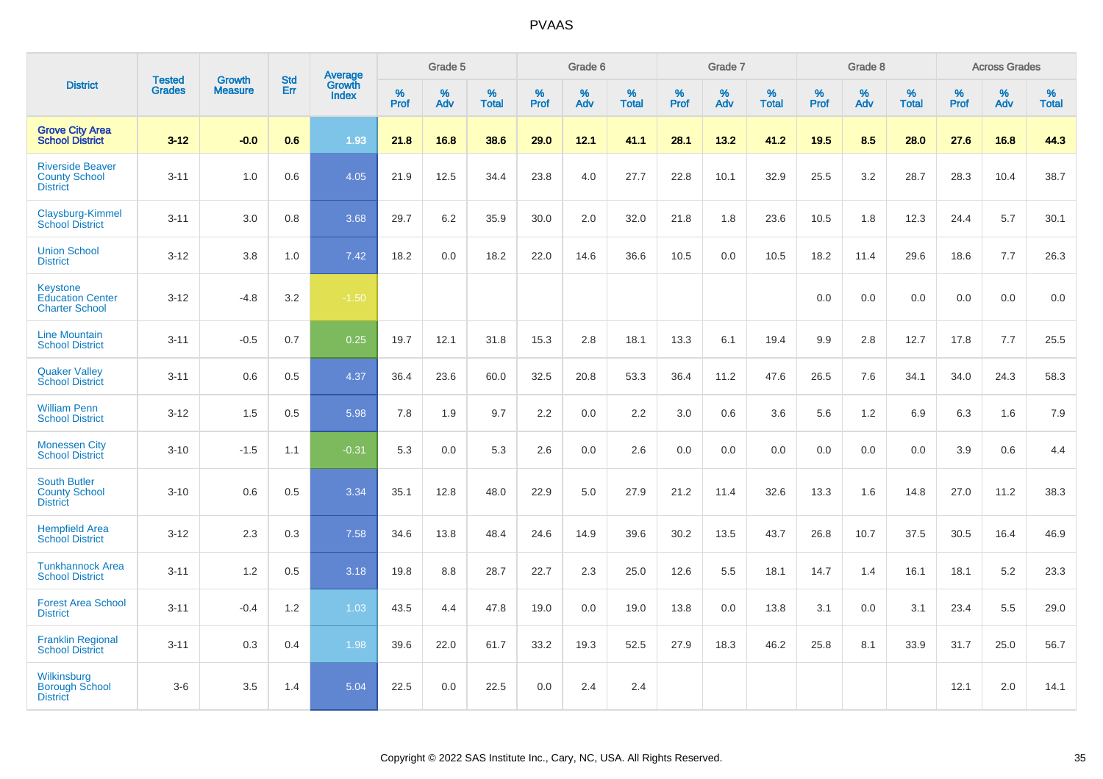|                                                                     |                                |                                 |                   | Average                |                     | Grade 5     |                   |                  | Grade 6  |                   |                  | Grade 7  |                   |                  | Grade 8  |                   |                     | <b>Across Grades</b> |                   |
|---------------------------------------------------------------------|--------------------------------|---------------------------------|-------------------|------------------------|---------------------|-------------|-------------------|------------------|----------|-------------------|------------------|----------|-------------------|------------------|----------|-------------------|---------------------|----------------------|-------------------|
| <b>District</b>                                                     | <b>Tested</b><br><b>Grades</b> | <b>Growth</b><br><b>Measure</b> | <b>Std</b><br>Err | Growth<br><b>Index</b> | $\%$<br><b>Prof</b> | $\%$<br>Adv | %<br><b>Total</b> | %<br><b>Prof</b> | %<br>Adv | %<br><b>Total</b> | %<br><b>Prof</b> | %<br>Adv | %<br><b>Total</b> | %<br><b>Prof</b> | %<br>Adv | %<br><b>Total</b> | $\%$<br><b>Prof</b> | %<br>Adv             | %<br><b>Total</b> |
| <b>Grove City Area</b><br><b>School District</b>                    | $3 - 12$                       | $-0.0$                          | 0.6               | 1.93                   | 21.8                | 16.8        | 38.6              | 29.0             | 12.1     | 41.1              | 28.1             | 13.2     | 41.2              | 19.5             | 8.5      | 28.0              | 27.6                | 16.8                 | 44.3              |
| <b>Riverside Beaver</b><br><b>County School</b><br><b>District</b>  | $3 - 11$                       | 1.0                             | 0.6               | 4.05                   | 21.9                | 12.5        | 34.4              | 23.8             | 4.0      | 27.7              | 22.8             | 10.1     | 32.9              | 25.5             | 3.2      | 28.7              | 28.3                | 10.4                 | 38.7              |
| Claysburg-Kimmel<br><b>School District</b>                          | $3 - 11$                       | 3.0                             | 0.8               | 3.68                   | 29.7                | 6.2         | 35.9              | 30.0             | 2.0      | 32.0              | 21.8             | 1.8      | 23.6              | 10.5             | 1.8      | 12.3              | 24.4                | 5.7                  | 30.1              |
| <b>Union School</b><br><b>District</b>                              | $3 - 12$                       | 3.8                             | 1.0               | 7.42                   | 18.2                | 0.0         | 18.2              | 22.0             | 14.6     | 36.6              | 10.5             | 0.0      | 10.5              | 18.2             | 11.4     | 29.6              | 18.6                | 7.7                  | 26.3              |
| <b>Keystone</b><br><b>Education Center</b><br><b>Charter School</b> | $3 - 12$                       | $-4.8$                          | 3.2               | $-1.50$                |                     |             |                   |                  |          |                   |                  |          |                   | 0.0              | 0.0      | 0.0               | 0.0                 | 0.0                  | 0.0               |
| <b>Line Mountain</b><br><b>School District</b>                      | $3 - 11$                       | $-0.5$                          | 0.7               | 0.25                   | 19.7                | 12.1        | 31.8              | 15.3             | 2.8      | 18.1              | 13.3             | 6.1      | 19.4              | $9.9\,$          | 2.8      | 12.7              | 17.8                | 7.7                  | 25.5              |
| <b>Quaker Valley</b><br><b>School District</b>                      | $3 - 11$                       | 0.6                             | 0.5               | 4.37                   | 36.4                | 23.6        | 60.0              | 32.5             | 20.8     | 53.3              | 36.4             | 11.2     | 47.6              | 26.5             | 7.6      | 34.1              | 34.0                | 24.3                 | 58.3              |
| <b>William Penn</b><br><b>School District</b>                       | $3 - 12$                       | 1.5                             | 0.5               | 5.98                   | 7.8                 | 1.9         | 9.7               | 2.2              | 0.0      | 2.2               | 3.0              | 0.6      | 3.6               | 5.6              | 1.2      | 6.9               | 6.3                 | 1.6                  | 7.9               |
| <b>Monessen City</b><br><b>School District</b>                      | $3 - 10$                       | $-1.5$                          | 1.1               | $-0.31$                | 5.3                 | 0.0         | 5.3               | 2.6              | 0.0      | 2.6               | 0.0              | 0.0      | 0.0               | 0.0              | 0.0      | 0.0               | 3.9                 | 0.6                  | 4.4               |
| <b>South Butler</b><br><b>County School</b><br><b>District</b>      | $3 - 10$                       | 0.6                             | 0.5               | 3.34                   | 35.1                | 12.8        | 48.0              | 22.9             | 5.0      | 27.9              | 21.2             | 11.4     | 32.6              | 13.3             | 1.6      | 14.8              | 27.0                | 11.2                 | 38.3              |
| <b>Hempfield Area</b><br><b>School District</b>                     | $3 - 12$                       | 2.3                             | 0.3               | 7.58                   | 34.6                | 13.8        | 48.4              | 24.6             | 14.9     | 39.6              | 30.2             | 13.5     | 43.7              | 26.8             | 10.7     | 37.5              | 30.5                | 16.4                 | 46.9              |
| <b>Tunkhannock Area</b><br><b>School District</b>                   | $3 - 11$                       | 1.2                             | 0.5               | 3.18                   | 19.8                | 8.8         | 28.7              | 22.7             | 2.3      | 25.0              | 12.6             | 5.5      | 18.1              | 14.7             | 1.4      | 16.1              | 18.1                | 5.2                  | 23.3              |
| <b>Forest Area School</b><br><b>District</b>                        | $3 - 11$                       | $-0.4$                          | 1.2               | 1.03                   | 43.5                | 4.4         | 47.8              | 19.0             | 0.0      | 19.0              | 13.8             | 0.0      | 13.8              | 3.1              | 0.0      | 3.1               | 23.4                | 5.5                  | 29.0              |
| <b>Franklin Regional</b><br><b>School District</b>                  | $3 - 11$                       | 0.3                             | 0.4               | 1.98                   | 39.6                | 22.0        | 61.7              | 33.2             | 19.3     | 52.5              | 27.9             | 18.3     | 46.2              | 25.8             | 8.1      | 33.9              | 31.7                | 25.0                 | 56.7              |
| Wilkinsburg<br><b>Borough School</b><br><b>District</b>             | $3-6$                          | 3.5                             | 1.4               | 5.04                   | 22.5                | 0.0         | 22.5              | 0.0              | 2.4      | 2.4               |                  |          |                   |                  |          |                   | 12.1                | 2.0                  | 14.1              |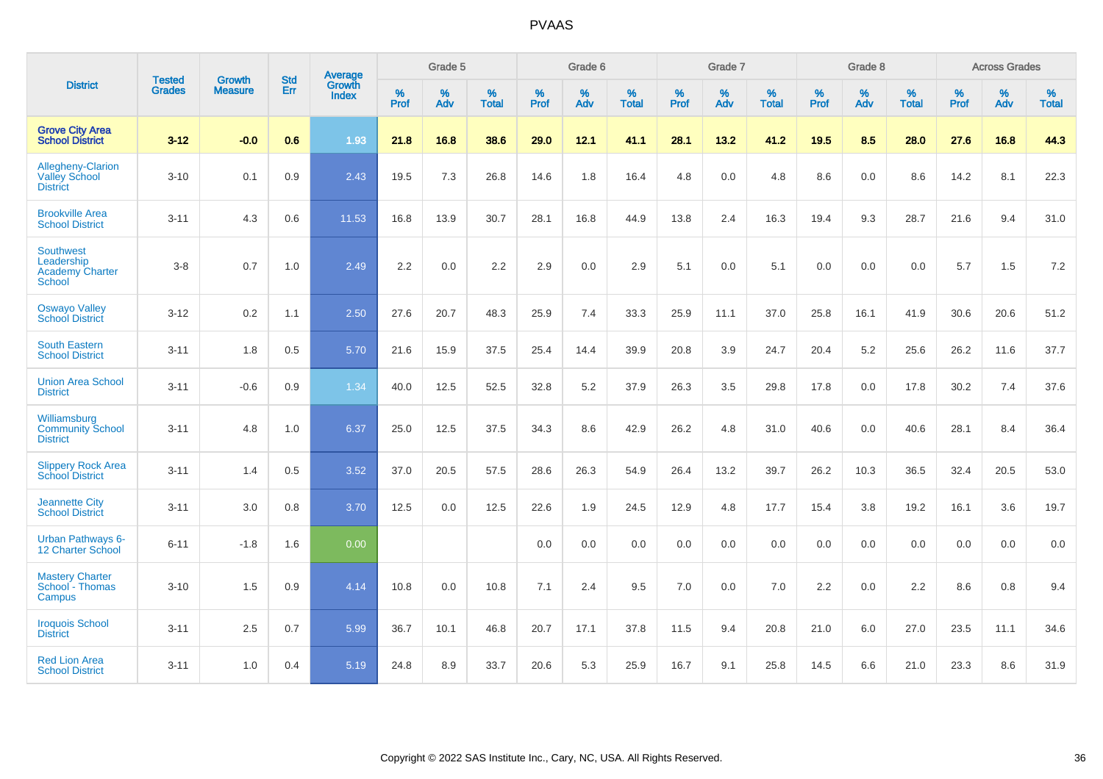|                                                                    | <b>Tested</b> | <b>Growth</b>  | <b>Std</b> | Average                |                     | Grade 5  |                   |                     | Grade 6  |                   |              | Grade 7  |                   |                     | Grade 8  |                   |                     | <b>Across Grades</b> |                   |
|--------------------------------------------------------------------|---------------|----------------|------------|------------------------|---------------------|----------|-------------------|---------------------|----------|-------------------|--------------|----------|-------------------|---------------------|----------|-------------------|---------------------|----------------------|-------------------|
| <b>District</b>                                                    | <b>Grades</b> | <b>Measure</b> | Err        | Growth<br><b>Index</b> | $\%$<br><b>Prof</b> | %<br>Adv | %<br><b>Total</b> | $\%$<br><b>Prof</b> | %<br>Adv | %<br><b>Total</b> | $\%$<br>Prof | %<br>Adv | %<br><b>Total</b> | $\%$<br><b>Prof</b> | %<br>Adv | %<br><b>Total</b> | $\%$<br><b>Prof</b> | %<br>Adv             | %<br><b>Total</b> |
| <b>Grove City Area</b><br><b>School District</b>                   | $3 - 12$      | $-0.0$         | 0.6        | 1.93                   | 21.8                | 16.8     | 38.6              | 29.0                | 12.1     | 41.1              | 28.1         | 13.2     | 41.2              | 19.5                | 8.5      | 28.0              | 27.6                | 16.8                 | 44.3              |
| Allegheny-Clarion<br><b>Valley School</b><br><b>District</b>       | $3 - 10$      | 0.1            | 0.9        | 2.43                   | 19.5                | 7.3      | 26.8              | 14.6                | 1.8      | 16.4              | 4.8          | 0.0      | 4.8               | 8.6                 | 0.0      | 8.6               | 14.2                | 8.1                  | 22.3              |
| <b>Brookville Area</b><br><b>School District</b>                   | $3 - 11$      | 4.3            | 0.6        | 11.53                  | 16.8                | 13.9     | 30.7              | 28.1                | 16.8     | 44.9              | 13.8         | 2.4      | 16.3              | 19.4                | 9.3      | 28.7              | 21.6                | 9.4                  | 31.0              |
| <b>Southwest</b><br>Leadership<br><b>Academy Charter</b><br>School | $3 - 8$       | 0.7            | 1.0        | 2.49                   | 2.2                 | 0.0      | 2.2               | 2.9                 | 0.0      | 2.9               | 5.1          | 0.0      | 5.1               | 0.0                 | 0.0      | 0.0               | 5.7                 | 1.5                  | 7.2               |
| <b>Oswayo Valley</b><br><b>School District</b>                     | $3 - 12$      | 0.2            | 1.1        | 2.50                   | 27.6                | 20.7     | 48.3              | 25.9                | 7.4      | 33.3              | 25.9         | 11.1     | 37.0              | 25.8                | 16.1     | 41.9              | 30.6                | 20.6                 | 51.2              |
| <b>South Eastern</b><br><b>School District</b>                     | $3 - 11$      | 1.8            | 0.5        | 5.70                   | 21.6                | 15.9     | 37.5              | 25.4                | 14.4     | 39.9              | 20.8         | 3.9      | 24.7              | 20.4                | 5.2      | 25.6              | 26.2                | 11.6                 | 37.7              |
| <b>Union Area School</b><br><b>District</b>                        | $3 - 11$      | $-0.6$         | 0.9        | 1.34                   | 40.0                | 12.5     | 52.5              | 32.8                | 5.2      | 37.9              | 26.3         | 3.5      | 29.8              | 17.8                | 0.0      | 17.8              | 30.2                | 7.4                  | 37.6              |
| Williamsburg<br><b>Community School</b><br><b>District</b>         | $3 - 11$      | 4.8            | 1.0        | 6.37                   | 25.0                | 12.5     | 37.5              | 34.3                | 8.6      | 42.9              | 26.2         | 4.8      | 31.0              | 40.6                | 0.0      | 40.6              | 28.1                | 8.4                  | 36.4              |
| <b>Slippery Rock Area</b><br><b>School District</b>                | $3 - 11$      | 1.4            | 0.5        | 3.52                   | 37.0                | 20.5     | 57.5              | 28.6                | 26.3     | 54.9              | 26.4         | 13.2     | 39.7              | 26.2                | 10.3     | 36.5              | 32.4                | 20.5                 | 53.0              |
| <b>Jeannette City</b><br><b>School District</b>                    | $3 - 11$      | 3.0            | 0.8        | 3.70                   | 12.5                | 0.0      | 12.5              | 22.6                | 1.9      | 24.5              | 12.9         | 4.8      | 17.7              | 15.4                | 3.8      | 19.2              | 16.1                | 3.6                  | 19.7              |
| Urban Pathways 6-<br>12 Charter School                             | $6 - 11$      | $-1.8$         | 1.6        | 0.00                   |                     |          |                   | $0.0\,$             | $0.0\,$  | 0.0               | $0.0\,$      | $0.0\,$  | 0.0               | 0.0                 | $0.0\,$  | 0.0               | 0.0                 | $0.0\,$              | $0.0\,$           |
| <b>Mastery Charter</b><br>School - Thomas<br>Campus                | $3 - 10$      | 1.5            | 0.9        | 4.14                   | 10.8                | 0.0      | 10.8              | 7.1                 | 2.4      | 9.5               | 7.0          | 0.0      | 7.0               | 2.2                 | 0.0      | 2.2               | 8.6                 | 0.8                  | 9.4               |
| <b>Iroquois School</b><br><b>District</b>                          | $3 - 11$      | 2.5            | 0.7        | 5.99                   | 36.7                | 10.1     | 46.8              | 20.7                | 17.1     | 37.8              | 11.5         | 9.4      | 20.8              | 21.0                | 6.0      | 27.0              | 23.5                | 11.1                 | 34.6              |
| <b>Red Lion Area</b><br><b>School District</b>                     | $3 - 11$      | 1.0            | 0.4        | 5.19                   | 24.8                | 8.9      | 33.7              | 20.6                | 5.3      | 25.9              | 16.7         | 9.1      | 25.8              | 14.5                | 6.6      | 21.0              | 23.3                | 8.6                  | 31.9              |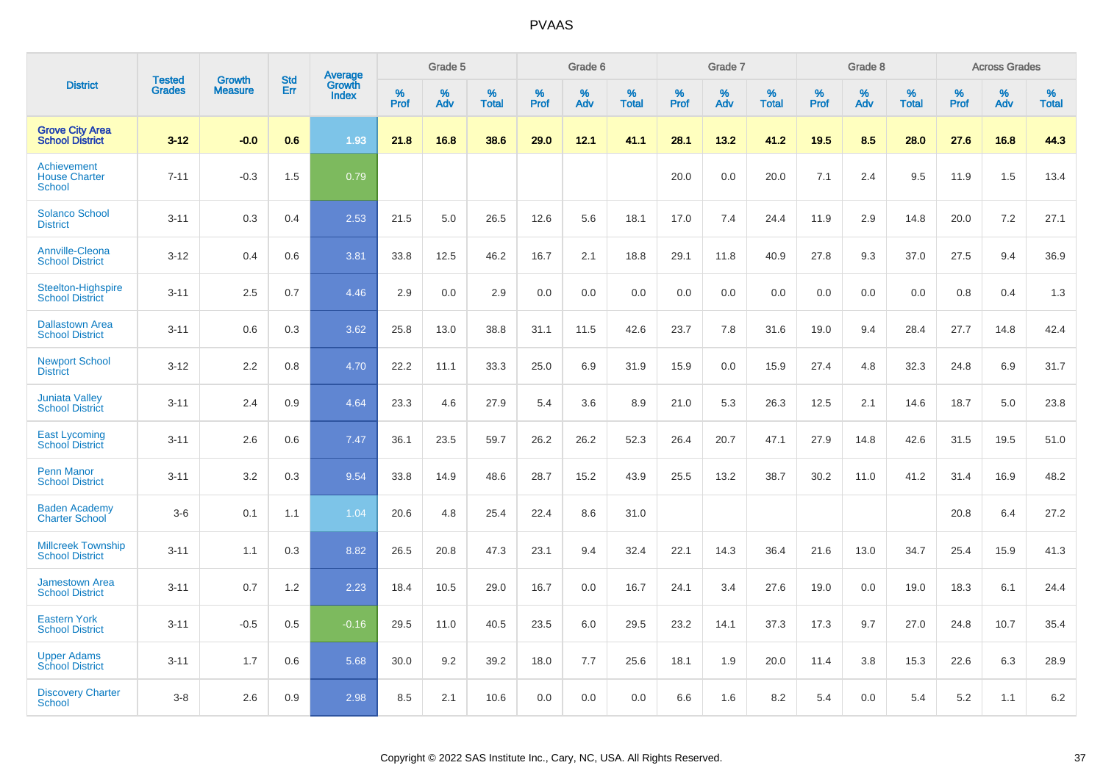|                                                      |                                |                                 | <b>Std</b> | Average                |           | Grade 5  |                   |           | Grade 6  |                   |           | Grade 7  |                      |           | Grade 8  |                   |           | <b>Across Grades</b> |                   |
|------------------------------------------------------|--------------------------------|---------------------------------|------------|------------------------|-----------|----------|-------------------|-----------|----------|-------------------|-----------|----------|----------------------|-----------|----------|-------------------|-----------|----------------------|-------------------|
| <b>District</b>                                      | <b>Tested</b><br><b>Grades</b> | <b>Growth</b><br><b>Measure</b> | Err        | Growth<br><b>Index</b> | %<br>Prof | %<br>Adv | %<br><b>Total</b> | %<br>Prof | %<br>Adv | %<br><b>Total</b> | %<br>Prof | %<br>Adv | $\%$<br><b>Total</b> | %<br>Prof | %<br>Adv | %<br><b>Total</b> | %<br>Prof | %<br>Adv             | %<br><b>Total</b> |
| <b>Grove City Area</b><br><b>School District</b>     | $3 - 12$                       | $-0.0$                          | 0.6        | 1.93                   | 21.8      | 16.8     | 38.6              | 29.0      | 12.1     | 41.1              | 28.1      | 13.2     | 41.2                 | 19.5      | 8.5      | 28.0              | 27.6      | 16.8                 | 44.3              |
| Achievement<br><b>House Charter</b><br><b>School</b> | $7 - 11$                       | $-0.3$                          | 1.5        | 0.79                   |           |          |                   |           |          |                   | 20.0      | 0.0      | 20.0                 | 7.1       | 2.4      | 9.5               | 11.9      | 1.5                  | 13.4              |
| <b>Solanco School</b><br><b>District</b>             | $3 - 11$                       | 0.3                             | 0.4        | 2.53                   | 21.5      | 5.0      | 26.5              | 12.6      | 5.6      | 18.1              | 17.0      | 7.4      | 24.4                 | 11.9      | 2.9      | 14.8              | 20.0      | 7.2                  | 27.1              |
| <b>Annville-Cleona</b><br><b>School District</b>     | $3 - 12$                       | 0.4                             | 0.6        | 3.81                   | 33.8      | 12.5     | 46.2              | 16.7      | 2.1      | 18.8              | 29.1      | 11.8     | 40.9                 | 27.8      | 9.3      | 37.0              | 27.5      | 9.4                  | 36.9              |
| <b>Steelton-Highspire</b><br><b>School District</b>  | $3 - 11$                       | 2.5                             | 0.7        | 4.46                   | 2.9       | 0.0      | 2.9               | 0.0       | 0.0      | 0.0               | 0.0       | 0.0      | 0.0                  | 0.0       | 0.0      | 0.0               | 0.8       | 0.4                  | 1.3               |
| <b>Dallastown Area</b><br><b>School District</b>     | $3 - 11$                       | 0.6                             | 0.3        | 3.62                   | 25.8      | 13.0     | 38.8              | 31.1      | 11.5     | 42.6              | 23.7      | 7.8      | 31.6                 | 19.0      | 9.4      | 28.4              | 27.7      | 14.8                 | 42.4              |
| <b>Newport School</b><br><b>District</b>             | $3 - 12$                       | 2.2                             | 0.8        | 4.70                   | 22.2      | 11.1     | 33.3              | 25.0      | 6.9      | 31.9              | 15.9      | 0.0      | 15.9                 | 27.4      | 4.8      | 32.3              | 24.8      | 6.9                  | 31.7              |
| <b>Juniata Valley</b><br><b>School District</b>      | $3 - 11$                       | 2.4                             | 0.9        | 4.64                   | 23.3      | 4.6      | 27.9              | 5.4       | 3.6      | 8.9               | 21.0      | 5.3      | 26.3                 | 12.5      | 2.1      | 14.6              | 18.7      | 5.0                  | 23.8              |
| <b>East Lycoming</b><br><b>School District</b>       | $3 - 11$                       | 2.6                             | 0.6        | 7.47                   | 36.1      | 23.5     | 59.7              | 26.2      | 26.2     | 52.3              | 26.4      | 20.7     | 47.1                 | 27.9      | 14.8     | 42.6              | 31.5      | 19.5                 | 51.0              |
| <b>Penn Manor</b><br><b>School District</b>          | $3 - 11$                       | 3.2                             | 0.3        | 9.54                   | 33.8      | 14.9     | 48.6              | 28.7      | 15.2     | 43.9              | 25.5      | 13.2     | 38.7                 | 30.2      | 11.0     | 41.2              | 31.4      | 16.9                 | 48.2              |
| <b>Baden Academy</b><br><b>Charter School</b>        | $3-6$                          | 0.1                             | 1.1        | 1.04                   | 20.6      | 4.8      | 25.4              | 22.4      | 8.6      | 31.0              |           |          |                      |           |          |                   | 20.8      | 6.4                  | 27.2              |
| <b>Millcreek Township</b><br><b>School District</b>  | $3 - 11$                       | 1.1                             | 0.3        | 8.82                   | 26.5      | 20.8     | 47.3              | 23.1      | 9.4      | 32.4              | 22.1      | 14.3     | 36.4                 | 21.6      | 13.0     | 34.7              | 25.4      | 15.9                 | 41.3              |
| <b>Jamestown Area</b><br><b>School District</b>      | $3 - 11$                       | 0.7                             | 1.2        | 2.23                   | 18.4      | 10.5     | 29.0              | 16.7      | 0.0      | 16.7              | 24.1      | 3.4      | 27.6                 | 19.0      | 0.0      | 19.0              | 18.3      | 6.1                  | 24.4              |
| <b>Eastern York</b><br><b>School District</b>        | $3 - 11$                       | $-0.5$                          | 0.5        | $-0.16$                | 29.5      | 11.0     | 40.5              | 23.5      | 6.0      | 29.5              | 23.2      | 14.1     | 37.3                 | 17.3      | 9.7      | 27.0              | 24.8      | 10.7                 | 35.4              |
| <b>Upper Adams</b><br><b>School District</b>         | $3 - 11$                       | 1.7                             | 0.6        | 5.68                   | 30.0      | 9.2      | 39.2              | 18.0      | 7.7      | 25.6              | 18.1      | 1.9      | 20.0                 | 11.4      | 3.8      | 15.3              | 22.6      | 6.3                  | 28.9              |
| <b>Discovery Charter</b><br><b>School</b>            | $3 - 8$                        | 2.6                             | 0.9        | 2.98                   | 8.5       | 2.1      | 10.6              | 0.0       | 0.0      | 0.0               | 6.6       | 1.6      | 8.2                  | 5.4       | $0.0\,$  | 5.4               | 5.2       | 1.1                  | 6.2               |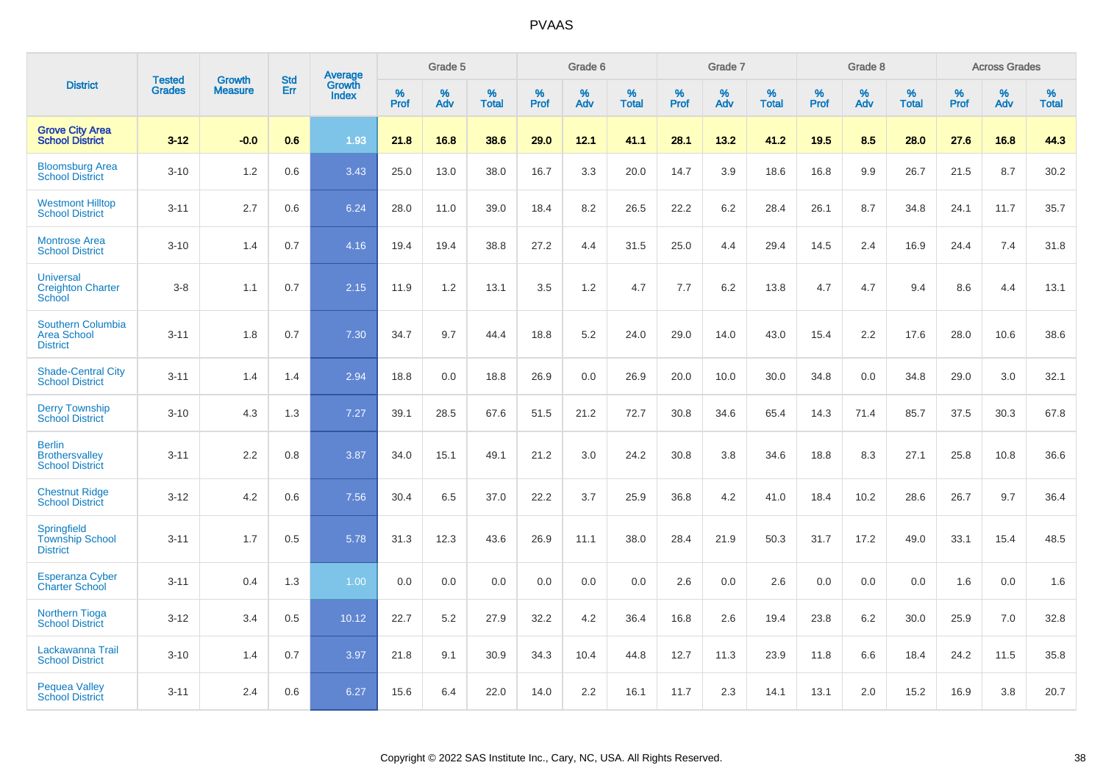|                                                                   | <b>Tested</b> | <b>Growth</b>  | <b>Std</b> | Average                |              | Grade 5  |                   |           | Grade 6  |                   |              | Grade 7  |                   |           | Grade 8  |                   |              | <b>Across Grades</b> |                   |
|-------------------------------------------------------------------|---------------|----------------|------------|------------------------|--------------|----------|-------------------|-----------|----------|-------------------|--------------|----------|-------------------|-----------|----------|-------------------|--------------|----------------------|-------------------|
| <b>District</b>                                                   | <b>Grades</b> | <b>Measure</b> | Err        | Growth<br><b>Index</b> | $\%$<br>Prof | %<br>Adv | %<br><b>Total</b> | %<br>Prof | %<br>Adv | %<br><b>Total</b> | $\%$<br>Prof | %<br>Adv | %<br><b>Total</b> | %<br>Prof | %<br>Adv | %<br><b>Total</b> | $\%$<br>Prof | %<br>Adv             | %<br><b>Total</b> |
| <b>Grove City Area</b><br><b>School District</b>                  | $3 - 12$      | $-0.0$         | 0.6        | 1.93                   | 21.8         | 16.8     | 38.6              | 29.0      | 12.1     | 41.1              | 28.1         | 13.2     | 41.2              | 19.5      | 8.5      | 28.0              | 27.6         | 16.8                 | 44.3              |
| <b>Bloomsburg Area</b><br><b>School District</b>                  | $3 - 10$      | 1.2            | 0.6        | 3.43                   | 25.0         | 13.0     | 38.0              | 16.7      | 3.3      | 20.0              | 14.7         | 3.9      | 18.6              | 16.8      | 9.9      | 26.7              | 21.5         | 8.7                  | 30.2              |
| <b>Westmont Hilltop</b><br><b>School District</b>                 | $3 - 11$      | 2.7            | 0.6        | 6.24                   | 28.0         | 11.0     | 39.0              | 18.4      | 8.2      | 26.5              | 22.2         | 6.2      | 28.4              | 26.1      | 8.7      | 34.8              | 24.1         | 11.7                 | 35.7              |
| <b>Montrose Area</b><br><b>School District</b>                    | $3 - 10$      | 1.4            | 0.7        | 4.16                   | 19.4         | 19.4     | 38.8              | 27.2      | 4.4      | 31.5              | 25.0         | 4.4      | 29.4              | 14.5      | 2.4      | 16.9              | 24.4         | 7.4                  | 31.8              |
| <b>Universal</b><br><b>Creighton Charter</b><br>School            | $3 - 8$       | 1.1            | 0.7        | 2.15                   | 11.9         | 1.2      | 13.1              | 3.5       | 1.2      | 4.7               | 7.7          | 6.2      | 13.8              | 4.7       | 4.7      | 9.4               | 8.6          | 4.4                  | 13.1              |
| <b>Southern Columbia</b><br><b>Area School</b><br><b>District</b> | $3 - 11$      | 1.8            | 0.7        | 7.30                   | 34.7         | 9.7      | 44.4              | 18.8      | 5.2      | 24.0              | 29.0         | 14.0     | 43.0              | 15.4      | 2.2      | 17.6              | 28.0         | 10.6                 | 38.6              |
| <b>Shade-Central City</b><br><b>School District</b>               | $3 - 11$      | 1.4            | 1.4        | 2.94                   | 18.8         | 0.0      | 18.8              | 26.9      | 0.0      | 26.9              | 20.0         | 10.0     | 30.0              | 34.8      | 0.0      | 34.8              | 29.0         | 3.0                  | 32.1              |
| <b>Derry Township</b><br><b>School District</b>                   | $3 - 10$      | 4.3            | 1.3        | 7.27                   | 39.1         | 28.5     | 67.6              | 51.5      | 21.2     | 72.7              | 30.8         | 34.6     | 65.4              | 14.3      | 71.4     | 85.7              | 37.5         | 30.3                 | 67.8              |
| <b>Berlin</b><br><b>Brothersvalley</b><br><b>School District</b>  | $3 - 11$      | 2.2            | 0.8        | 3.87                   | 34.0         | 15.1     | 49.1              | 21.2      | 3.0      | 24.2              | 30.8         | 3.8      | 34.6              | 18.8      | 8.3      | 27.1              | 25.8         | 10.8                 | 36.6              |
| <b>Chestnut Ridge</b><br><b>School District</b>                   | $3 - 12$      | 4.2            | 0.6        | 7.56                   | 30.4         | 6.5      | 37.0              | 22.2      | 3.7      | 25.9              | 36.8         | 4.2      | 41.0              | 18.4      | 10.2     | 28.6              | 26.7         | 9.7                  | 36.4              |
| Springfield<br><b>Township School</b><br><b>District</b>          | $3 - 11$      | 1.7            | 0.5        | 5.78                   | 31.3         | 12.3     | 43.6              | 26.9      | 11.1     | 38.0              | 28.4         | 21.9     | 50.3              | 31.7      | 17.2     | 49.0              | 33.1         | 15.4                 | 48.5              |
| <b>Esperanza Cyber</b><br><b>Charter School</b>                   | $3 - 11$      | 0.4            | 1.3        | 1.00                   | 0.0          | 0.0      | 0.0               | 0.0       | 0.0      | 0.0               | 2.6          | 0.0      | 2.6               | 0.0       | 0.0      | 0.0               | 1.6          | 0.0                  | 1.6               |
| <b>Northern Tioga</b><br><b>School District</b>                   | $3 - 12$      | 3.4            | 0.5        | 10.12                  | 22.7         | 5.2      | 27.9              | 32.2      | 4.2      | 36.4              | 16.8         | 2.6      | 19.4              | 23.8      | 6.2      | 30.0              | 25.9         | 7.0                  | 32.8              |
| Lackawanna Trail<br><b>School District</b>                        | $3 - 10$      | 1.4            | 0.7        | 3.97                   | 21.8         | 9.1      | 30.9              | 34.3      | 10.4     | 44.8              | 12.7         | 11.3     | 23.9              | 11.8      | 6.6      | 18.4              | 24.2         | 11.5                 | 35.8              |
| <b>Pequea Valley</b><br><b>School District</b>                    | $3 - 11$      | 2.4            | 0.6        | 6.27                   | 15.6         | 6.4      | 22.0              | 14.0      | 2.2      | 16.1              | 11.7         | 2.3      | 14.1              | 13.1      | 2.0      | 15.2              | 16.9         | 3.8                  | 20.7              |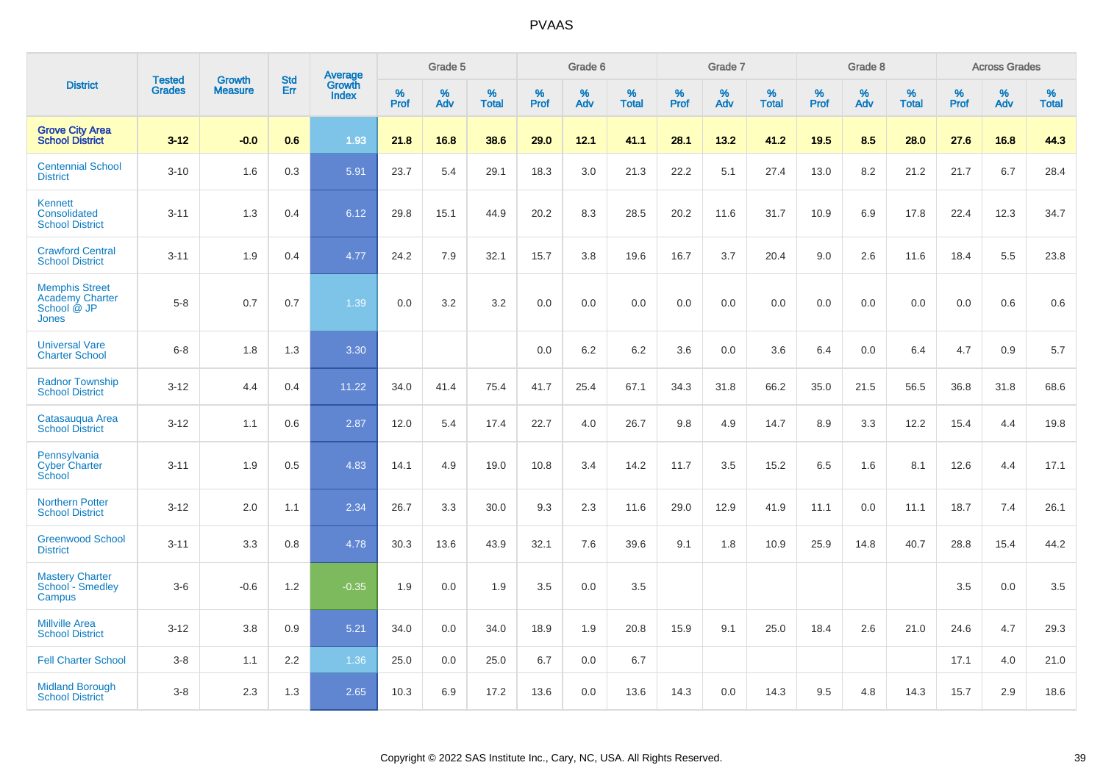|                                                                         |                                |                                 | <b>Std</b> | Average                |           | Grade 5  |                   |           | Grade 6  |                   |           | Grade 7  |                   |           | Grade 8  |                   |           | <b>Across Grades</b> |                   |
|-------------------------------------------------------------------------|--------------------------------|---------------------------------|------------|------------------------|-----------|----------|-------------------|-----------|----------|-------------------|-----------|----------|-------------------|-----------|----------|-------------------|-----------|----------------------|-------------------|
| <b>District</b>                                                         | <b>Tested</b><br><b>Grades</b> | <b>Growth</b><br><b>Measure</b> | Err        | Growth<br><b>Index</b> | %<br>Prof | %<br>Adv | %<br><b>Total</b> | %<br>Prof | %<br>Adv | %<br><b>Total</b> | %<br>Prof | %<br>Adv | %<br><b>Total</b> | %<br>Prof | %<br>Adv | %<br><b>Total</b> | %<br>Prof | %<br>Adv             | %<br><b>Total</b> |
| <b>Grove City Area</b><br><b>School District</b>                        | $3 - 12$                       | $-0.0$                          | 0.6        | 1.93                   | 21.8      | 16.8     | 38.6              | 29.0      | 12.1     | 41.1              | 28.1      | 13.2     | 41.2              | 19.5      | 8.5      | 28.0              | 27.6      | 16.8                 | 44.3              |
| <b>Centennial School</b><br><b>District</b>                             | $3 - 10$                       | 1.6                             | 0.3        | 5.91                   | 23.7      | 5.4      | 29.1              | 18.3      | 3.0      | 21.3              | 22.2      | 5.1      | 27.4              | 13.0      | 8.2      | 21.2              | 21.7      | 6.7                  | 28.4              |
| Kennett<br>Consolidated<br><b>School District</b>                       | $3 - 11$                       | 1.3                             | 0.4        | 6.12                   | 29.8      | 15.1     | 44.9              | 20.2      | 8.3      | 28.5              | 20.2      | 11.6     | 31.7              | 10.9      | 6.9      | 17.8              | 22.4      | 12.3                 | 34.7              |
| <b>Crawford Central</b><br><b>School District</b>                       | $3 - 11$                       | 1.9                             | 0.4        | 4.77                   | 24.2      | 7.9      | 32.1              | 15.7      | 3.8      | 19.6              | 16.7      | 3.7      | 20.4              | 9.0       | 2.6      | 11.6              | 18.4      | 5.5                  | 23.8              |
| <b>Memphis Street</b><br><b>Academy Charter</b><br>School @ JP<br>Jones | $5 - 8$                        | 0.7                             | 0.7        | 1.39                   | 0.0       | 3.2      | 3.2               | $0.0\,$   | 0.0      | 0.0               | 0.0       | 0.0      | 0.0               | 0.0       | 0.0      | 0.0               | 0.0       | 0.6                  | 0.6               |
| <b>Universal Vare</b><br><b>Charter School</b>                          | $6-8$                          | 1.8                             | 1.3        | 3.30                   |           |          |                   | 0.0       | 6.2      | 6.2               | 3.6       | 0.0      | 3.6               | 6.4       | 0.0      | 6.4               | 4.7       | 0.9                  | 5.7               |
| <b>Radnor Township</b><br><b>School District</b>                        | $3 - 12$                       | 4.4                             | 0.4        | 11.22                  | 34.0      | 41.4     | 75.4              | 41.7      | 25.4     | 67.1              | 34.3      | 31.8     | 66.2              | 35.0      | 21.5     | 56.5              | 36.8      | 31.8                 | 68.6              |
| Catasaugua Area<br><b>School District</b>                               | $3 - 12$                       | 1.1                             | 0.6        | 2.87                   | 12.0      | 5.4      | 17.4              | 22.7      | 4.0      | 26.7              | 9.8       | 4.9      | 14.7              | 8.9       | 3.3      | 12.2              | 15.4      | 4.4                  | 19.8              |
| Pennsylvania<br><b>Cyber Charter</b><br>School                          | $3 - 11$                       | 1.9                             | 0.5        | 4.83                   | 14.1      | 4.9      | 19.0              | 10.8      | 3.4      | 14.2              | 11.7      | 3.5      | 15.2              | 6.5       | 1.6      | 8.1               | 12.6      | 4.4                  | 17.1              |
| <b>Northern Potter</b><br><b>School District</b>                        | $3 - 12$                       | 2.0                             | 1.1        | 2.34                   | 26.7      | 3.3      | 30.0              | 9.3       | 2.3      | 11.6              | 29.0      | 12.9     | 41.9              | 11.1      | 0.0      | 11.1              | 18.7      | 7.4                  | 26.1              |
| <b>Greenwood School</b><br><b>District</b>                              | $3 - 11$                       | 3.3                             | 0.8        | 4.78                   | 30.3      | 13.6     | 43.9              | 32.1      | 7.6      | 39.6              | 9.1       | 1.8      | 10.9              | 25.9      | 14.8     | 40.7              | 28.8      | 15.4                 | 44.2              |
| <b>Mastery Charter</b><br>School - Smedley<br>Campus                    | $3-6$                          | $-0.6$                          | 1.2        | $-0.35$                | 1.9       | 0.0      | 1.9               | 3.5       | 0.0      | 3.5               |           |          |                   |           |          |                   | 3.5       | 0.0                  | 3.5               |
| <b>Millville Area</b><br><b>School District</b>                         | $3 - 12$                       | 3.8                             | 0.9        | 5.21                   | 34.0      | 0.0      | 34.0              | 18.9      | 1.9      | 20.8              | 15.9      | 9.1      | 25.0              | 18.4      | 2.6      | 21.0              | 24.6      | 4.7                  | 29.3              |
| <b>Fell Charter School</b>                                              | $3 - 8$                        | 1.1                             | 2.2        | 1.36                   | 25.0      | 0.0      | 25.0              | 6.7       | 0.0      | 6.7               |           |          |                   |           |          |                   | 17.1      | 4.0                  | 21.0              |
| <b>Midland Borough</b><br><b>School District</b>                        | $3 - 8$                        | 2.3                             | 1.3        | 2.65                   | 10.3      | 6.9      | 17.2              | 13.6      | 0.0      | 13.6              | 14.3      | 0.0      | 14.3              | 9.5       | 4.8      | 14.3              | 15.7      | 2.9                  | 18.6              |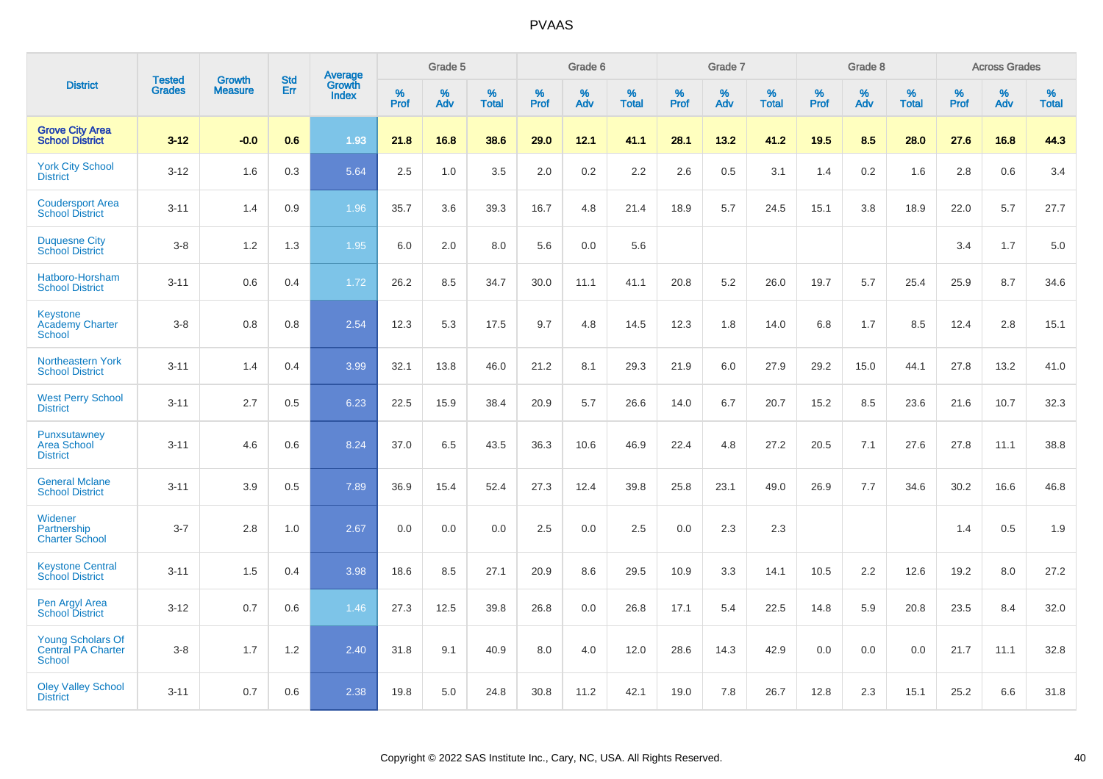|                                                                        |                                | <b>Growth</b>  | <b>Std</b> | Average                |              | Grade 5  |                   |              | Grade 6  |                   |              | Grade 7  |                   |              | Grade 8  |                   |              | <b>Across Grades</b> |                   |
|------------------------------------------------------------------------|--------------------------------|----------------|------------|------------------------|--------------|----------|-------------------|--------------|----------|-------------------|--------------|----------|-------------------|--------------|----------|-------------------|--------------|----------------------|-------------------|
| <b>District</b>                                                        | <b>Tested</b><br><b>Grades</b> | <b>Measure</b> | Err        | Growth<br><b>Index</b> | $\%$<br>Prof | %<br>Adv | %<br><b>Total</b> | $\%$<br>Prof | %<br>Adv | %<br><b>Total</b> | $\%$<br>Prof | %<br>Adv | %<br><b>Total</b> | $\%$<br>Prof | %<br>Adv | %<br><b>Total</b> | $\%$<br>Prof | %<br>Adv             | %<br><b>Total</b> |
| <b>Grove City Area</b><br><b>School District</b>                       | $3 - 12$                       | $-0.0$         | 0.6        | 1.93                   | 21.8         | 16.8     | 38.6              | 29.0         | 12.1     | 41.1              | 28.1         | 13.2     | 41.2              | 19.5         | 8.5      | 28.0              | 27.6         | 16.8                 | 44.3              |
| <b>York City School</b><br><b>District</b>                             | $3 - 12$                       | 1.6            | 0.3        | 5.64                   | 2.5          | 1.0      | 3.5               | 2.0          | 0.2      | 2.2               | 2.6          | 0.5      | 3.1               | 1.4          | 0.2      | 1.6               | 2.8          | 0.6                  | 3.4               |
| <b>Coudersport Area</b><br><b>School District</b>                      | $3 - 11$                       | 1.4            | 0.9        | 1.96                   | 35.7         | 3.6      | 39.3              | 16.7         | 4.8      | 21.4              | 18.9         | 5.7      | 24.5              | 15.1         | 3.8      | 18.9              | 22.0         | 5.7                  | 27.7              |
| <b>Duquesne City</b><br><b>School District</b>                         | $3 - 8$                        | 1.2            | 1.3        | 1.95                   | 6.0          | 2.0      | 8.0               | 5.6          | 0.0      | 5.6               |              |          |                   |              |          |                   | 3.4          | 1.7                  | 5.0               |
| Hatboro-Horsham<br><b>School District</b>                              | $3 - 11$                       | 0.6            | 0.4        | 1.72                   | 26.2         | 8.5      | 34.7              | 30.0         | 11.1     | 41.1              | 20.8         | 5.2      | 26.0              | 19.7         | 5.7      | 25.4              | 25.9         | 8.7                  | 34.6              |
| Keystone<br><b>Academy Charter</b><br><b>School</b>                    | $3-8$                          | 0.8            | 0.8        | 2.54                   | 12.3         | 5.3      | 17.5              | 9.7          | 4.8      | 14.5              | 12.3         | 1.8      | 14.0              | 6.8          | 1.7      | 8.5               | 12.4         | 2.8                  | 15.1              |
| Northeastern York<br><b>School District</b>                            | $3 - 11$                       | 1.4            | 0.4        | 3.99                   | 32.1         | 13.8     | 46.0              | 21.2         | 8.1      | 29.3              | 21.9         | 6.0      | 27.9              | 29.2         | 15.0     | 44.1              | 27.8         | 13.2                 | 41.0              |
| <b>West Perry School</b><br><b>District</b>                            | $3 - 11$                       | 2.7            | 0.5        | 6.23                   | 22.5         | 15.9     | 38.4              | 20.9         | 5.7      | 26.6              | 14.0         | 6.7      | 20.7              | 15.2         | 8.5      | 23.6              | 21.6         | 10.7                 | 32.3              |
| Punxsutawney<br><b>Area School</b><br><b>District</b>                  | $3 - 11$                       | 4.6            | 0.6        | 8.24                   | 37.0         | 6.5      | 43.5              | 36.3         | 10.6     | 46.9              | 22.4         | 4.8      | 27.2              | 20.5         | 7.1      | 27.6              | 27.8         | 11.1                 | 38.8              |
| <b>General Mclane</b><br><b>School District</b>                        | $3 - 11$                       | 3.9            | 0.5        | 7.89                   | 36.9         | 15.4     | 52.4              | 27.3         | 12.4     | 39.8              | 25.8         | 23.1     | 49.0              | 26.9         | 7.7      | 34.6              | 30.2         | 16.6                 | 46.8              |
| Widener<br>Partnership<br><b>Charter School</b>                        | $3 - 7$                        | 2.8            | 1.0        | 2.67                   | 0.0          | 0.0      | 0.0               | 2.5          | 0.0      | 2.5               | 0.0          | 2.3      | 2.3               |              |          |                   | 1.4          | 0.5                  | 1.9               |
| <b>Keystone Central</b><br><b>School District</b>                      | $3 - 11$                       | 1.5            | 0.4        | 3.98                   | 18.6         | 8.5      | 27.1              | 20.9         | 8.6      | 29.5              | 10.9         | 3.3      | 14.1              | 10.5         | 2.2      | 12.6              | 19.2         | 8.0                  | 27.2              |
| Pen Argyl Area<br><b>School District</b>                               | $3 - 12$                       | 0.7            | 0.6        | 1.46                   | 27.3         | 12.5     | 39.8              | 26.8         | 0.0      | 26.8              | 17.1         | 5.4      | 22.5              | 14.8         | 5.9      | 20.8              | 23.5         | 8.4                  | 32.0              |
| <b>Young Scholars Of</b><br><b>Central PA Charter</b><br><b>School</b> | $3 - 8$                        | 1.7            | 1.2        | 2.40                   | 31.8         | 9.1      | 40.9              | 8.0          | 4.0      | 12.0              | 28.6         | 14.3     | 42.9              | 0.0          | 0.0      | 0.0               | 21.7         | 11.1                 | 32.8              |
| <b>Oley Valley School</b><br><b>District</b>                           | $3 - 11$                       | 0.7            | 0.6        | 2.38                   | 19.8         | 5.0      | 24.8              | 30.8         | 11.2     | 42.1              | 19.0         | 7.8      | 26.7              | 12.8         | 2.3      | 15.1              | 25.2         | 6.6                  | 31.8              |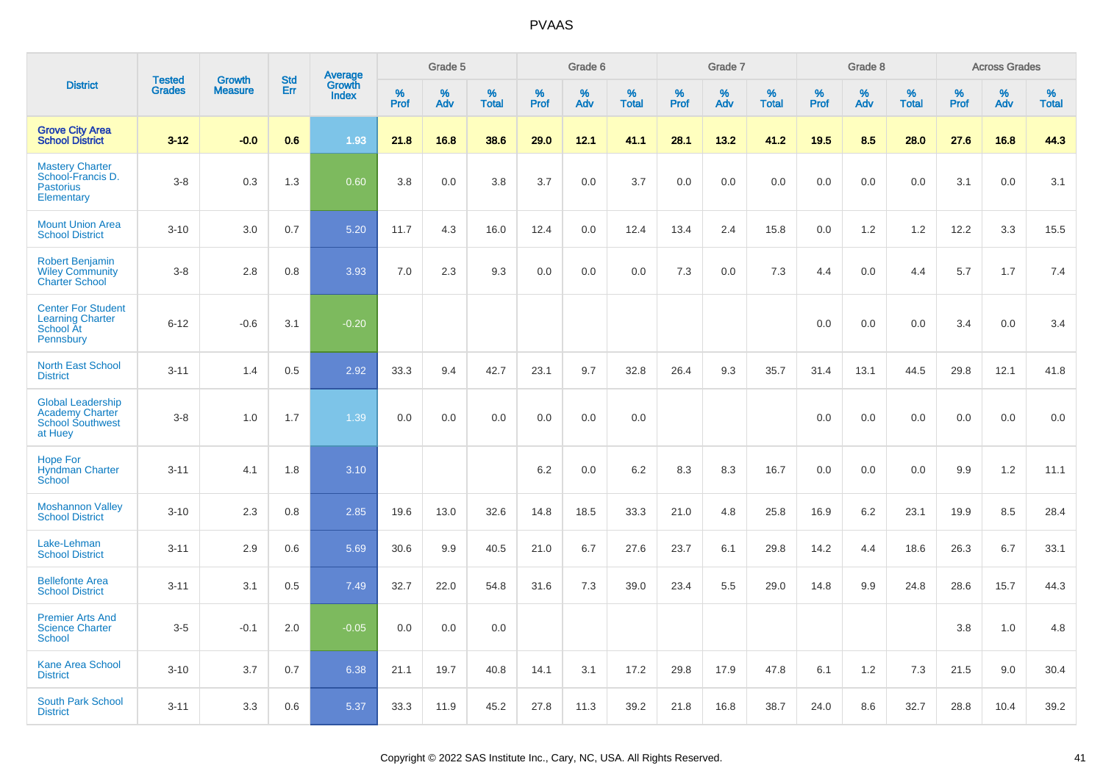|                                                                                          | <b>Tested</b> | <b>Growth</b>  | <b>Std</b> |                                          |              | Grade 5  |                   |              | Grade 6  |                   |              | Grade 7  |                   |              | Grade 8  |                   |              | <b>Across Grades</b> |                   |
|------------------------------------------------------------------------------------------|---------------|----------------|------------|------------------------------------------|--------------|----------|-------------------|--------------|----------|-------------------|--------------|----------|-------------------|--------------|----------|-------------------|--------------|----------------------|-------------------|
| <b>District</b>                                                                          | <b>Grades</b> | <b>Measure</b> | Err        | <b>Average</b><br>Growth<br><b>Index</b> | $\%$<br>Prof | %<br>Adv | %<br><b>Total</b> | $\%$<br>Prof | %<br>Adv | %<br><b>Total</b> | $\%$<br>Prof | %<br>Adv | %<br><b>Total</b> | $\%$<br>Prof | %<br>Adv | %<br><b>Total</b> | $\%$<br>Prof | %<br>Adv             | %<br><b>Total</b> |
| <b>Grove City Area</b><br><b>School District</b>                                         | $3 - 12$      | $-0.0$         | 0.6        | 1.93                                     | 21.8         | 16.8     | 38.6              | 29.0         | 12.1     | 41.1              | 28.1         | 13.2     | 41.2              | 19.5         | 8.5      | 28.0              | 27.6         | 16.8                 | 44.3              |
| <b>Mastery Charter</b><br>School-Francis D.<br><b>Pastorius</b><br>Elementary            | $3 - 8$       | 0.3            | 1.3        | 0.60                                     | 3.8          | 0.0      | 3.8               | 3.7          | 0.0      | 3.7               | 0.0          | 0.0      | 0.0               | 0.0          | 0.0      | 0.0               | 3.1          | 0.0                  | 3.1               |
| <b>Mount Union Area</b><br><b>School District</b>                                        | $3 - 10$      | 3.0            | 0.7        | 5.20                                     | 11.7         | 4.3      | 16.0              | 12.4         | 0.0      | 12.4              | 13.4         | 2.4      | 15.8              | 0.0          | 1.2      | 1.2               | 12.2         | 3.3                  | 15.5              |
| <b>Robert Benjamin</b><br><b>Wiley Community</b><br><b>Charter School</b>                | $3 - 8$       | 2.8            | 0.8        | 3.93                                     | 7.0          | 2.3      | 9.3               | 0.0          | 0.0      | 0.0               | 7.3          | 0.0      | 7.3               | 4.4          | 0.0      | 4.4               | 5.7          | 1.7                  | 7.4               |
| <b>Center For Student</b><br><b>Learning Charter</b><br>School At<br>Pennsbury           | $6 - 12$      | $-0.6$         | 3.1        | $-0.20$                                  |              |          |                   |              |          |                   |              |          |                   | 0.0          | 0.0      | 0.0               | 3.4          | 0.0                  | 3.4               |
| <b>North East School</b><br><b>District</b>                                              | $3 - 11$      | 1.4            | 0.5        | 2.92                                     | 33.3         | 9.4      | 42.7              | 23.1         | 9.7      | 32.8              | 26.4         | 9.3      | 35.7              | 31.4         | 13.1     | 44.5              | 29.8         | 12.1                 | 41.8              |
| <b>Global Leadership</b><br><b>Academy Charter</b><br><b>School Southwest</b><br>at Huey | $3 - 8$       | 1.0            | 1.7        | 1.39                                     | 0.0          | 0.0      | 0.0               | 0.0          | 0.0      | 0.0               |              |          |                   | 0.0          | 0.0      | 0.0               | 0.0          | 0.0                  | 0.0               |
| <b>Hope For</b><br><b>Hyndman Charter</b><br>School                                      | $3 - 11$      | 4.1            | 1.8        | 3.10                                     |              |          |                   | 6.2          | 0.0      | 6.2               | 8.3          | 8.3      | 16.7              | 0.0          | 0.0      | 0.0               | 9.9          | $1.2$                | 11.1              |
| <b>Moshannon Valley</b><br><b>School District</b>                                        | $3 - 10$      | 2.3            | 0.8        | 2.85                                     | 19.6         | 13.0     | 32.6              | 14.8         | 18.5     | 33.3              | 21.0         | 4.8      | 25.8              | 16.9         | 6.2      | 23.1              | 19.9         | 8.5                  | 28.4              |
| Lake-Lehman<br><b>School District</b>                                                    | $3 - 11$      | 2.9            | 0.6        | 5.69                                     | 30.6         | 9.9      | 40.5              | 21.0         | 6.7      | 27.6              | 23.7         | 6.1      | 29.8              | 14.2         | 4.4      | 18.6              | 26.3         | 6.7                  | 33.1              |
| <b>Bellefonte Area</b><br><b>School District</b>                                         | $3 - 11$      | 3.1            | 0.5        | 7.49                                     | 32.7         | 22.0     | 54.8              | 31.6         | 7.3      | 39.0              | 23.4         | 5.5      | 29.0              | 14.8         | 9.9      | 24.8              | 28.6         | 15.7                 | 44.3              |
| <b>Premier Arts And</b><br><b>Science Charter</b><br>School                              | $3-5$         | $-0.1$         | 2.0        | $-0.05$                                  | 0.0          | 0.0      | 0.0               |              |          |                   |              |          |                   |              |          |                   | 3.8          | 1.0                  | 4.8               |
| Kane Area School<br><b>District</b>                                                      | $3 - 10$      | 3.7            | 0.7        | 6.38                                     | 21.1         | 19.7     | 40.8              | 14.1         | 3.1      | 17.2              | 29.8         | 17.9     | 47.8              | 6.1          | 1.2      | 7.3               | 21.5         | 9.0                  | 30.4              |
| <b>South Park School</b><br><b>District</b>                                              | $3 - 11$      | 3.3            | 0.6        | 5.37                                     | 33.3         | 11.9     | 45.2              | 27.8         | 11.3     | 39.2              | 21.8         | 16.8     | 38.7              | 24.0         | 8.6      | 32.7              | 28.8         | 10.4                 | 39.2              |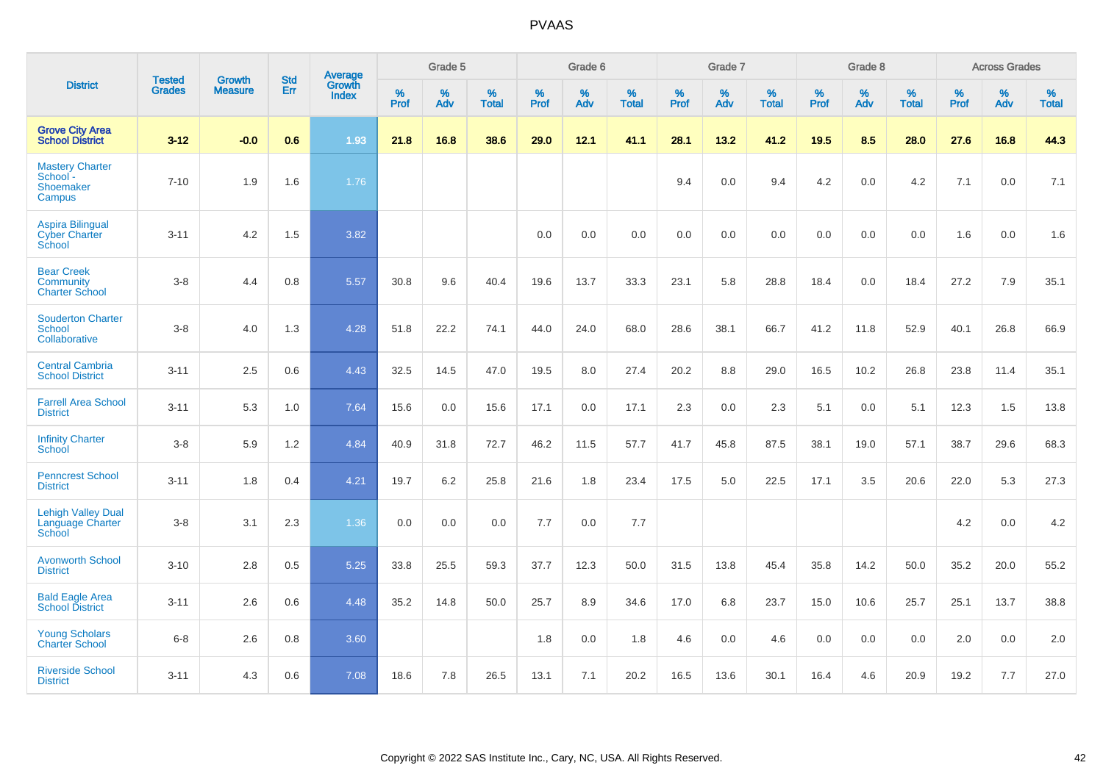|                                                                  | <b>Tested</b> | <b>Growth</b>  | <b>Std</b> | Average                |              | Grade 5  |                   |              | Grade 6  |                   |              | Grade 7  |                   |              | Grade 8  |                   |           | <b>Across Grades</b> |                   |
|------------------------------------------------------------------|---------------|----------------|------------|------------------------|--------------|----------|-------------------|--------------|----------|-------------------|--------------|----------|-------------------|--------------|----------|-------------------|-----------|----------------------|-------------------|
| <b>District</b>                                                  | <b>Grades</b> | <b>Measure</b> | Err        | Growth<br><b>Index</b> | $\%$<br>Prof | %<br>Adv | %<br><b>Total</b> | $\%$<br>Prof | %<br>Adv | %<br><b>Total</b> | $\%$<br>Prof | %<br>Adv | %<br><b>Total</b> | $\%$<br>Prof | %<br>Adv | %<br><b>Total</b> | %<br>Prof | %<br>Adv             | %<br><b>Total</b> |
| <b>Grove City Area</b><br><b>School District</b>                 | $3 - 12$      | $-0.0$         | 0.6        | 1.93                   | 21.8         | 16.8     | 38.6              | 29.0         | 12.1     | 41.1              | 28.1         | 13.2     | 41.2              | 19.5         | 8.5      | 28.0              | 27.6      | 16.8                 | 44.3              |
| <b>Mastery Charter</b><br>School -<br><b>Shoemaker</b><br>Campus | $7 - 10$      | 1.9            | 1.6        | 1.76                   |              |          |                   |              |          |                   | 9.4          | 0.0      | 9.4               | 4.2          | 0.0      | 4.2               | 7.1       | 0.0                  | 7.1               |
| <b>Aspira Bilingual</b><br><b>Cyber Charter</b><br>School        | $3 - 11$      | 4.2            | 1.5        | 3.82                   |              |          |                   | 0.0          | 0.0      | 0.0               | 0.0          | 0.0      | 0.0               | 0.0          | 0.0      | 0.0               | 1.6       | 0.0                  | 1.6               |
| <b>Bear Creek</b><br><b>Community</b><br><b>Charter School</b>   | $3 - 8$       | 4.4            | 0.8        | 5.57                   | 30.8         | 9.6      | 40.4              | 19.6         | 13.7     | 33.3              | 23.1         | 5.8      | 28.8              | 18.4         | 0.0      | 18.4              | 27.2      | 7.9                  | 35.1              |
| <b>Souderton Charter</b><br>School<br>Collaborative              | $3-8$         | 4.0            | 1.3        | 4.28                   | 51.8         | 22.2     | 74.1              | 44.0         | 24.0     | 68.0              | 28.6         | 38.1     | 66.7              | 41.2         | 11.8     | 52.9              | 40.1      | 26.8                 | 66.9              |
| <b>Central Cambria</b><br><b>School District</b>                 | $3 - 11$      | 2.5            | 0.6        | 4.43                   | 32.5         | 14.5     | 47.0              | 19.5         | 8.0      | 27.4              | 20.2         | 8.8      | 29.0              | 16.5         | 10.2     | 26.8              | 23.8      | 11.4                 | 35.1              |
| <b>Farrell Area School</b><br><b>District</b>                    | $3 - 11$      | 5.3            | 1.0        | 7.64                   | 15.6         | 0.0      | 15.6              | 17.1         | 0.0      | 17.1              | 2.3          | 0.0      | 2.3               | 5.1          | 0.0      | 5.1               | 12.3      | 1.5                  | 13.8              |
| <b>Infinity Charter</b><br><b>School</b>                         | $3-8$         | 5.9            | 1.2        | 4.84                   | 40.9         | 31.8     | 72.7              | 46.2         | 11.5     | 57.7              | 41.7         | 45.8     | 87.5              | 38.1         | 19.0     | 57.1              | 38.7      | 29.6                 | 68.3              |
| <b>Penncrest School</b><br><b>District</b>                       | $3 - 11$      | 1.8            | 0.4        | 4.21                   | 19.7         | $6.2\,$  | 25.8              | 21.6         | 1.8      | 23.4              | 17.5         | 5.0      | 22.5              | 17.1         | 3.5      | 20.6              | 22.0      | 5.3                  | 27.3              |
| <b>Lehigh Valley Dual</b><br>Language Charter<br>School          | $3 - 8$       | 3.1            | 2.3        | 1.36                   | 0.0          | 0.0      | 0.0               | 7.7          | 0.0      | 7.7               |              |          |                   |              |          |                   | 4.2       | 0.0                  | 4.2               |
| <b>Avonworth School</b><br><b>District</b>                       | $3 - 10$      | 2.8            | 0.5        | 5.25                   | 33.8         | 25.5     | 59.3              | 37.7         | 12.3     | 50.0              | 31.5         | 13.8     | 45.4              | 35.8         | 14.2     | 50.0              | 35.2      | 20.0                 | 55.2              |
| <b>Bald Eagle Area</b><br><b>School District</b>                 | $3 - 11$      | 2.6            | 0.6        | 4.48                   | 35.2         | 14.8     | 50.0              | 25.7         | 8.9      | 34.6              | 17.0         | 6.8      | 23.7              | 15.0         | 10.6     | 25.7              | 25.1      | 13.7                 | 38.8              |
| <b>Young Scholars</b><br><b>Charter School</b>                   | $6-8$         | 2.6            | 0.8        | 3.60                   |              |          |                   | 1.8          | 0.0      | 1.8               | 4.6          | 0.0      | 4.6               | 0.0          | 0.0      | 0.0               | 2.0       | 0.0                  | 2.0               |
| <b>Riverside School</b><br><b>District</b>                       | $3 - 11$      | 4.3            | 0.6        | 7.08                   | 18.6         | 7.8      | 26.5              | 13.1         | 7.1      | 20.2              | 16.5         | 13.6     | 30.1              | 16.4         | 4.6      | 20.9              | 19.2      | 7.7                  | 27.0              |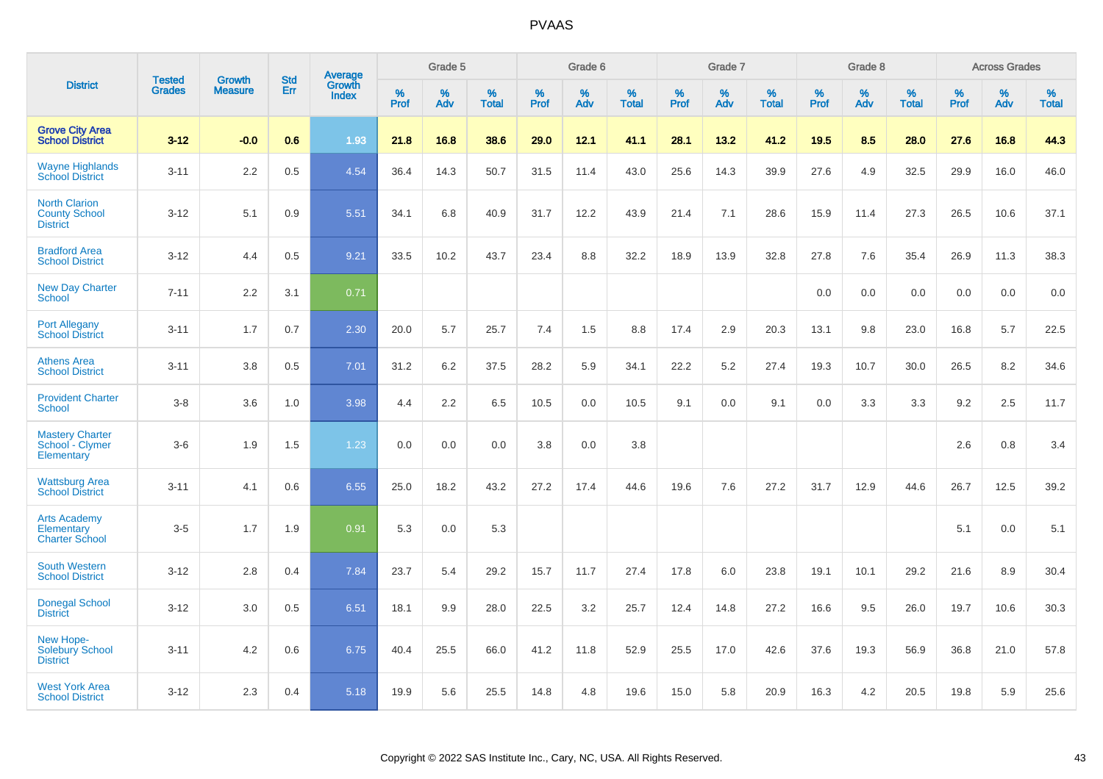|                                                                 |                                | <b>Growth</b>  | <b>Std</b> | Average                |              | Grade 5  |                   |           | Grade 6  |                   |           | Grade 7  |                   |           | Grade 8  |                   |           | <b>Across Grades</b> |                   |
|-----------------------------------------------------------------|--------------------------------|----------------|------------|------------------------|--------------|----------|-------------------|-----------|----------|-------------------|-----------|----------|-------------------|-----------|----------|-------------------|-----------|----------------------|-------------------|
| <b>District</b>                                                 | <b>Tested</b><br><b>Grades</b> | <b>Measure</b> | Err        | Growth<br><b>Index</b> | $\%$<br>Prof | %<br>Adv | %<br><b>Total</b> | %<br>Prof | %<br>Adv | %<br><b>Total</b> | %<br>Prof | %<br>Adv | %<br><b>Total</b> | %<br>Prof | %<br>Adv | %<br><b>Total</b> | %<br>Prof | %<br>Adv             | %<br><b>Total</b> |
| <b>Grove City Area</b><br><b>School District</b>                | $3 - 12$                       | $-0.0$         | 0.6        | 1.93                   | 21.8         | 16.8     | 38.6              | 29.0      | 12.1     | 41.1              | 28.1      | 13.2     | 41.2              | 19.5      | 8.5      | 28.0              | 27.6      | 16.8                 | 44.3              |
| <b>Wayne Highlands</b><br><b>School District</b>                | $3 - 11$                       | 2.2            | 0.5        | 4.54                   | 36.4         | 14.3     | 50.7              | 31.5      | 11.4     | 43.0              | 25.6      | 14.3     | 39.9              | 27.6      | 4.9      | 32.5              | 29.9      | 16.0                 | 46.0              |
| <b>North Clarion</b><br><b>County School</b><br><b>District</b> | $3 - 12$                       | 5.1            | 0.9        | 5.51                   | 34.1         | 6.8      | 40.9              | 31.7      | 12.2     | 43.9              | 21.4      | 7.1      | 28.6              | 15.9      | 11.4     | 27.3              | 26.5      | 10.6                 | 37.1              |
| <b>Bradford Area</b><br><b>School District</b>                  | $3 - 12$                       | 4.4            | 0.5        | 9.21                   | 33.5         | 10.2     | 43.7              | 23.4      | 8.8      | 32.2              | 18.9      | 13.9     | 32.8              | 27.8      | 7.6      | 35.4              | 26.9      | 11.3                 | 38.3              |
| <b>New Day Charter</b><br><b>School</b>                         | $7 - 11$                       | 2.2            | 3.1        | 0.71                   |              |          |                   |           |          |                   |           |          |                   | 0.0       | 0.0      | 0.0               | 0.0       | 0.0                  | 0.0               |
| <b>Port Allegany</b><br><b>School District</b>                  | $3 - 11$                       | 1.7            | 0.7        | 2.30                   | 20.0         | 5.7      | 25.7              | 7.4       | 1.5      | 8.8               | 17.4      | 2.9      | 20.3              | 13.1      | 9.8      | 23.0              | 16.8      | 5.7                  | 22.5              |
| <b>Athens Area</b><br><b>School District</b>                    | $3 - 11$                       | 3.8            | 0.5        | 7.01                   | 31.2         | 6.2      | 37.5              | 28.2      | 5.9      | 34.1              | 22.2      | 5.2      | 27.4              | 19.3      | 10.7     | 30.0              | 26.5      | 8.2                  | 34.6              |
| <b>Provident Charter</b><br><b>School</b>                       | $3 - 8$                        | 3.6            | 1.0        | 3.98                   | 4.4          | 2.2      | 6.5               | 10.5      | 0.0      | 10.5              | 9.1       | 0.0      | 9.1               | 0.0       | 3.3      | 3.3               | 9.2       | 2.5                  | 11.7              |
| <b>Mastery Charter</b><br>School - Clymer<br>Elementary         | $3-6$                          | 1.9            | 1.5        | 1.23                   | 0.0          | 0.0      | 0.0               | 3.8       | 0.0      | 3.8               |           |          |                   |           |          |                   | 2.6       | 0.8                  | 3.4               |
| <b>Wattsburg Area</b><br><b>School District</b>                 | $3 - 11$                       | 4.1            | 0.6        | 6.55                   | 25.0         | 18.2     | 43.2              | 27.2      | 17.4     | 44.6              | 19.6      | 7.6      | 27.2              | 31.7      | 12.9     | 44.6              | 26.7      | 12.5                 | 39.2              |
| <b>Arts Academy</b><br>Elementary<br><b>Charter School</b>      | $3-5$                          | 1.7            | 1.9        | 0.91                   | 5.3          | 0.0      | 5.3               |           |          |                   |           |          |                   |           |          |                   | 5.1       | 0.0                  | 5.1               |
| <b>South Western</b><br><b>School District</b>                  | $3 - 12$                       | 2.8            | 0.4        | 7.84                   | 23.7         | 5.4      | 29.2              | 15.7      | 11.7     | 27.4              | 17.8      | 6.0      | 23.8              | 19.1      | 10.1     | 29.2              | 21.6      | 8.9                  | 30.4              |
| <b>Donegal School</b><br><b>District</b>                        | $3 - 12$                       | 3.0            | 0.5        | 6.51                   | 18.1         | 9.9      | 28.0              | 22.5      | 3.2      | 25.7              | 12.4      | 14.8     | 27.2              | 16.6      | 9.5      | 26.0              | 19.7      | 10.6                 | 30.3              |
| New Hope-<br><b>Solebury School</b><br><b>District</b>          | $3 - 11$                       | 4.2            | 0.6        | 6.75                   | 40.4         | 25.5     | 66.0              | 41.2      | 11.8     | 52.9              | 25.5      | 17.0     | 42.6              | 37.6      | 19.3     | 56.9              | 36.8      | 21.0                 | 57.8              |
| <b>West York Area</b><br><b>School District</b>                 | $3 - 12$                       | 2.3            | 0.4        | 5.18                   | 19.9         | 5.6      | 25.5              | 14.8      | 4.8      | 19.6              | 15.0      | 5.8      | 20.9              | 16.3      | 4.2      | 20.5              | 19.8      | 5.9                  | 25.6              |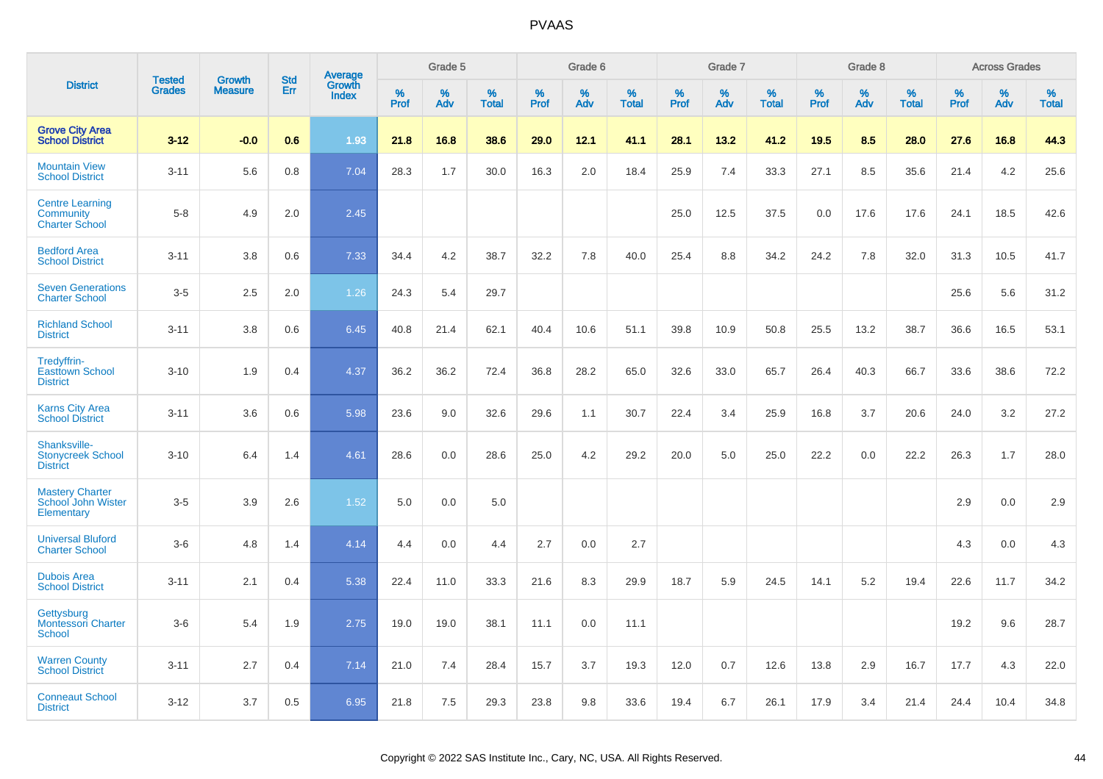|                                                              |                                |                                 | <b>Std</b> |                                   |                     | Grade 5  |                   |                     | Grade 6  |                   |              | Grade 7  |                   |                     | Grade 8  |                   |              | <b>Across Grades</b> |                      |
|--------------------------------------------------------------|--------------------------------|---------------------------------|------------|-----------------------------------|---------------------|----------|-------------------|---------------------|----------|-------------------|--------------|----------|-------------------|---------------------|----------|-------------------|--------------|----------------------|----------------------|
| <b>District</b>                                              | <b>Tested</b><br><b>Grades</b> | <b>Growth</b><br><b>Measure</b> | Err        | Average<br>Growth<br><b>Index</b> | $\%$<br><b>Prof</b> | %<br>Adv | %<br><b>Total</b> | $\%$<br><b>Prof</b> | %<br>Adv | %<br><b>Total</b> | $\%$<br>Prof | %<br>Adv | %<br><b>Total</b> | $\%$<br><b>Prof</b> | %<br>Adv | %<br><b>Total</b> | $\%$<br>Prof | %<br>Adv             | $\%$<br><b>Total</b> |
| <b>Grove City Area</b><br><b>School District</b>             | $3 - 12$                       | $-0.0$                          | 0.6        | 1.93                              | 21.8                | 16.8     | 38.6              | 29.0                | 12.1     | 41.1              | 28.1         | 13.2     | 41.2              | 19.5                | 8.5      | 28.0              | 27.6         | 16.8                 | 44.3                 |
| <b>Mountain View</b><br><b>School District</b>               | $3 - 11$                       | 5.6                             | 0.8        | 7.04                              | 28.3                | 1.7      | 30.0              | 16.3                | 2.0      | 18.4              | 25.9         | 7.4      | 33.3              | 27.1                | 8.5      | 35.6              | 21.4         | 4.2                  | 25.6                 |
| <b>Centre Learning</b><br>Community<br><b>Charter School</b> | $5 - 8$                        | 4.9                             | 2.0        | 2.45                              |                     |          |                   |                     |          |                   | 25.0         | 12.5     | 37.5              | 0.0                 | 17.6     | 17.6              | 24.1         | 18.5                 | 42.6                 |
| <b>Bedford Area</b><br><b>School District</b>                | $3 - 11$                       | 3.8                             | 0.6        | 7.33                              | 34.4                | 4.2      | 38.7              | 32.2                | 7.8      | 40.0              | 25.4         | 8.8      | 34.2              | 24.2                | 7.8      | 32.0              | 31.3         | 10.5                 | 41.7                 |
| <b>Seven Generations</b><br><b>Charter School</b>            | $3-5$                          | 2.5                             | 2.0        | 1.26                              | 24.3                | 5.4      | 29.7              |                     |          |                   |              |          |                   |                     |          |                   | 25.6         | 5.6                  | 31.2                 |
| <b>Richland School</b><br><b>District</b>                    | $3 - 11$                       | 3.8                             | 0.6        | 6.45                              | 40.8                | 21.4     | 62.1              | 40.4                | 10.6     | 51.1              | 39.8         | 10.9     | 50.8              | 25.5                | 13.2     | 38.7              | 36.6         | 16.5                 | 53.1                 |
| Tredyffrin-<br><b>Easttown School</b><br><b>District</b>     | $3 - 10$                       | 1.9                             | 0.4        | 4.37                              | 36.2                | 36.2     | 72.4              | 36.8                | 28.2     | 65.0              | 32.6         | 33.0     | 65.7              | 26.4                | 40.3     | 66.7              | 33.6         | 38.6                 | 72.2                 |
| <b>Karns City Area</b><br><b>School District</b>             | $3 - 11$                       | 3.6                             | 0.6        | 5.98                              | 23.6                | 9.0      | 32.6              | 29.6                | 1.1      | 30.7              | 22.4         | 3.4      | 25.9              | 16.8                | 3.7      | 20.6              | 24.0         | 3.2                  | 27.2                 |
| Shanksville-<br><b>Stonycreek School</b><br><b>District</b>  | $3 - 10$                       | 6.4                             | 1.4        | 4.61                              | 28.6                | 0.0      | 28.6              | 25.0                | 4.2      | 29.2              | 20.0         | 5.0      | 25.0              | 22.2                | 0.0      | 22.2              | 26.3         | 1.7                  | 28.0                 |
| <b>Mastery Charter</b><br>School John Wister<br>Elementary   | $3-5$                          | 3.9                             | 2.6        | 1.52                              | 5.0                 | 0.0      | 5.0               |                     |          |                   |              |          |                   |                     |          |                   | 2.9          | 0.0                  | 2.9                  |
| <b>Universal Bluford</b><br><b>Charter School</b>            | $3-6$                          | 4.8                             | 1.4        | 4.14                              | 4.4                 | 0.0      | 4.4               | 2.7                 | 0.0      | 2.7               |              |          |                   |                     |          |                   | 4.3          | 0.0                  | 4.3                  |
| <b>Dubois Area</b><br><b>School District</b>                 | $3 - 11$                       | 2.1                             | 0.4        | 5.38                              | 22.4                | 11.0     | 33.3              | 21.6                | 8.3      | 29.9              | 18.7         | 5.9      | 24.5              | 14.1                | 5.2      | 19.4              | 22.6         | 11.7                 | 34.2                 |
| Gettysburg<br><b>Montessori Charter</b><br>School            | $3-6$                          | 5.4                             | 1.9        | 2.75                              | 19.0                | 19.0     | 38.1              | 11.1                | 0.0      | 11.1              |              |          |                   |                     |          |                   | 19.2         | 9.6                  | 28.7                 |
| <b>Warren County</b><br><b>School District</b>               | $3 - 11$                       | 2.7                             | 0.4        | 7.14                              | 21.0                | 7.4      | 28.4              | 15.7                | 3.7      | 19.3              | 12.0         | 0.7      | 12.6              | 13.8                | 2.9      | 16.7              | 17.7         | 4.3                  | 22.0                 |
| <b>Conneaut School</b><br><b>District</b>                    | $3 - 12$                       | 3.7                             | 0.5        | 6.95                              | 21.8                | 7.5      | 29.3              | 23.8                | 9.8      | 33.6              | 19.4         | 6.7      | 26.1              | 17.9                | 3.4      | 21.4              | 24.4         | 10.4                 | 34.8                 |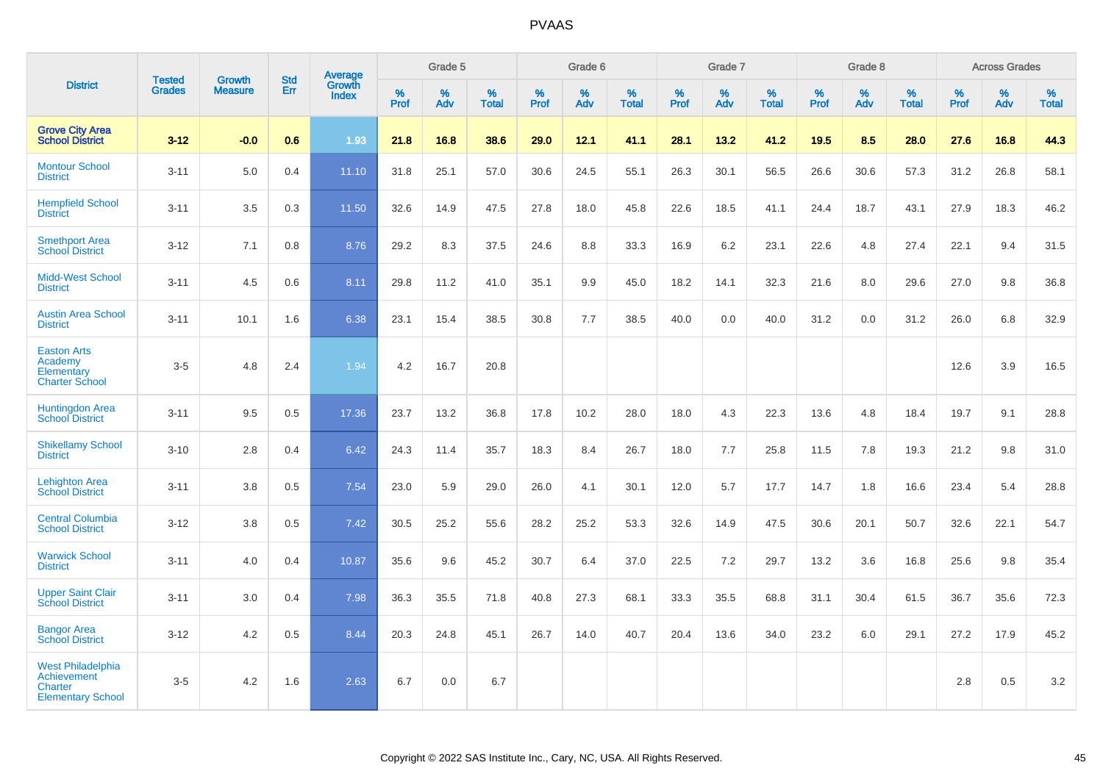|                                                                                              |                                | <b>Growth</b>  | <b>Std</b> |                                          |                     | Grade 5  |                   |              | Grade 6  |                   |           | Grade 7  |                   |           | Grade 8  |                   |           | <b>Across Grades</b> |                   |
|----------------------------------------------------------------------------------------------|--------------------------------|----------------|------------|------------------------------------------|---------------------|----------|-------------------|--------------|----------|-------------------|-----------|----------|-------------------|-----------|----------|-------------------|-----------|----------------------|-------------------|
| <b>District</b>                                                                              | <b>Tested</b><br><b>Grades</b> | <b>Measure</b> | Err        | <b>Average</b><br>Growth<br><b>Index</b> | $\%$<br><b>Prof</b> | %<br>Adv | %<br><b>Total</b> | $\%$<br>Prof | %<br>Adv | %<br><b>Total</b> | %<br>Prof | %<br>Adv | %<br><b>Total</b> | %<br>Prof | %<br>Adv | %<br><b>Total</b> | %<br>Prof | %<br>Adv             | %<br><b>Total</b> |
| <b>Grove City Area</b><br><b>School District</b>                                             | $3 - 12$                       | $-0.0$         | 0.6        | 1.93                                     | 21.8                | 16.8     | 38.6              | 29.0         | 12.1     | 41.1              | 28.1      | 13.2     | 41.2              | 19.5      | 8.5      | 28.0              | 27.6      | 16.8                 | 44.3              |
| <b>Montour School</b><br><b>District</b>                                                     | $3 - 11$                       | 5.0            | 0.4        | 11.10                                    | 31.8                | 25.1     | 57.0              | 30.6         | 24.5     | 55.1              | 26.3      | 30.1     | 56.5              | 26.6      | 30.6     | 57.3              | 31.2      | 26.8                 | 58.1              |
| <b>Hempfield School</b><br><b>District</b>                                                   | $3 - 11$                       | 3.5            | 0.3        | 11.50                                    | 32.6                | 14.9     | 47.5              | 27.8         | 18.0     | 45.8              | 22.6      | 18.5     | 41.1              | 24.4      | 18.7     | 43.1              | 27.9      | 18.3                 | 46.2              |
| <b>Smethport Area</b><br><b>School District</b>                                              | $3 - 12$                       | 7.1            | 0.8        | 8.76                                     | 29.2                | 8.3      | 37.5              | 24.6         | 8.8      | 33.3              | 16.9      | 6.2      | 23.1              | 22.6      | 4.8      | 27.4              | 22.1      | 9.4                  | 31.5              |
| <b>Midd-West School</b><br><b>District</b>                                                   | $3 - 11$                       | 4.5            | 0.6        | 8.11                                     | 29.8                | 11.2     | 41.0              | 35.1         | 9.9      | 45.0              | 18.2      | 14.1     | 32.3              | 21.6      | 8.0      | 29.6              | 27.0      | 9.8                  | 36.8              |
| <b>Austin Area School</b><br><b>District</b>                                                 | $3 - 11$                       | 10.1           | 1.6        | 6.38                                     | 23.1                | 15.4     | 38.5              | 30.8         | 7.7      | 38.5              | 40.0      | 0.0      | 40.0              | 31.2      | 0.0      | 31.2              | 26.0      | 6.8                  | 32.9              |
| <b>Easton Arts</b><br>Academy<br>Elementary<br><b>Charter School</b>                         | $3-5$                          | 4.8            | 2.4        | 1.94                                     | 4.2                 | 16.7     | 20.8              |              |          |                   |           |          |                   |           |          |                   | 12.6      | 3.9                  | 16.5              |
| <b>Huntingdon Area</b><br><b>School District</b>                                             | $3 - 11$                       | 9.5            | 0.5        | 17.36                                    | 23.7                | 13.2     | 36.8              | 17.8         | 10.2     | 28.0              | 18.0      | 4.3      | 22.3              | 13.6      | 4.8      | 18.4              | 19.7      | 9.1                  | 28.8              |
| <b>Shikellamy School</b><br><b>District</b>                                                  | $3 - 10$                       | 2.8            | 0.4        | 6.42                                     | 24.3                | 11.4     | 35.7              | 18.3         | 8.4      | 26.7              | 18.0      | 7.7      | 25.8              | 11.5      | 7.8      | 19.3              | 21.2      | 9.8                  | 31.0              |
| <b>Lehighton Area</b><br><b>School District</b>                                              | $3 - 11$                       | 3.8            | 0.5        | 7.54                                     | 23.0                | 5.9      | 29.0              | 26.0         | 4.1      | 30.1              | 12.0      | 5.7      | 17.7              | 14.7      | 1.8      | 16.6              | 23.4      | 5.4                  | 28.8              |
| <b>Central Columbia</b><br><b>School District</b>                                            | $3 - 12$                       | 3.8            | 0.5        | 7.42                                     | 30.5                | 25.2     | 55.6              | 28.2         | 25.2     | 53.3              | 32.6      | 14.9     | 47.5              | 30.6      | 20.1     | 50.7              | 32.6      | 22.1                 | 54.7              |
| <b>Warwick School</b><br><b>District</b>                                                     | $3 - 11$                       | 4.0            | 0.4        | 10.87                                    | 35.6                | 9.6      | 45.2              | 30.7         | 6.4      | 37.0              | 22.5      | 7.2      | 29.7              | 13.2      | 3.6      | 16.8              | 25.6      | 9.8                  | 35.4              |
| <b>Upper Saint Clair</b><br><b>School District</b>                                           | $3 - 11$                       | 3.0            | 0.4        | 7.98                                     | 36.3                | 35.5     | 71.8              | 40.8         | 27.3     | 68.1              | 33.3      | 35.5     | 68.8              | 31.1      | 30.4     | 61.5              | 36.7      | 35.6                 | 72.3              |
| <b>Bangor Area</b><br><b>School District</b>                                                 | $3 - 12$                       | 4.2            | 0.5        | 8.44                                     | 20.3                | 24.8     | 45.1              | 26.7         | 14.0     | 40.7              | 20.4      | 13.6     | 34.0              | 23.2      | 6.0      | 29.1              | 27.2      | 17.9                 | 45.2              |
| <b>West Philadelphia</b><br><b>Achievement</b><br><b>Charter</b><br><b>Elementary School</b> | $3-5$                          | 4.2            | 1.6        | 2.63                                     | 6.7                 | 0.0      | 6.7               |              |          |                   |           |          |                   |           |          |                   | 2.8       | 0.5                  | $3.2\,$           |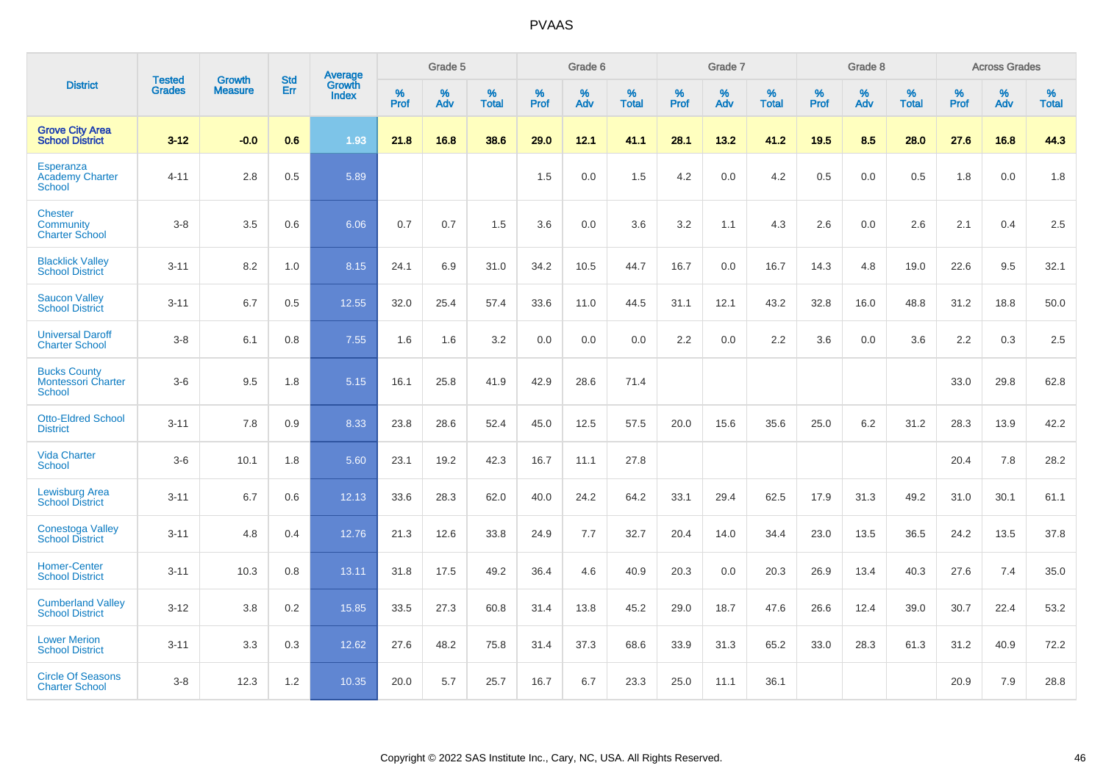|                                                                   | <b>Tested</b> | <b>Growth</b>  | <b>Std</b> | Average                       |           | Grade 5  |                   |           | Grade 6  |                   |           | Grade 7  |                   |           | Grade 8  |                   |           | <b>Across Grades</b> |                   |
|-------------------------------------------------------------------|---------------|----------------|------------|-------------------------------|-----------|----------|-------------------|-----------|----------|-------------------|-----------|----------|-------------------|-----------|----------|-------------------|-----------|----------------------|-------------------|
| <b>District</b>                                                   | <b>Grades</b> | <b>Measure</b> | Err        | <b>Growth</b><br><b>Index</b> | %<br>Prof | %<br>Adv | %<br><b>Total</b> | %<br>Prof | %<br>Adv | %<br><b>Total</b> | %<br>Prof | %<br>Adv | %<br><b>Total</b> | %<br>Prof | %<br>Adv | %<br><b>Total</b> | %<br>Prof | %<br>Adv             | %<br><b>Total</b> |
| <b>Grove City Area</b><br><b>School District</b>                  | $3 - 12$      | $-0.0$         | 0.6        | 1.93                          | 21.8      | 16.8     | 38.6              | 29.0      | 12.1     | 41.1              | 28.1      | 13.2     | 41.2              | 19.5      | 8.5      | 28.0              | 27.6      | 16.8                 | 44.3              |
| Esperanza<br><b>Academy Charter</b><br><b>School</b>              | $4 - 11$      | 2.8            | 0.5        | 5.89                          |           |          |                   | 1.5       | 0.0      | 1.5               | 4.2       | 0.0      | 4.2               | 0.5       | 0.0      | 0.5               | 1.8       | 0.0                  | 1.8               |
| <b>Chester</b><br>Community<br><b>Charter School</b>              | $3 - 8$       | 3.5            | 0.6        | 6.06                          | 0.7       | 0.7      | 1.5               | 3.6       | 0.0      | 3.6               | 3.2       | 1.1      | 4.3               | 2.6       | 0.0      | 2.6               | 2.1       | 0.4                  | 2.5               |
| <b>Blacklick Valley</b><br><b>School District</b>                 | $3 - 11$      | 8.2            | 1.0        | 8.15                          | 24.1      | 6.9      | 31.0              | 34.2      | 10.5     | 44.7              | 16.7      | 0.0      | 16.7              | 14.3      | 4.8      | 19.0              | 22.6      | 9.5                  | 32.1              |
| <b>Saucon Valley</b><br><b>School District</b>                    | $3 - 11$      | 6.7            | 0.5        | 12.55                         | 32.0      | 25.4     | 57.4              | 33.6      | 11.0     | 44.5              | 31.1      | 12.1     | 43.2              | 32.8      | 16.0     | 48.8              | 31.2      | 18.8                 | 50.0              |
| <b>Universal Daroff</b><br><b>Charter School</b>                  | $3 - 8$       | 6.1            | 0.8        | 7.55                          | 1.6       | 1.6      | 3.2               | 0.0       | 0.0      | 0.0               | 2.2       | 0.0      | 2.2               | 3.6       | 0.0      | 3.6               | 2.2       | 0.3                  | 2.5               |
| <b>Bucks County</b><br><b>Montessori Charter</b><br><b>School</b> | $3-6$         | 9.5            | 1.8        | 5.15                          | 16.1      | 25.8     | 41.9              | 42.9      | 28.6     | 71.4              |           |          |                   |           |          |                   | 33.0      | 29.8                 | 62.8              |
| <b>Otto-Eldred School</b><br><b>District</b>                      | $3 - 11$      | 7.8            | 0.9        | 8.33                          | 23.8      | 28.6     | 52.4              | 45.0      | 12.5     | 57.5              | 20.0      | 15.6     | 35.6              | 25.0      | 6.2      | 31.2              | 28.3      | 13.9                 | 42.2              |
| <b>Vida Charter</b><br><b>School</b>                              | $3-6$         | 10.1           | 1.8        | 5.60                          | 23.1      | 19.2     | 42.3              | 16.7      | 11.1     | 27.8              |           |          |                   |           |          |                   | 20.4      | 7.8                  | 28.2              |
| <b>Lewisburg Area</b><br><b>School District</b>                   | $3 - 11$      | 6.7            | 0.6        | 12.13                         | 33.6      | 28.3     | 62.0              | 40.0      | 24.2     | 64.2              | 33.1      | 29.4     | 62.5              | 17.9      | 31.3     | 49.2              | 31.0      | 30.1                 | 61.1              |
| <b>Conestoga Valley</b><br><b>School District</b>                 | $3 - 11$      | 4.8            | 0.4        | 12.76                         | 21.3      | 12.6     | 33.8              | 24.9      | 7.7      | 32.7              | 20.4      | 14.0     | 34.4              | 23.0      | 13.5     | 36.5              | 24.2      | 13.5                 | 37.8              |
| <b>Homer-Center</b><br><b>School District</b>                     | $3 - 11$      | 10.3           | 0.8        | 13.11                         | 31.8      | 17.5     | 49.2              | 36.4      | 4.6      | 40.9              | 20.3      | 0.0      | 20.3              | 26.9      | 13.4     | 40.3              | 27.6      | 7.4                  | 35.0              |
| <b>Cumberland Valley</b><br><b>School District</b>                | $3 - 12$      | 3.8            | 0.2        | 15.85                         | 33.5      | 27.3     | 60.8              | 31.4      | 13.8     | 45.2              | 29.0      | 18.7     | 47.6              | 26.6      | 12.4     | 39.0              | 30.7      | 22.4                 | 53.2              |
| <b>Lower Merion</b><br><b>School District</b>                     | $3 - 11$      | 3.3            | 0.3        | 12.62                         | 27.6      | 48.2     | 75.8              | 31.4      | 37.3     | 68.6              | 33.9      | 31.3     | 65.2              | 33.0      | 28.3     | 61.3              | 31.2      | 40.9                 | 72.2              |
| <b>Circle Of Seasons</b><br><b>Charter School</b>                 | $3 - 8$       | 12.3           | 1.2        | 10.35                         | 20.0      | 5.7      | 25.7              | 16.7      | 6.7      | 23.3              | 25.0      | 11.1     | 36.1              |           |          |                   | 20.9      | 7.9                  | 28.8              |